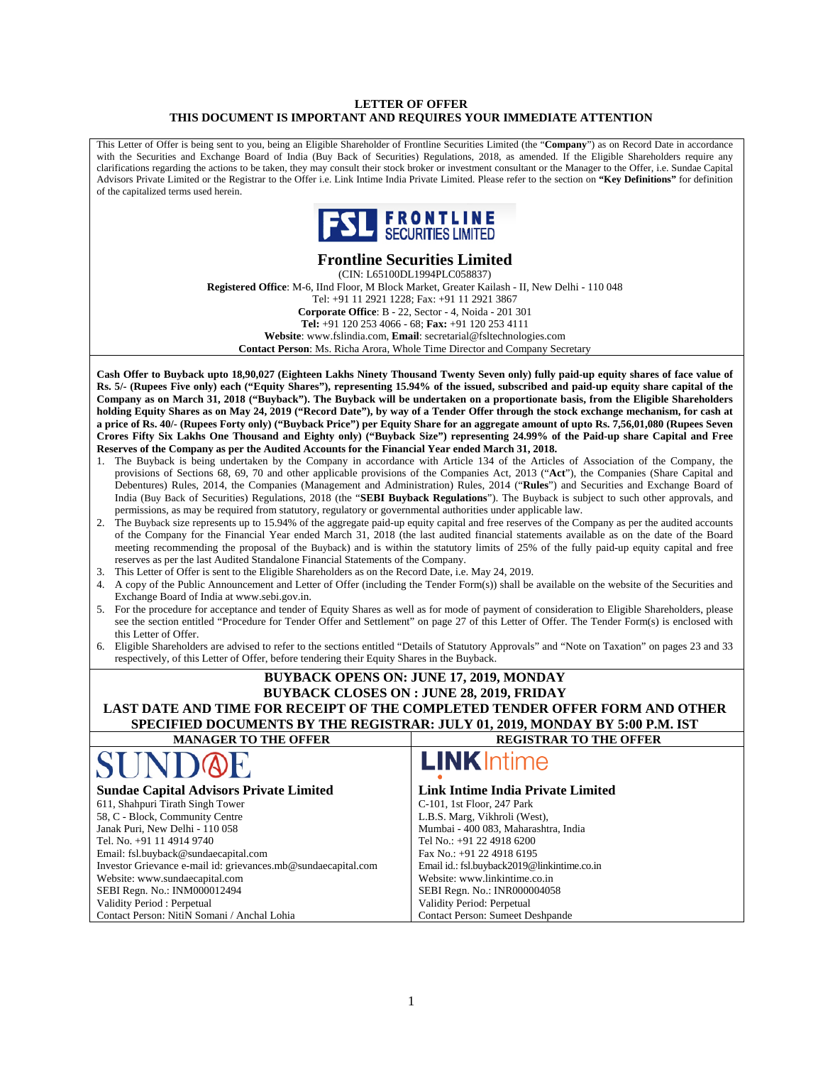#### **LETTER OF OFFER THIS DOCUMENT IS IMPORTANT AND REQUIRES YOUR IMMEDIATE ATTENTION**

This Letter of Offer is being sent to you, being an Eligible Shareholder of Frontline Securities Limited (the "**Company**") as on Record Date in accordance with the Securities and Exchange Board of India (Buy Back of Securities) Regulations, 2018, as amended. If the Eligible Shareholders require any clarifications regarding the actions to be taken, they may consult their stock broker or investment consultant or the Manager to the Offer, i.e. Sundae Capital Advisors Private Limited or the Registrar to the Offer i.e. Link Intime India Private Limited. Please refer to the section on **"Key Definitions"** for definition of the capitalized terms used herein.



# **Frontline Securities Limited**

(CIN: L65100DL1994PLC058837) **Registered Office**: M-6, IInd Floor, M Block Market, Greater Kailash - II, New Delhi - 110 048 Tel: +91 11 2921 1228; Fax: +91 11 2921 3867 **Corporate Office**: B - 22, Sector - 4, Noida - 201 301 **Tel:** +91 120 253 4066 - 68; **Fax:** +91 120 253 4111 **Website**: www.fslindia.com, **Email**: secretarial@fsltechnologies.com **Contact Person**: Ms. Richa Arora, Whole Time Director and Company Secretary

**Cash Offer to Buyback upto 18,90,027 (Eighteen Lakhs Ninety Thousand Twenty Seven only) fully paid-up equity shares of face value of Rs. 5/- (Rupees Five only) each ("Equity Shares"), representing 15.94% of the issued, subscribed and paid-up equity share capital of the Company as on March 31, 2018 ("Buyback"). The Buyback will be undertaken on a proportionate basis, from the Eligible Shareholders holding Equity Shares as on May 24, 2019 ("Record Date"), by way of a Tender Offer through the stock exchange mechanism, for cash at a price of Rs. 40/- (Rupees Forty only) ("Buyback Price") per Equity Share for an aggregate amount of upto Rs. 7,56,01,080 (Rupees Seven Crores Fifty Six Lakhs One Thousand and Eighty only) ("Buyback Size") representing 24.99% of the Paid-up share Capital and Free Reserves of the Company as per the Audited Accounts for the Financial Year ended March 31, 2018.** 

- 1. The Buyback is being undertaken by the Company in accordance with Article 134 of the Articles of Association of the Company, the provisions of Sections 68, 69, 70 and other applicable provisions of the Companies Act, 2013 ("**Act**"), the Companies (Share Capital and Debentures) Rules, 2014, the Companies (Management and Administration) Rules, 2014 ("**Rules**") and Securities and Exchange Board of India (Buy Back of Securities) Regulations, 2018 (the "**SEBI Buyback Regulations**"). The Buyback is subject to such other approvals, and permissions, as may be required from statutory, regulatory or governmental authorities under applicable law.
- 2. The Buyback size represents up to 15.94% of the aggregate paid-up equity capital and free reserves of the Company as per the audited accounts of the Company for the Financial Year ended March 31, 2018 (the last audited financial statements available as on the date of the Board meeting recommending the proposal of the Buyback) and is within the statutory limits of 25% of the fully paid-up equity capital and free reserves as per the last Audited Standalone Financial Statements of the Company.
- 3. This Letter of Offer is sent to the Eligible Shareholders as on the Record Date, i.e. May 24, 2019.

Contact Person: NitiN Somani / Anchal Lohia

- 4. A copy of the Public Announcement and Letter of Offer (including the Tender Form(s)) shall be available on the website of the Securities and Exchange Board of India at www.sebi.gov.in.
- 5. For the procedure for acceptance and tender of Equity Shares as well as for mode of payment of consideration to Eligible Shareholders, please see the section entitled "Procedure for Tender Offer and Settlement" on page 27 of this Letter of Offer. The Tender Form(s) is enclosed with this Letter of Offer.
- 6. Eligible Shareholders are advised to refer to the sections entitled "Details of Statutory Approvals" and "Note on Taxation" on pages 23 and 33 respectively, of this Letter of Offer, before tendering their Equity Shares in the Buyback.

#### **BUYBACK OPENS ON: JUNE 17, 2019, MONDAY BUYBACK CLOSES ON : JUNE 28, 2019, FRIDAY LAST DATE AND TIME FOR RECEIPT OF THE COMPLETED TENDER OFFER FORM AND OTHER SPECIFIED DOCUMENTS BY THE REGISTRAR: JULY 01, 2019, MONDAY BY 5:00 P.M. IST MANAGER TO THE OFFER REGISTRAR TO THE OFFER LINK**Intime **Sundae Capital Advisors Private Limited Link Intime India Private Limited**  611, Shahpuri Tirath Singh Tower C-101, 1st Floor, 247 Park 58, C - Block, Community Centre L.B.S. Marg, Vikhroli (West), Janak Puri, New Delhi - 110 058 Mumbai - 400 083, Maharashtra, India Tel. No. +91 11 4914 9740 Tel No.: +91 22 4918 6200 Fax No.: +91 22 4918 6195 Email: fsl.buyback@sundaecapital.com Investor Grievance e-mail id: grievances.mb@sundaecapital.com Email id.: fsl.buyback2019@linkintime.co.in Website: www.sundaecapital.com Website: www.linkintime.co.in SEBI Regn. No.: INM000012494 SEBI Regn. No.: INR000004058 Validity Period : Perpetual Validity Period: Perpetual

Contact Person: Sumeet Deshpande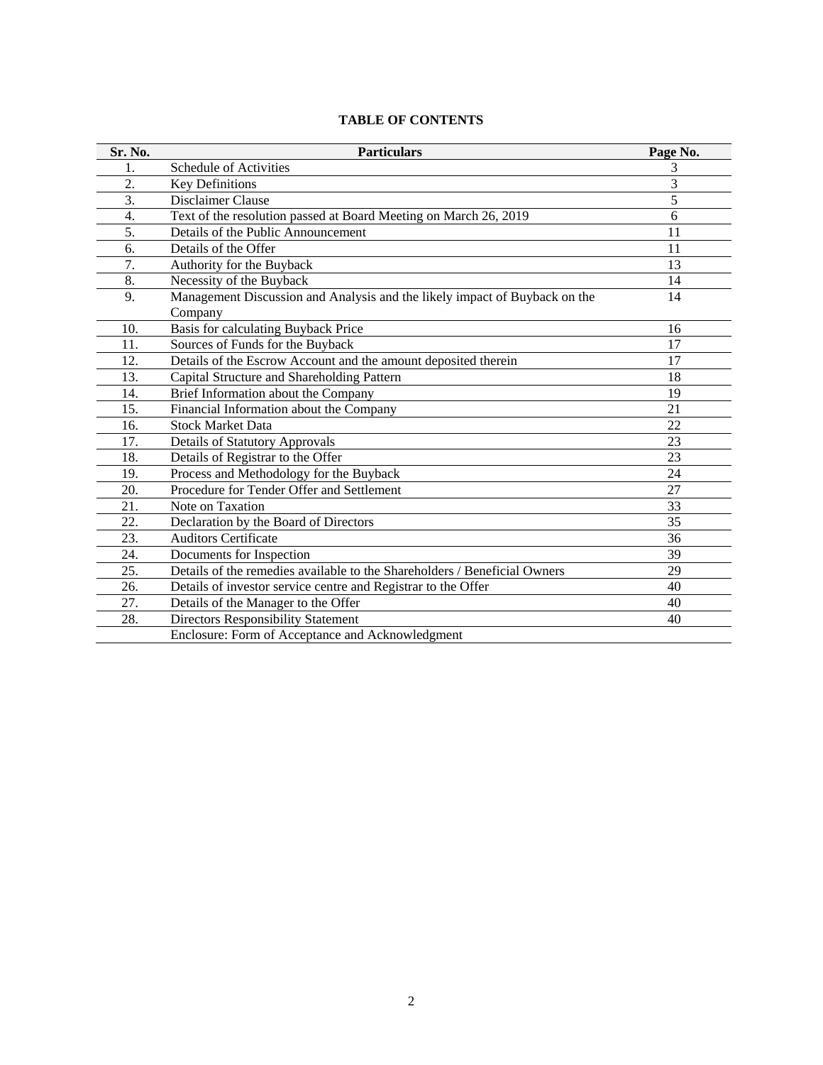| Sr. No. | <b>Particulars</b>                                                         | Page No. |
|---------|----------------------------------------------------------------------------|----------|
| 1.      | Schedule of Activities                                                     |          |
| 2.      | <b>Key Definitions</b>                                                     | 3        |
| 3.      | Disclaimer Clause                                                          |          |
| 4.      | Text of the resolution passed at Board Meeting on March 26, 2019           | 6        |
| 5.      | Details of the Public Announcement                                         | 11       |
| 6.      | Details of the Offer                                                       | 11       |
| 7.      | Authority for the Buyback                                                  | 13       |
| 8.      | Necessity of the Buyback                                                   | 14       |
| 9.      | Management Discussion and Analysis and the likely impact of Buyback on the | 14       |
|         | Company                                                                    |          |
| 10.     | Basis for calculating Buyback Price                                        | 16       |
| 11      | Courses of Eurole for the Durbook                                          | 17       |

# **TABLE OF CONTENTS**

| 9.  | Management Discussion and Analysis and the likely impact of Buyback on the | 14 |
|-----|----------------------------------------------------------------------------|----|
|     | Company                                                                    |    |
| 10. | Basis for calculating Buyback Price                                        | 16 |
| 11. | Sources of Funds for the Buyback                                           | 17 |
| 12. | Details of the Escrow Account and the amount deposited therein             | 17 |
| 13. | Capital Structure and Shareholding Pattern                                 | 18 |
| 14. | Brief Information about the Company                                        | 19 |
| 15. | Financial Information about the Company                                    | 21 |
| 16. | <b>Stock Market Data</b>                                                   | 22 |
| 17. | <b>Details of Statutory Approvals</b>                                      | 23 |
| 18. | Details of Registrar to the Offer                                          | 23 |
| 19. | Process and Methodology for the Buyback                                    | 24 |
| 20. | Procedure for Tender Offer and Settlement                                  | 27 |
| 21. | Note on Taxation                                                           | 33 |
| 22. | Declaration by the Board of Directors                                      | 35 |
| 23. | <b>Auditors Certificate</b>                                                | 36 |
| 24. | Documents for Inspection                                                   | 39 |
| 25. | Details of the remedies available to the Shareholders / Beneficial Owners  | 29 |
| 26. | Details of investor service centre and Registrar to the Offer              | 40 |
| 27. | Details of the Manager to the Offer                                        | 40 |
| 28. | <b>Directors Responsibility Statement</b>                                  | 40 |
|     | Enclosure: Form of Acceptance and Acknowledgment                           |    |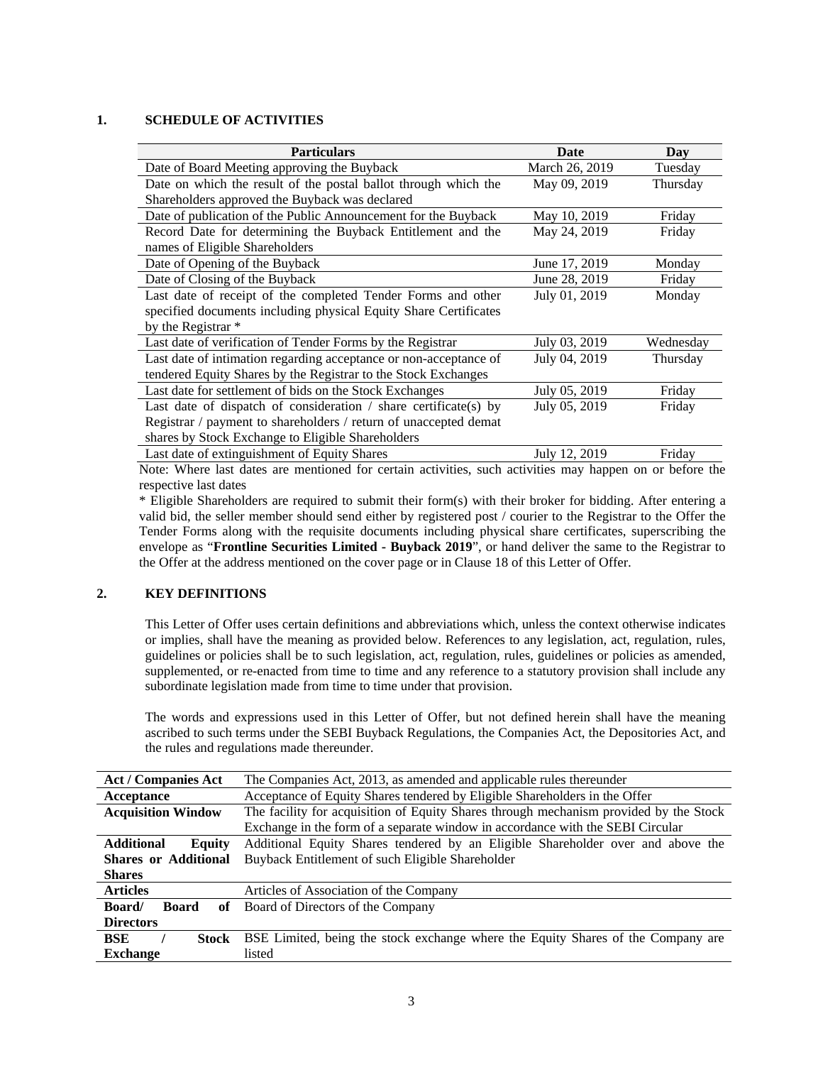### **1. SCHEDULE OF ACTIVITIES**

| <b>Particulars</b>                                                                                       | Date           | Day       |
|----------------------------------------------------------------------------------------------------------|----------------|-----------|
| Date of Board Meeting approving the Buyback                                                              | March 26, 2019 | Tuesday   |
| Date on which the result of the postal ballot through which the                                          | May 09, 2019   | Thursday  |
| Shareholders approved the Buyback was declared                                                           |                |           |
| Date of publication of the Public Announcement for the Buyback                                           | May 10, 2019   | Friday    |
| Record Date for determining the Buyback Entitlement and the                                              | May 24, 2019   | Friday    |
| names of Eligible Shareholders                                                                           |                |           |
| Date of Opening of the Buyback                                                                           | June 17, 2019  | Monday    |
| Date of Closing of the Buyback                                                                           | June 28, 2019  | Friday    |
| Last date of receipt of the completed Tender Forms and other                                             | July 01, 2019  | Monday    |
| specified documents including physical Equity Share Certificates                                         |                |           |
| by the Registrar *                                                                                       |                |           |
| Last date of verification of Tender Forms by the Registrar                                               | July 03, 2019  | Wednesday |
| Last date of intimation regarding acceptance or non-acceptance of                                        | July 04, 2019  | Thursday  |
| tendered Equity Shares by the Registrar to the Stock Exchanges                                           |                |           |
| Last date for settlement of bids on the Stock Exchanges                                                  | July 05, 2019  | Friday    |
| Last date of dispatch of consideration $\ell$ share certificate(s) by                                    | July 05, 2019  | Friday    |
| Registrar / payment to shareholders / return of unaccepted demat                                         |                |           |
| shares by Stock Exchange to Eligible Shareholders                                                        |                |           |
| Last date of extinguishment of Equity Shares                                                             | July 12, 2019  | Fridav    |
| Note: Where lest detec are mentioned for certain estimities, such estimities may bennen on or before the |                |           |

Note: Where last dates are mentioned for certain activities, such activities may happen on or before the respective last dates

\* Eligible Shareholders are required to submit their form(s) with their broker for bidding. After entering a valid bid, the seller member should send either by registered post / courier to the Registrar to the Offer the Tender Forms along with the requisite documents including physical share certificates, superscribing the envelope as "**Frontline Securities Limited - Buyback 2019**", or hand deliver the same to the Registrar to the Offer at the address mentioned on the cover page or in Clause 18 of this Letter of Offer.

### **2. KEY DEFINITIONS**

This Letter of Offer uses certain definitions and abbreviations which, unless the context otherwise indicates or implies, shall have the meaning as provided below. References to any legislation, act, regulation, rules, guidelines or policies shall be to such legislation, act, regulation, rules, guidelines or policies as amended, supplemented, or re-enacted from time to time and any reference to a statutory provision shall include any subordinate legislation made from time to time under that provision.

The words and expressions used in this Letter of Offer, but not defined herein shall have the meaning ascribed to such terms under the SEBI Buyback Regulations, the Companies Act, the Depositories Act, and the rules and regulations made thereunder.

| <b>Act / Companies Act</b>         | The Companies Act, 2013, as amended and applicable rules thereunder                   |  |  |
|------------------------------------|---------------------------------------------------------------------------------------|--|--|
| Acceptance                         | Acceptance of Equity Shares tendered by Eligible Shareholders in the Offer            |  |  |
| <b>Acquisition Window</b>          | The facility for acquisition of Equity Shares through mechanism provided by the Stock |  |  |
|                                    | Exchange in the form of a separate window in accordance with the SEBI Circular        |  |  |
| <b>Additional</b><br>Equity        | Additional Equity Shares tendered by an Eligible Shareholder over and above the       |  |  |
| <b>Shares or Additional</b>        | Buyback Entitlement of such Eligible Shareholder                                      |  |  |
| <b>Shares</b>                      |                                                                                       |  |  |
| <b>Articles</b>                    | Articles of Association of the Company                                                |  |  |
| <b>Board</b><br><b>Board</b><br>оf | Board of Directors of the Company                                                     |  |  |
| <b>Directors</b>                   |                                                                                       |  |  |
| <b>BSE</b><br>Stock                | BSE Limited, being the stock exchange where the Equity Shares of the Company are      |  |  |
| <b>Exchange</b>                    | listed                                                                                |  |  |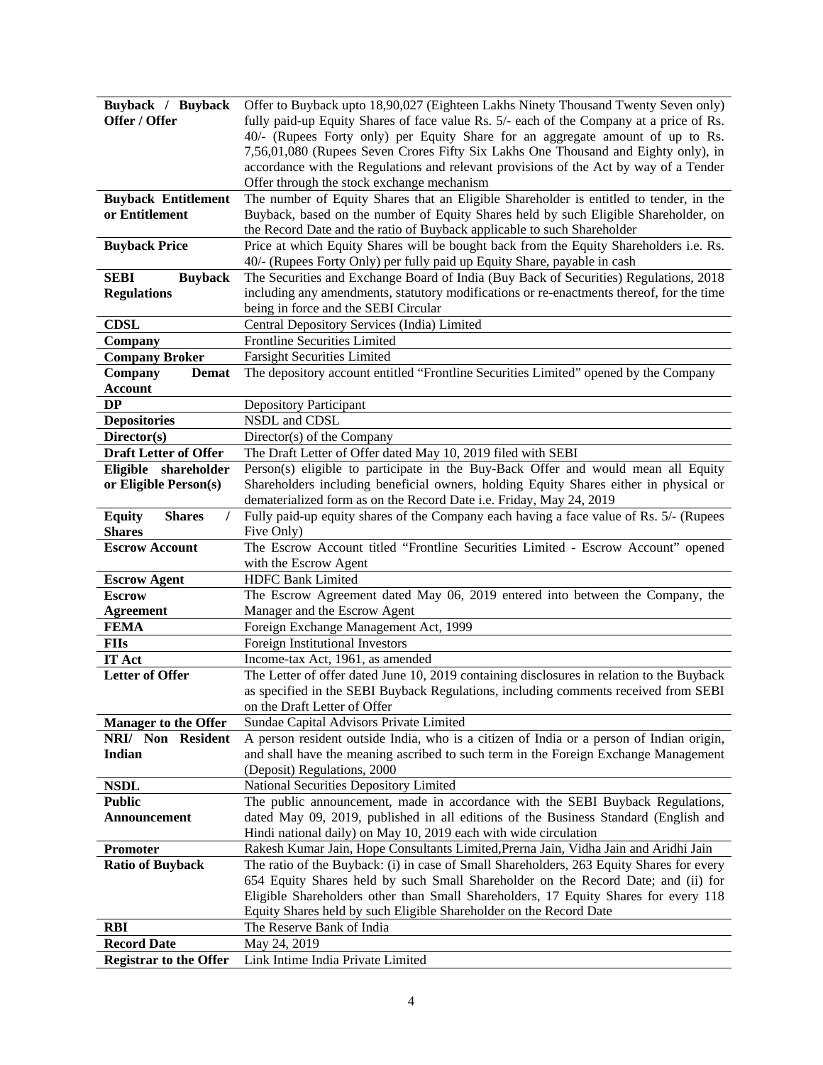| Buyback / Buyback                               | Offer to Buyback upto 18,90,027 (Eighteen Lakhs Ninety Thousand Twenty Seven only)                                                                                 |
|-------------------------------------------------|--------------------------------------------------------------------------------------------------------------------------------------------------------------------|
| Offer / Offer                                   | fully paid-up Equity Shares of face value Rs. 5/- each of the Company at a price of Rs.                                                                            |
|                                                 | 40/- (Rupees Forty only) per Equity Share for an aggregate amount of up to Rs.                                                                                     |
|                                                 | 7,56,01,080 (Rupees Seven Crores Fifty Six Lakhs One Thousand and Eighty only), in                                                                                 |
|                                                 | accordance with the Regulations and relevant provisions of the Act by way of a Tender                                                                              |
|                                                 | Offer through the stock exchange mechanism                                                                                                                         |
| <b>Buyback Entitlement</b>                      | The number of Equity Shares that an Eligible Shareholder is entitled to tender, in the                                                                             |
| or Entitlement                                  | Buyback, based on the number of Equity Shares held by such Eligible Shareholder, on<br>the Record Date and the ratio of Buyback applicable to such Shareholder     |
| <b>Buyback Price</b>                            | Price at which Equity Shares will be bought back from the Equity Shareholders i.e. Rs.<br>40/- (Rupees Forty Only) per fully paid up Equity Share, payable in cash |
| <b>SEBI</b><br><b>Buyback</b>                   | The Securities and Exchange Board of India (Buy Back of Securities) Regulations, 2018                                                                              |
| <b>Regulations</b>                              | including any amendments, statutory modifications or re-enactments thereof, for the time                                                                           |
|                                                 | being in force and the SEBI Circular                                                                                                                               |
| <b>CDSL</b>                                     | Central Depository Services (India) Limited                                                                                                                        |
| Company                                         | Frontline Securities Limited                                                                                                                                       |
| <b>Company Broker</b>                           | <b>Farsight Securities Limited</b>                                                                                                                                 |
| Company<br><b>Demat</b>                         | The depository account entitled "Frontline Securities Limited" opened by the Company                                                                               |
| <b>Account</b>                                  |                                                                                                                                                                    |
| DP                                              | <b>Depository Participant</b>                                                                                                                                      |
| <b>Depositories</b>                             | NSDL and CDSL                                                                                                                                                      |
| Director(s)                                     | Director(s) of the Company                                                                                                                                         |
| <b>Draft Letter of Offer</b>                    | The Draft Letter of Offer dated May 10, 2019 filed with SEBI                                                                                                       |
| Eligible shareholder                            | Person(s) eligible to participate in the Buy-Back Offer and would mean all Equity                                                                                  |
| or Eligible Person(s)                           | Shareholders including beneficial owners, holding Equity Shares either in physical or<br>dematerialized form as on the Record Date i.e. Friday, May 24, 2019       |
| <b>Shares</b><br><b>Equity</b><br><b>Shares</b> | Fully paid-up equity shares of the Company each having a face value of Rs. 5/- (Rupees<br>Five Only)                                                               |
| <b>Escrow Account</b>                           | The Escrow Account titled "Frontline Securities Limited - Escrow Account" opened                                                                                   |
|                                                 | with the Escrow Agent                                                                                                                                              |
| <b>Escrow Agent</b>                             | <b>HDFC Bank Limited</b>                                                                                                                                           |
| <b>Escrow</b>                                   | The Escrow Agreement dated May 06, 2019 entered into between the Company, the                                                                                      |
| <b>Agreement</b>                                | Manager and the Escrow Agent                                                                                                                                       |
| <b>FEMA</b>                                     | Foreign Exchange Management Act, 1999                                                                                                                              |
| <b>FIIs</b>                                     | Foreign Institutional Investors                                                                                                                                    |
| <b>IT Act</b>                                   | Income-tax Act, 1961, as amended                                                                                                                                   |
| <b>Letter of Offer</b>                          | The Letter of offer dated June 10, 2019 containing disclosures in relation to the Buyback                                                                          |
|                                                 | as specified in the SEBI Buyback Regulations, including comments received from SEBI                                                                                |
|                                                 | on the Draft Letter of Offer                                                                                                                                       |
| <b>Manager to the Offer</b>                     | Sundae Capital Advisors Private Limited                                                                                                                            |
| NRI/ Non Resident                               | A person resident outside India, who is a citizen of India or a person of Indian origin,                                                                           |
| Indian                                          | and shall have the meaning ascribed to such term in the Foreign Exchange Management                                                                                |
| <b>NSDL</b>                                     | (Deposit) Regulations, 2000<br>National Securities Depository Limited                                                                                              |
| <b>Public</b>                                   | The public announcement, made in accordance with the SEBI Buyback Regulations,                                                                                     |
| Announcement                                    | dated May 09, 2019, published in all editions of the Business Standard (English and                                                                                |
|                                                 | Hindi national daily) on May 10, 2019 each with wide circulation                                                                                                   |
| Promoter                                        | Rakesh Kumar Jain, Hope Consultants Limited, Prerna Jain, Vidha Jain and Aridhi Jain                                                                               |
| <b>Ratio of Buyback</b>                         | The ratio of the Buyback: (i) in case of Small Shareholders, 263 Equity Shares for every                                                                           |
|                                                 | 654 Equity Shares held by such Small Shareholder on the Record Date; and (ii) for                                                                                  |
|                                                 | Eligible Shareholders other than Small Shareholders, 17 Equity Shares for every 118                                                                                |
|                                                 | Equity Shares held by such Eligible Shareholder on the Record Date                                                                                                 |
| <b>RBI</b>                                      | The Reserve Bank of India                                                                                                                                          |
| <b>Record Date</b>                              | May 24, 2019                                                                                                                                                       |
| <b>Registrar to the Offer</b>                   | Link Intime India Private Limited                                                                                                                                  |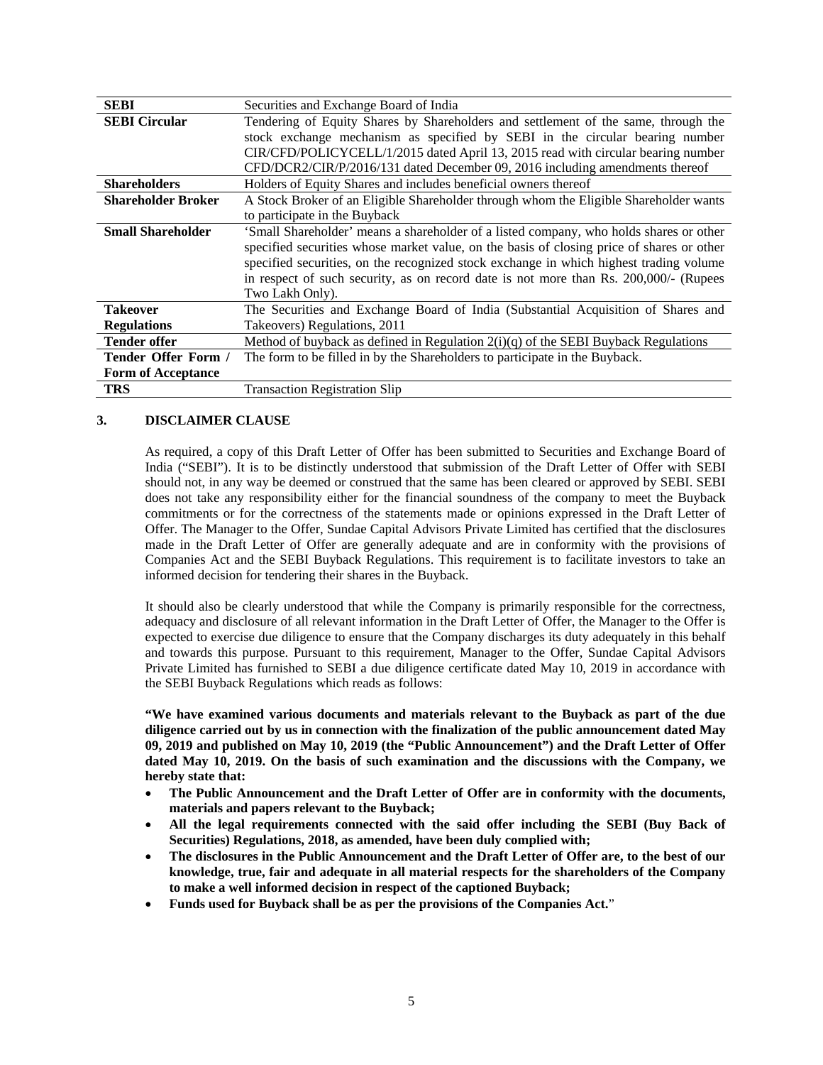| <b>SEBI</b>                | Securities and Exchange Board of India                                                    |  |  |
|----------------------------|-------------------------------------------------------------------------------------------|--|--|
| <b>SEBI Circular</b>       | Tendering of Equity Shares by Shareholders and settlement of the same, through the        |  |  |
|                            | stock exchange mechanism as specified by SEBI in the circular bearing number              |  |  |
|                            | CIR/CFD/POLICYCELL/1/2015 dated April 13, 2015 read with circular bearing number          |  |  |
|                            | CFD/DCR2/CIR/P/2016/131 dated December 09, 2016 including amendments thereof              |  |  |
| <b>Shareholders</b>        | Holders of Equity Shares and includes beneficial owners thereof                           |  |  |
| <b>Shareholder Broker</b>  | A Stock Broker of an Eligible Shareholder through whom the Eligible Shareholder wants     |  |  |
|                            | to participate in the Buyback                                                             |  |  |
| <b>Small Shareholder</b>   | 'Small Shareholder' means a shareholder of a listed company, who holds shares or other    |  |  |
|                            | specified securities whose market value, on the basis of closing price of shares or other |  |  |
|                            | specified securities, on the recognized stock exchange in which highest trading volume    |  |  |
|                            | in respect of such security, as on record date is not more than Rs. 200,000/- (Rupees     |  |  |
|                            | Two Lakh Only).                                                                           |  |  |
| <b>Takeover</b>            | The Securities and Exchange Board of India (Substantial Acquisition of Shares and         |  |  |
| <b>Regulations</b>         | Takeovers) Regulations, 2011                                                              |  |  |
| <b>Tender offer</b>        | Method of buyback as defined in Regulation $2(i)(q)$ of the SEBI Buyback Regulations      |  |  |
| <b>Tender Offer Form /</b> | The form to be filled in by the Shareholders to participate in the Buyback.               |  |  |
| <b>Form of Acceptance</b>  |                                                                                           |  |  |
| TRS                        | <b>Transaction Registration Slip</b>                                                      |  |  |

### **3. DISCLAIMER CLAUSE**

As required, a copy of this Draft Letter of Offer has been submitted to Securities and Exchange Board of India ("SEBI"). It is to be distinctly understood that submission of the Draft Letter of Offer with SEBI should not, in any way be deemed or construed that the same has been cleared or approved by SEBI. SEBI does not take any responsibility either for the financial soundness of the company to meet the Buyback commitments or for the correctness of the statements made or opinions expressed in the Draft Letter of Offer. The Manager to the Offer, Sundae Capital Advisors Private Limited has certified that the disclosures made in the Draft Letter of Offer are generally adequate and are in conformity with the provisions of Companies Act and the SEBI Buyback Regulations. This requirement is to facilitate investors to take an informed decision for tendering their shares in the Buyback.

It should also be clearly understood that while the Company is primarily responsible for the correctness, adequacy and disclosure of all relevant information in the Draft Letter of Offer, the Manager to the Offer is expected to exercise due diligence to ensure that the Company discharges its duty adequately in this behalf and towards this purpose. Pursuant to this requirement, Manager to the Offer, Sundae Capital Advisors Private Limited has furnished to SEBI a due diligence certificate dated May 10, 2019 in accordance with the SEBI Buyback Regulations which reads as follows:

**"We have examined various documents and materials relevant to the Buyback as part of the due diligence carried out by us in connection with the finalization of the public announcement dated May 09, 2019 and published on May 10, 2019 (the "Public Announcement") and the Draft Letter of Offer dated May 10, 2019. On the basis of such examination and the discussions with the Company, we hereby state that:** 

- **The Public Announcement and the Draft Letter of Offer are in conformity with the documents, materials and papers relevant to the Buyback;**
- **All the legal requirements connected with the said offer including the SEBI (Buy Back of Securities) Regulations, 2018, as amended, have been duly complied with;**
- **The disclosures in the Public Announcement and the Draft Letter of Offer are, to the best of our knowledge, true, fair and adequate in all material respects for the shareholders of the Company to make a well informed decision in respect of the captioned Buyback;**
- **Funds used for Buyback shall be as per the provisions of the Companies Act.**"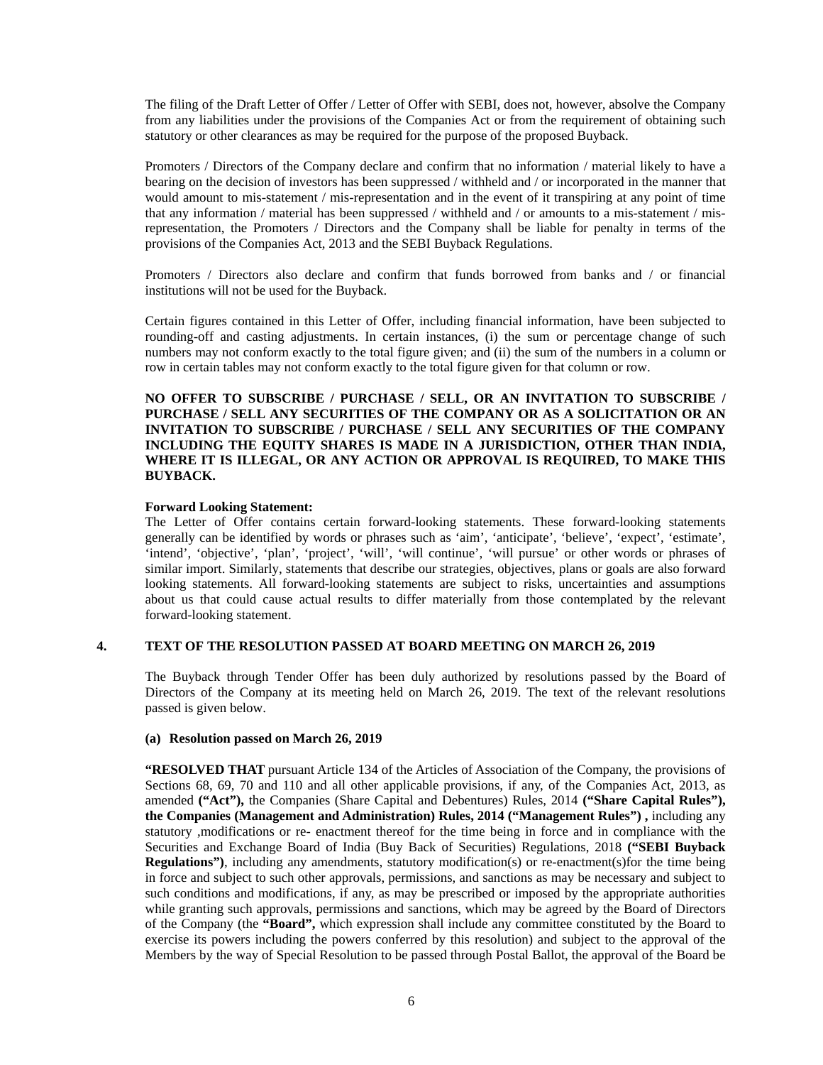The filing of the Draft Letter of Offer / Letter of Offer with SEBI, does not, however, absolve the Company from any liabilities under the provisions of the Companies Act or from the requirement of obtaining such statutory or other clearances as may be required for the purpose of the proposed Buyback.

Promoters / Directors of the Company declare and confirm that no information / material likely to have a bearing on the decision of investors has been suppressed / withheld and / or incorporated in the manner that would amount to mis-statement / mis-representation and in the event of it transpiring at any point of time that any information / material has been suppressed / withheld and / or amounts to a mis-statement / misrepresentation, the Promoters / Directors and the Company shall be liable for penalty in terms of the provisions of the Companies Act, 2013 and the SEBI Buyback Regulations.

Promoters / Directors also declare and confirm that funds borrowed from banks and / or financial institutions will not be used for the Buyback.

Certain figures contained in this Letter of Offer, including financial information, have been subjected to rounding-off and casting adjustments. In certain instances, (i) the sum or percentage change of such numbers may not conform exactly to the total figure given; and (ii) the sum of the numbers in a column or row in certain tables may not conform exactly to the total figure given for that column or row.

**NO OFFER TO SUBSCRIBE / PURCHASE / SELL, OR AN INVITATION TO SUBSCRIBE / PURCHASE / SELL ANY SECURITIES OF THE COMPANY OR AS A SOLICITATION OR AN INVITATION TO SUBSCRIBE / PURCHASE / SELL ANY SECURITIES OF THE COMPANY INCLUDING THE EQUITY SHARES IS MADE IN A JURISDICTION, OTHER THAN INDIA, WHERE IT IS ILLEGAL, OR ANY ACTION OR APPROVAL IS REQUIRED, TO MAKE THIS BUYBACK.** 

#### **Forward Looking Statement:**

The Letter of Offer contains certain forward-looking statements. These forward-looking statements generally can be identified by words or phrases such as 'aim', 'anticipate', 'believe', 'expect', 'estimate', 'intend', 'objective', 'plan', 'project', 'will', 'will continue', 'will pursue' or other words or phrases of similar import. Similarly, statements that describe our strategies, objectives, plans or goals are also forward looking statements. All forward-looking statements are subject to risks, uncertainties and assumptions about us that could cause actual results to differ materially from those contemplated by the relevant forward-looking statement.

#### **4. TEXT OF THE RESOLUTION PASSED AT BOARD MEETING ON MARCH 26, 2019**

The Buyback through Tender Offer has been duly authorized by resolutions passed by the Board of Directors of the Company at its meeting held on March 26, 2019. The text of the relevant resolutions passed is given below.

#### **(a) Resolution passed on March 26, 2019**

**"RESOLVED THAT** pursuant Article 134 of the Articles of Association of the Company, the provisions of Sections 68, 69, 70 and 110 and all other applicable provisions, if any, of the Companies Act, 2013, as amended **("Act"),** the Companies (Share Capital and Debentures) Rules, 2014 **("Share Capital Rules"), the Companies (Management and Administration) Rules, 2014 ("Management Rules") ,** including any statutory ,modifications or re- enactment thereof for the time being in force and in compliance with the Securities and Exchange Board of India (Buy Back of Securities) Regulations, 2018 **("SEBI Buyback Regulations")**, including any amendments, statutory modification(s) or re-enactment(s)for the time being in force and subject to such other approvals, permissions, and sanctions as may be necessary and subject to such conditions and modifications, if any, as may be prescribed or imposed by the appropriate authorities while granting such approvals, permissions and sanctions, which may be agreed by the Board of Directors of the Company (the **"Board",** which expression shall include any committee constituted by the Board to exercise its powers including the powers conferred by this resolution) and subject to the approval of the Members by the way of Special Resolution to be passed through Postal Ballot, the approval of the Board be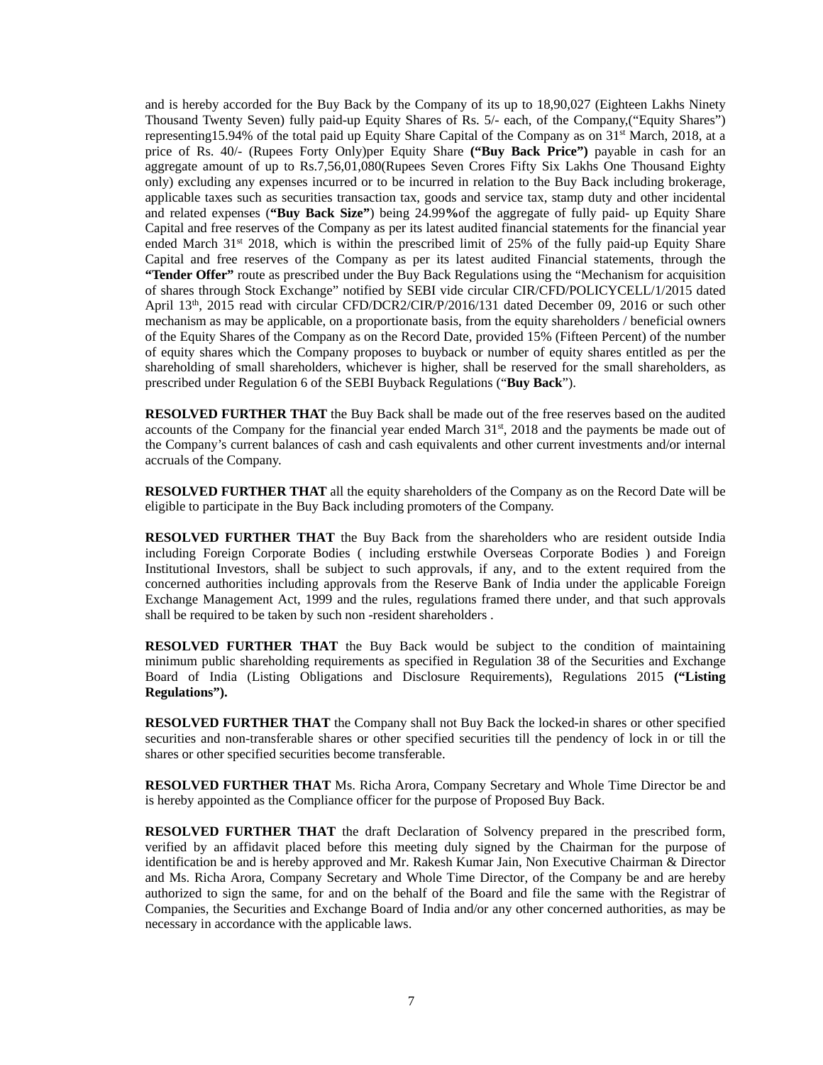and is hereby accorded for the Buy Back by the Company of its up to 18,90,027 (Eighteen Lakhs Ninety Thousand Twenty Seven) fully paid-up Equity Shares of Rs. 5/- each, of the Company,("Equity Shares") representing15.94% of the total paid up Equity Share Capital of the Company as on 31<sup>st</sup> March, 2018, at a price of Rs. 40/- (Rupees Forty Only)per Equity Share **("Buy Back Price")** payable in cash for an aggregate amount of up to Rs.7,56,01,080(Rupees Seven Crores Fifty Six Lakhs One Thousand Eighty only) excluding any expenses incurred or to be incurred in relation to the Buy Back including brokerage, applicable taxes such as securities transaction tax, goods and service tax, stamp duty and other incidental and related expenses (**"Buy Back Size"**) being 24.99**%**of the aggregate of fully paid- up Equity Share Capital and free reserves of the Company as per its latest audited financial statements for the financial year ended March 31<sup>st</sup> 2018, which is within the prescribed limit of 25% of the fully paid-up Equity Share Capital and free reserves of the Company as per its latest audited Financial statements, through the **"Tender Offer"** route as prescribed under the Buy Back Regulations using the "Mechanism for acquisition of shares through Stock Exchange" notified by SEBI vide circular CIR/CFD/POLICYCELL/1/2015 dated April 13<sup>th</sup>, 2015 read with circular CFD/DCR2/CIR/P/2016/131 dated December 09, 2016 or such other mechanism as may be applicable, on a proportionate basis, from the equity shareholders / beneficial owners of the Equity Shares of the Company as on the Record Date, provided 15% (Fifteen Percent) of the number of equity shares which the Company proposes to buyback or number of equity shares entitled as per the shareholding of small shareholders, whichever is higher, shall be reserved for the small shareholders, as prescribed under Regulation 6 of the SEBI Buyback Regulations ("**Buy Back**").

**RESOLVED FURTHER THAT** the Buy Back shall be made out of the free reserves based on the audited accounts of the Company for the financial year ended March 31<sup>st</sup>, 2018 and the payments be made out of the Company's current balances of cash and cash equivalents and other current investments and/or internal accruals of the Company.

**RESOLVED FURTHER THAT** all the equity shareholders of the Company as on the Record Date will be eligible to participate in the Buy Back including promoters of the Company.

**RESOLVED FURTHER THAT** the Buy Back from the shareholders who are resident outside India including Foreign Corporate Bodies ( including erstwhile Overseas Corporate Bodies ) and Foreign Institutional Investors, shall be subject to such approvals, if any, and to the extent required from the concerned authorities including approvals from the Reserve Bank of India under the applicable Foreign Exchange Management Act, 1999 and the rules, regulations framed there under, and that such approvals shall be required to be taken by such non -resident shareholders .

**RESOLVED FURTHER THAT** the Buy Back would be subject to the condition of maintaining minimum public shareholding requirements as specified in Regulation 38 of the Securities and Exchange Board of India (Listing Obligations and Disclosure Requirements), Regulations 2015 **("Listing Regulations").**

**RESOLVED FURTHER THAT** the Company shall not Buy Back the locked-in shares or other specified securities and non-transferable shares or other specified securities till the pendency of lock in or till the shares or other specified securities become transferable.

**RESOLVED FURTHER THAT** Ms. Richa Arora, Company Secretary and Whole Time Director be and is hereby appointed as the Compliance officer for the purpose of Proposed Buy Back.

**RESOLVED FURTHER THAT** the draft Declaration of Solvency prepared in the prescribed form, verified by an affidavit placed before this meeting duly signed by the Chairman for the purpose of identification be and is hereby approved and Mr. Rakesh Kumar Jain, Non Executive Chairman & Director and Ms. Richa Arora, Company Secretary and Whole Time Director, of the Company be and are hereby authorized to sign the same, for and on the behalf of the Board and file the same with the Registrar of Companies, the Securities and Exchange Board of India and/or any other concerned authorities, as may be necessary in accordance with the applicable laws.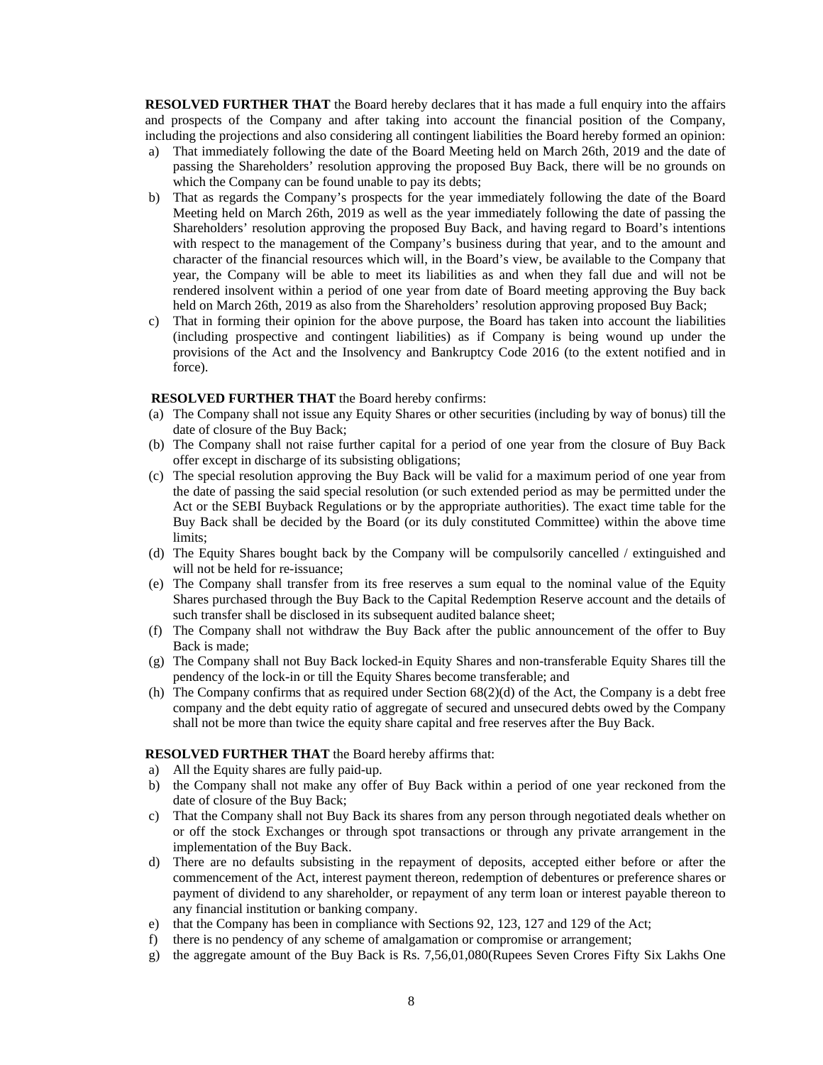**RESOLVED FURTHER THAT** the Board hereby declares that it has made a full enquiry into the affairs and prospects of the Company and after taking into account the financial position of the Company, including the projections and also considering all contingent liabilities the Board hereby formed an opinion:

- a) That immediately following the date of the Board Meeting held on March 26th, 2019 and the date of passing the Shareholders' resolution approving the proposed Buy Back, there will be no grounds on which the Company can be found unable to pay its debts;
- b) That as regards the Company's prospects for the year immediately following the date of the Board Meeting held on March 26th, 2019 as well as the year immediately following the date of passing the Shareholders' resolution approving the proposed Buy Back, and having regard to Board's intentions with respect to the management of the Company's business during that year, and to the amount and character of the financial resources which will, in the Board's view, be available to the Company that year, the Company will be able to meet its liabilities as and when they fall due and will not be rendered insolvent within a period of one year from date of Board meeting approving the Buy back held on March 26th, 2019 as also from the Shareholders' resolution approving proposed Buy Back;
- c) That in forming their opinion for the above purpose, the Board has taken into account the liabilities (including prospective and contingent liabilities) as if Company is being wound up under the provisions of the Act and the Insolvency and Bankruptcy Code 2016 (to the extent notified and in force).

#### **RESOLVED FURTHER THAT** the Board hereby confirms:

- (a) The Company shall not issue any Equity Shares or other securities (including by way of bonus) till the date of closure of the Buy Back;
- (b) The Company shall not raise further capital for a period of one year from the closure of Buy Back offer except in discharge of its subsisting obligations;
- (c) The special resolution approving the Buy Back will be valid for a maximum period of one year from the date of passing the said special resolution (or such extended period as may be permitted under the Act or the SEBI Buyback Regulations or by the appropriate authorities). The exact time table for the Buy Back shall be decided by the Board (or its duly constituted Committee) within the above time limits;
- (d) The Equity Shares bought back by the Company will be compulsorily cancelled / extinguished and will not be held for re-issuance;
- (e) The Company shall transfer from its free reserves a sum equal to the nominal value of the Equity Shares purchased through the Buy Back to the Capital Redemption Reserve account and the details of such transfer shall be disclosed in its subsequent audited balance sheet;
- (f) The Company shall not withdraw the Buy Back after the public announcement of the offer to Buy Back is made;
- (g) The Company shall not Buy Back locked-in Equity Shares and non-transferable Equity Shares till the pendency of the lock-in or till the Equity Shares become transferable; and
- (h) The Company confirms that as required under Section 68(2)(d) of the Act, the Company is a debt free company and the debt equity ratio of aggregate of secured and unsecured debts owed by the Company shall not be more than twice the equity share capital and free reserves after the Buy Back.

#### **RESOLVED FURTHER THAT** the Board hereby affirms that:

- a) All the Equity shares are fully paid-up.
- b) the Company shall not make any offer of Buy Back within a period of one year reckoned from the date of closure of the Buy Back;
- c) That the Company shall not Buy Back its shares from any person through negotiated deals whether on or off the stock Exchanges or through spot transactions or through any private arrangement in the implementation of the Buy Back.
- d) There are no defaults subsisting in the repayment of deposits, accepted either before or after the commencement of the Act, interest payment thereon, redemption of debentures or preference shares or payment of dividend to any shareholder, or repayment of any term loan or interest payable thereon to any financial institution or banking company.
- e) that the Company has been in compliance with Sections 92, 123, 127 and 129 of the Act;
- f) there is no pendency of any scheme of amalgamation or compromise or arrangement;
- g) the aggregate amount of the Buy Back is Rs. 7,56,01,080(Rupees Seven Crores Fifty Six Lakhs One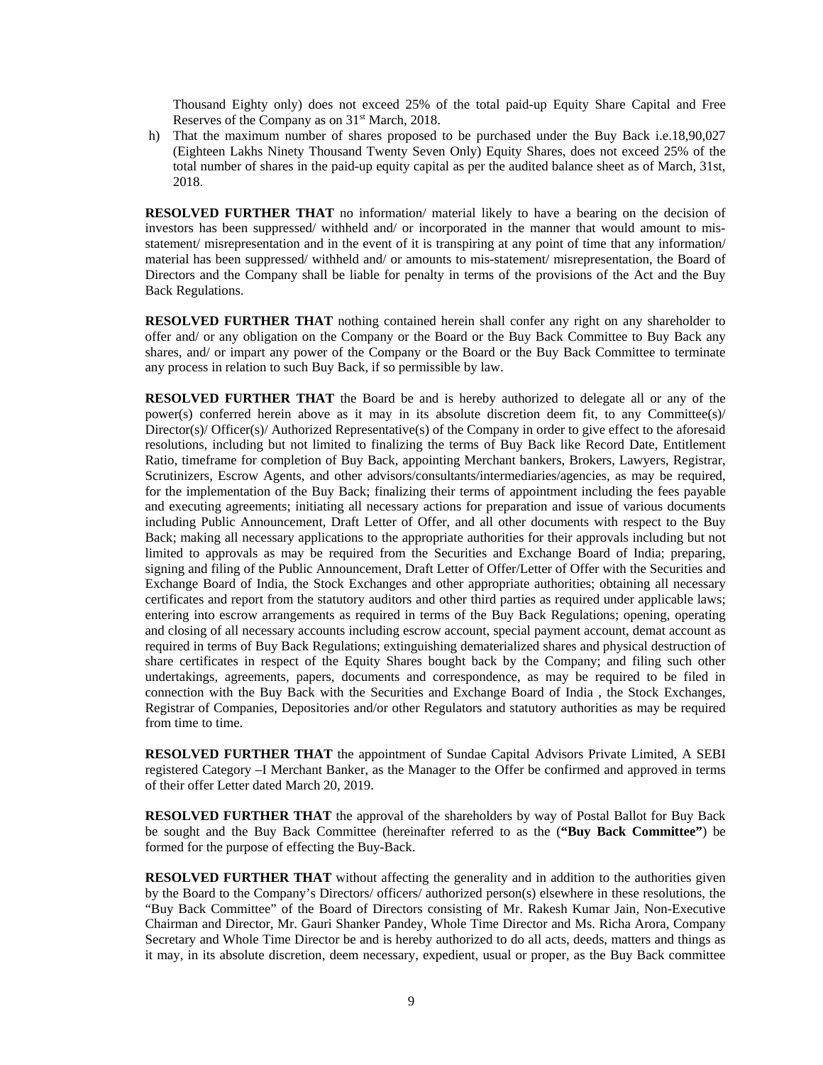Thousand Eighty only) does not exceed 25% of the total paid-up Equity Share Capital and Free Reserves of the Company as on  $31<sup>st</sup>$  March, 2018.

h) That the maximum number of shares proposed to be purchased under the Buy Back i.e.18,90,027 (Eighteen Lakhs Ninety Thousand Twenty Seven Only) Equity Shares, does not exceed 25% of the total number of shares in the paid-up equity capital as per the audited balance sheet as of March, 31st, 2018.

**RESOLVED FURTHER THAT** no information/ material likely to have a bearing on the decision of investors has been suppressed/ withheld and/ or incorporated in the manner that would amount to misstatement/ misrepresentation and in the event of it is transpiring at any point of time that any information/ material has been suppressed/ withheld and/ or amounts to mis-statement/ misrepresentation, the Board of Directors and the Company shall be liable for penalty in terms of the provisions of the Act and the Buy Back Regulations.

**RESOLVED FURTHER THAT** nothing contained herein shall confer any right on any shareholder to offer and/ or any obligation on the Company or the Board or the Buy Back Committee to Buy Back any shares, and/ or impart any power of the Company or the Board or the Buy Back Committee to terminate any process in relation to such Buy Back, if so permissible by law.

**RESOLVED FURTHER THAT** the Board be and is hereby authorized to delegate all or any of the power(s) conferred herein above as it may in its absolute discretion deem fit, to any Committee(s)/ Director(s)/ Officer(s)/ Authorized Representative(s) of the Company in order to give effect to the aforesaid resolutions, including but not limited to finalizing the terms of Buy Back like Record Date, Entitlement Ratio, timeframe for completion of Buy Back, appointing Merchant bankers, Brokers, Lawyers, Registrar, Scrutinizers, Escrow Agents, and other advisors/consultants/intermediaries/agencies, as may be required, for the implementation of the Buy Back; finalizing their terms of appointment including the fees payable and executing agreements; initiating all necessary actions for preparation and issue of various documents including Public Announcement, Draft Letter of Offer, and all other documents with respect to the Buy Back; making all necessary applications to the appropriate authorities for their approvals including but not limited to approvals as may be required from the Securities and Exchange Board of India; preparing, signing and filing of the Public Announcement, Draft Letter of Offer/Letter of Offer with the Securities and Exchange Board of India, the Stock Exchanges and other appropriate authorities; obtaining all necessary certificates and report from the statutory auditors and other third parties as required under applicable laws; entering into escrow arrangements as required in terms of the Buy Back Regulations; opening, operating and closing of all necessary accounts including escrow account, special payment account, demat account as required in terms of Buy Back Regulations; extinguishing dematerialized shares and physical destruction of share certificates in respect of the Equity Shares bought back by the Company; and filing such other undertakings, agreements, papers, documents and correspondence, as may be required to be filed in connection with the Buy Back with the Securities and Exchange Board of India , the Stock Exchanges, Registrar of Companies, Depositories and/or other Regulators and statutory authorities as may be required from time to time.

**RESOLVED FURTHER THAT** the appointment of Sundae Capital Advisors Private Limited, A SEBI registered Category –I Merchant Banker, as the Manager to the Offer be confirmed and approved in terms of their offer Letter dated March 20, 2019.

**RESOLVED FURTHER THAT** the approval of the shareholders by way of Postal Ballot for Buy Back be sought and the Buy Back Committee (hereinafter referred to as the (**"Buy Back Committee"**) be formed for the purpose of effecting the Buy-Back.

**RESOLVED FURTHER THAT** without affecting the generality and in addition to the authorities given by the Board to the Company's Directors/ officers/ authorized person(s) elsewhere in these resolutions, the "Buy Back Committee" of the Board of Directors consisting of Mr. Rakesh Kumar Jain, Non-Executive Chairman and Director, Mr. Gauri Shanker Pandey, Whole Time Director and Ms. Richa Arora, Company Secretary and Whole Time Director be and is hereby authorized to do all acts, deeds, matters and things as it may, in its absolute discretion, deem necessary, expedient, usual or proper, as the Buy Back committee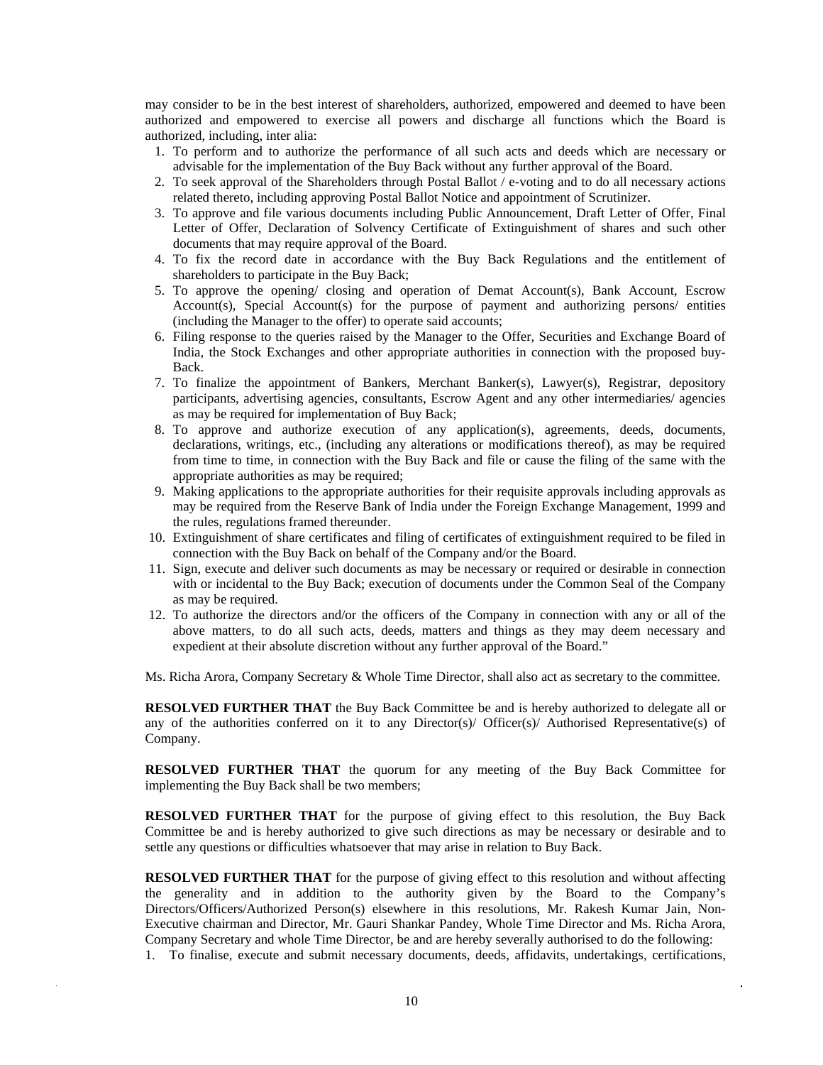may consider to be in the best interest of shareholders, authorized, empowered and deemed to have been authorized and empowered to exercise all powers and discharge all functions which the Board is authorized, including, inter alia:

- 1. To perform and to authorize the performance of all such acts and deeds which are necessary or advisable for the implementation of the Buy Back without any further approval of the Board.
- 2. To seek approval of the Shareholders through Postal Ballot / e-voting and to do all necessary actions related thereto, including approving Postal Ballot Notice and appointment of Scrutinizer.
- 3. To approve and file various documents including Public Announcement, Draft Letter of Offer, Final Letter of Offer, Declaration of Solvency Certificate of Extinguishment of shares and such other documents that may require approval of the Board.
- 4. To fix the record date in accordance with the Buy Back Regulations and the entitlement of shareholders to participate in the Buy Back;
- 5. To approve the opening/ closing and operation of Demat Account(s), Bank Account, Escrow Account(s), Special Account(s) for the purpose of payment and authorizing persons/ entities (including the Manager to the offer) to operate said accounts;
- 6. Filing response to the queries raised by the Manager to the Offer, Securities and Exchange Board of India, the Stock Exchanges and other appropriate authorities in connection with the proposed buy-Back.
- 7. To finalize the appointment of Bankers, Merchant Banker(s), Lawyer(s), Registrar, depository participants, advertising agencies, consultants, Escrow Agent and any other intermediaries/ agencies as may be required for implementation of Buy Back;
- 8. To approve and authorize execution of any application(s), agreements, deeds, documents, declarations, writings, etc., (including any alterations or modifications thereof), as may be required from time to time, in connection with the Buy Back and file or cause the filing of the same with the appropriate authorities as may be required;
- 9. Making applications to the appropriate authorities for their requisite approvals including approvals as may be required from the Reserve Bank of India under the Foreign Exchange Management, 1999 and the rules, regulations framed thereunder.
- 10. Extinguishment of share certificates and filing of certificates of extinguishment required to be filed in connection with the Buy Back on behalf of the Company and/or the Board.
- 11. Sign, execute and deliver such documents as may be necessary or required or desirable in connection with or incidental to the Buy Back; execution of documents under the Common Seal of the Company as may be required.
- 12. To authorize the directors and/or the officers of the Company in connection with any or all of the above matters, to do all such acts, deeds, matters and things as they may deem necessary and expedient at their absolute discretion without any further approval of the Board."

Ms. Richa Arora, Company Secretary & Whole Time Director, shall also act as secretary to the committee.

**RESOLVED FURTHER THAT** the Buy Back Committee be and is hereby authorized to delegate all or any of the authorities conferred on it to any Director(s)/ Officer(s)/ Authorised Representative(s) of Company.

**RESOLVED FURTHER THAT** the quorum for any meeting of the Buy Back Committee for implementing the Buy Back shall be two members;

**RESOLVED FURTHER THAT** for the purpose of giving effect to this resolution, the Buy Back Committee be and is hereby authorized to give such directions as may be necessary or desirable and to settle any questions or difficulties whatsoever that may arise in relation to Buy Back.

**RESOLVED FURTHER THAT** for the purpose of giving effect to this resolution and without affecting the generality and in addition to the authority given by the Board to the Company's Directors/Officers/Authorized Person(s) elsewhere in this resolutions, Mr. Rakesh Kumar Jain, Non-Executive chairman and Director, Mr. Gauri Shankar Pandey, Whole Time Director and Ms. Richa Arora, Company Secretary and whole Time Director, be and are hereby severally authorised to do the following:

1. To finalise, execute and submit necessary documents, deeds, affidavits, undertakings, certifications,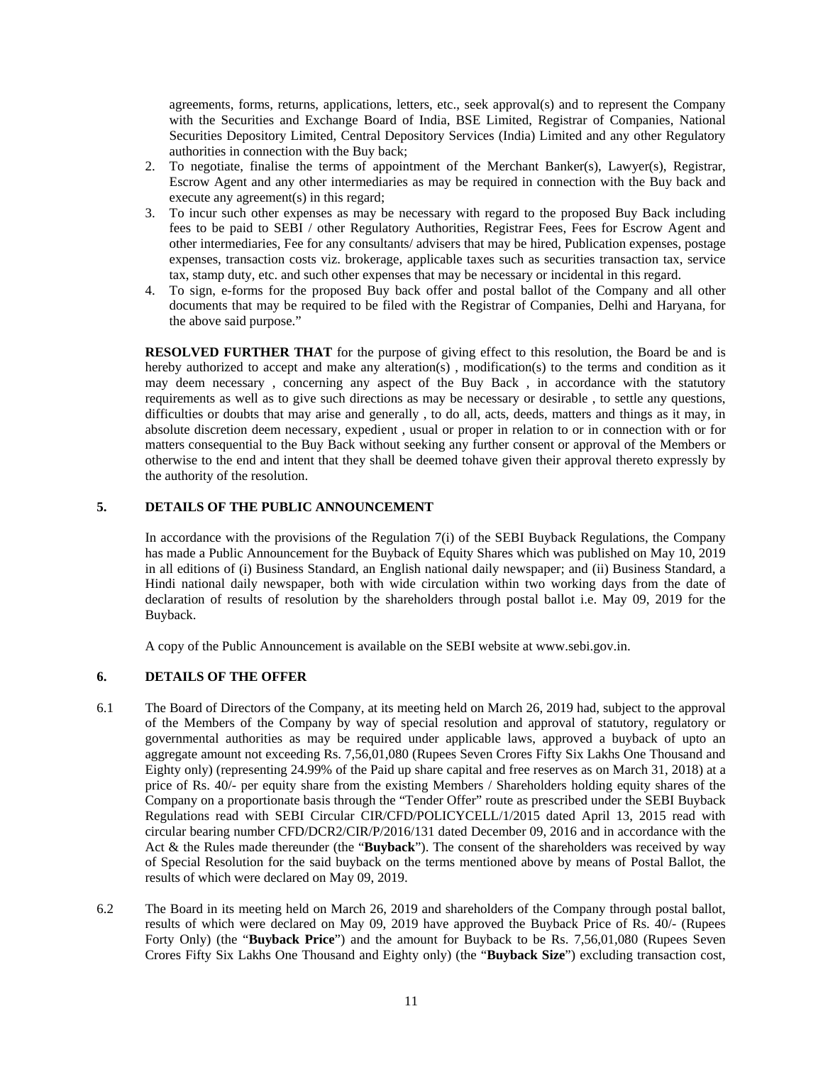agreements, forms, returns, applications, letters, etc., seek approval(s) and to represent the Company with the Securities and Exchange Board of India, BSE Limited, Registrar of Companies, National Securities Depository Limited, Central Depository Services (India) Limited and any other Regulatory authorities in connection with the Buy back;

- 2. To negotiate, finalise the terms of appointment of the Merchant Banker(s), Lawyer(s), Registrar, Escrow Agent and any other intermediaries as may be required in connection with the Buy back and execute any agreement(s) in this regard;
- 3. To incur such other expenses as may be necessary with regard to the proposed Buy Back including fees to be paid to SEBI / other Regulatory Authorities, Registrar Fees, Fees for Escrow Agent and other intermediaries, Fee for any consultants/ advisers that may be hired, Publication expenses, postage expenses, transaction costs viz. brokerage, applicable taxes such as securities transaction tax, service tax, stamp duty, etc. and such other expenses that may be necessary or incidental in this regard.
- 4. To sign, e-forms for the proposed Buy back offer and postal ballot of the Company and all other documents that may be required to be filed with the Registrar of Companies, Delhi and Haryana, for the above said purpose."

**RESOLVED FURTHER THAT** for the purpose of giving effect to this resolution, the Board be and is hereby authorized to accept and make any alteration(s), modification(s) to the terms and condition as it may deem necessary , concerning any aspect of the Buy Back , in accordance with the statutory requirements as well as to give such directions as may be necessary or desirable , to settle any questions, difficulties or doubts that may arise and generally , to do all, acts, deeds, matters and things as it may, in absolute discretion deem necessary, expedient , usual or proper in relation to or in connection with or for matters consequential to the Buy Back without seeking any further consent or approval of the Members or otherwise to the end and intent that they shall be deemed tohave given their approval thereto expressly by the authority of the resolution.

### **5. DETAILS OF THE PUBLIC ANNOUNCEMENT**

In accordance with the provisions of the Regulation 7(i) of the SEBI Buyback Regulations, the Company has made a Public Announcement for the Buyback of Equity Shares which was published on May 10, 2019 in all editions of (i) Business Standard, an English national daily newspaper; and (ii) Business Standard, a Hindi national daily newspaper, both with wide circulation within two working days from the date of declaration of results of resolution by the shareholders through postal ballot i.e. May 09, 2019 for the Buyback.

A copy of the Public Announcement is available on the SEBI website at www.sebi.gov.in.

#### **6. DETAILS OF THE OFFER**

- 6.1 The Board of Directors of the Company, at its meeting held on March 26, 2019 had, subject to the approval of the Members of the Company by way of special resolution and approval of statutory, regulatory or governmental authorities as may be required under applicable laws, approved a buyback of upto an aggregate amount not exceeding Rs. 7,56,01,080 (Rupees Seven Crores Fifty Six Lakhs One Thousand and Eighty only) (representing 24.99% of the Paid up share capital and free reserves as on March 31, 2018) at a price of Rs. 40/- per equity share from the existing Members / Shareholders holding equity shares of the Company on a proportionate basis through the "Tender Offer" route as prescribed under the SEBI Buyback Regulations read with SEBI Circular CIR/CFD/POLICYCELL/1/2015 dated April 13, 2015 read with circular bearing number CFD/DCR2/CIR/P/2016/131 dated December 09, 2016 and in accordance with the Act & the Rules made thereunder (the "**Buyback**"). The consent of the shareholders was received by way of Special Resolution for the said buyback on the terms mentioned above by means of Postal Ballot, the results of which were declared on May 09, 2019.
- 6.2 The Board in its meeting held on March 26, 2019 and shareholders of the Company through postal ballot, results of which were declared on May 09, 2019 have approved the Buyback Price of Rs. 40/- (Rupees Forty Only) (the "**Buyback Price**") and the amount for Buyback to be Rs. 7,56,01,080 (Rupees Seven Crores Fifty Six Lakhs One Thousand and Eighty only) (the "**Buyback Size**") excluding transaction cost,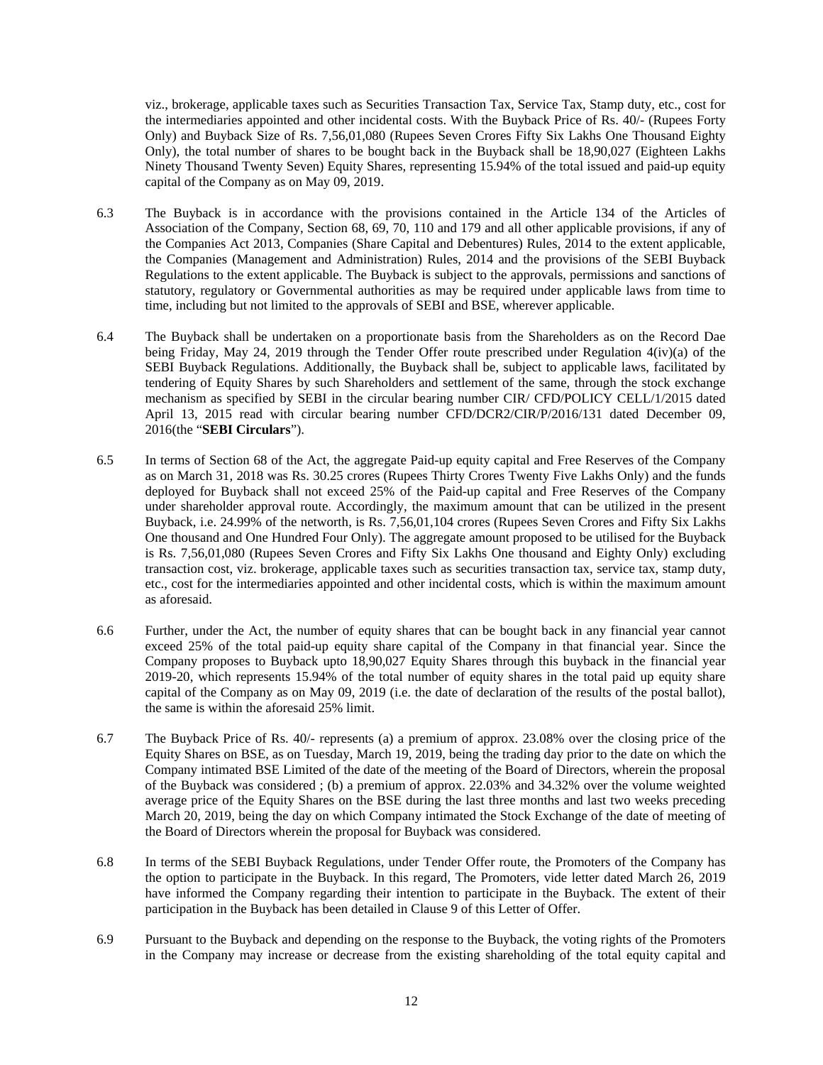viz., brokerage, applicable taxes such as Securities Transaction Tax, Service Tax, Stamp duty, etc., cost for the intermediaries appointed and other incidental costs. With the Buyback Price of Rs. 40/- (Rupees Forty Only) and Buyback Size of Rs. 7,56,01,080 (Rupees Seven Crores Fifty Six Lakhs One Thousand Eighty Only), the total number of shares to be bought back in the Buyback shall be 18,90,027 (Eighteen Lakhs Ninety Thousand Twenty Seven) Equity Shares, representing 15.94% of the total issued and paid-up equity capital of the Company as on May 09, 2019.

- 6.3 The Buyback is in accordance with the provisions contained in the Article 134 of the Articles of Association of the Company, Section 68, 69, 70, 110 and 179 and all other applicable provisions, if any of the Companies Act 2013, Companies (Share Capital and Debentures) Rules, 2014 to the extent applicable, the Companies (Management and Administration) Rules, 2014 and the provisions of the SEBI Buyback Regulations to the extent applicable. The Buyback is subject to the approvals, permissions and sanctions of statutory, regulatory or Governmental authorities as may be required under applicable laws from time to time, including but not limited to the approvals of SEBI and BSE, wherever applicable.
- 6.4 The Buyback shall be undertaken on a proportionate basis from the Shareholders as on the Record Dae being Friday, May 24, 2019 through the Tender Offer route prescribed under Regulation 4(iv)(a) of the SEBI Buyback Regulations. Additionally, the Buyback shall be, subject to applicable laws, facilitated by tendering of Equity Shares by such Shareholders and settlement of the same, through the stock exchange mechanism as specified by SEBI in the circular bearing number CIR/ CFD/POLICY CELL/1/2015 dated April 13, 2015 read with circular bearing number CFD/DCR2/CIR/P/2016/131 dated December 09, 2016(the "**SEBI Circulars**").
- 6.5 In terms of Section 68 of the Act, the aggregate Paid-up equity capital and Free Reserves of the Company as on March 31, 2018 was Rs. 30.25 crores (Rupees Thirty Crores Twenty Five Lakhs Only) and the funds deployed for Buyback shall not exceed 25% of the Paid-up capital and Free Reserves of the Company under shareholder approval route. Accordingly, the maximum amount that can be utilized in the present Buyback, i.e. 24.99% of the networth, is Rs. 7,56,01,104 crores (Rupees Seven Crores and Fifty Six Lakhs One thousand and One Hundred Four Only). The aggregate amount proposed to be utilised for the Buyback is Rs. 7,56,01,080 (Rupees Seven Crores and Fifty Six Lakhs One thousand and Eighty Only) excluding transaction cost, viz. brokerage, applicable taxes such as securities transaction tax, service tax, stamp duty, etc., cost for the intermediaries appointed and other incidental costs, which is within the maximum amount as aforesaid.
- 6.6 Further, under the Act, the number of equity shares that can be bought back in any financial year cannot exceed 25% of the total paid-up equity share capital of the Company in that financial year. Since the Company proposes to Buyback upto 18,90,027 Equity Shares through this buyback in the financial year 2019-20, which represents 15.94% of the total number of equity shares in the total paid up equity share capital of the Company as on May 09, 2019 (i.e. the date of declaration of the results of the postal ballot), the same is within the aforesaid 25% limit.
- 6.7 The Buyback Price of Rs. 40/- represents (a) a premium of approx. 23.08% over the closing price of the Equity Shares on BSE, as on Tuesday, March 19, 2019, being the trading day prior to the date on which the Company intimated BSE Limited of the date of the meeting of the Board of Directors, wherein the proposal of the Buyback was considered ; (b) a premium of approx. 22.03% and 34.32% over the volume weighted average price of the Equity Shares on the BSE during the last three months and last two weeks preceding March 20, 2019, being the day on which Company intimated the Stock Exchange of the date of meeting of the Board of Directors wherein the proposal for Buyback was considered.
- 6.8 In terms of the SEBI Buyback Regulations, under Tender Offer route, the Promoters of the Company has the option to participate in the Buyback. In this regard, The Promoters, vide letter dated March 26, 2019 have informed the Company regarding their intention to participate in the Buyback. The extent of their participation in the Buyback has been detailed in Clause 9 of this Letter of Offer.
- 6.9 Pursuant to the Buyback and depending on the response to the Buyback, the voting rights of the Promoters in the Company may increase or decrease from the existing shareholding of the total equity capital and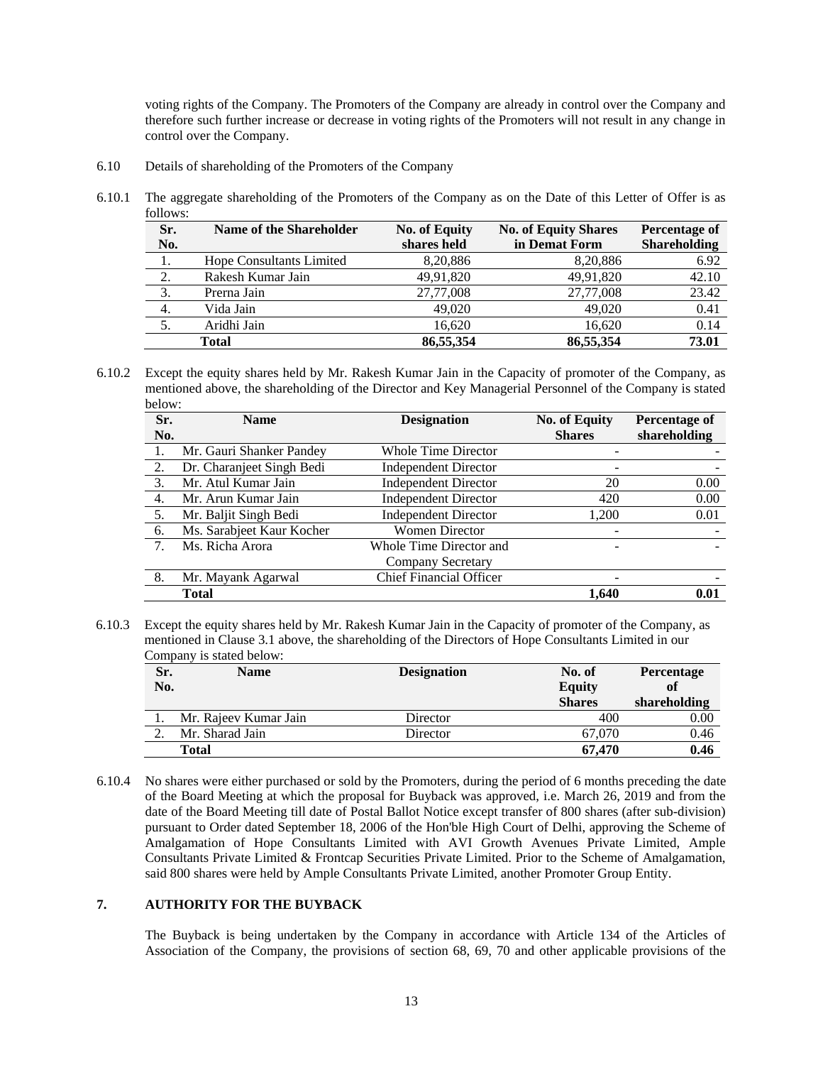voting rights of the Company. The Promoters of the Company are already in control over the Company and therefore such further increase or decrease in voting rights of the Promoters will not result in any change in control over the Company.

- 6.10 Details of shareholding of the Promoters of the Company
- 6.10.1 The aggregate shareholding of the Promoters of the Company as on the Date of this Letter of Offer is as follows:

| Sr.<br>No. | <b>Name of the Shareholder</b>  | <b>No. of Equity</b><br>shares held | <b>No. of Equity Shares</b><br>in Demat Form | <b>Percentage of</b><br><b>Shareholding</b> |
|------------|---------------------------------|-------------------------------------|----------------------------------------------|---------------------------------------------|
|            | <b>Hope Consultants Limited</b> | 8,20,886                            | 8,20,886                                     | 6.92                                        |
| 2.         | Rakesh Kumar Jain               | 49,91,820                           | 49,91,820                                    | 42.10                                       |
| 3.         | Prerna Jain                     | 27,77,008                           | 27,77,008                                    | 23.42                                       |
| 4.         | Vida Jain                       | 49,020                              | 49.020                                       | 0.41                                        |
| 5.         | Aridhi Jain                     | 16.620                              | 16.620                                       | 0.14                                        |
|            | Total                           | 86,55,354                           | 86,55,354                                    | 73.01                                       |

6.10.2 Except the equity shares held by Mr. Rakesh Kumar Jain in the Capacity of promoter of the Company, as mentioned above, the shareholding of the Director and Key Managerial Personnel of the Company is stated below:

| Sr.<br>No. | <b>Name</b>               | <b>Designation</b>             | <b>No. of Equity</b><br><b>Shares</b> | Percentage of<br>shareholding |
|------------|---------------------------|--------------------------------|---------------------------------------|-------------------------------|
|            | Mr. Gauri Shanker Pandey  | <b>Whole Time Director</b>     | $\qquad \qquad \blacksquare$          |                               |
| 2.         | Dr. Charanjeet Singh Bedi | <b>Independent Director</b>    | $\qquad \qquad \blacksquare$          |                               |
| 3.         | Mr. Atul Kumar Jain       | <b>Independent Director</b>    | 20                                    | $0.00\,$                      |
| -4.        | Mr. Arun Kumar Jain       | <b>Independent Director</b>    | 420                                   | $0.00\,$                      |
| 5.         | Mr. Baljit Singh Bedi     | <b>Independent Director</b>    | 1.200                                 | 0.01                          |
| 6.         | Ms. Sarabjeet Kaur Kocher | Women Director                 | $\overline{\phantom{a}}$              |                               |
| 7.         | Ms. Richa Arora           | Whole Time Director and        | $\overline{\phantom{a}}$              |                               |
|            |                           | Company Secretary              |                                       |                               |
| 8.         | Mr. Mayank Agarwal        | <b>Chief Financial Officer</b> | $\qquad \qquad \blacksquare$          |                               |
|            | <b>Total</b>              |                                | 1.640                                 | 0.01                          |

6.10.3 Except the equity shares held by Mr. Rakesh Kumar Jain in the Capacity of promoter of the Company, as mentioned in Clause 3.1 above, the shareholding of the Directors of Hope Consultants Limited in our Company is stated below:

| Sr. | <b>Name</b>           | <b>Designation</b> | No. of        | <b>Percentage</b> |
|-----|-----------------------|--------------------|---------------|-------------------|
| No. |                       |                    | <b>Equity</b> | of                |
|     |                       |                    | <b>Shares</b> | shareholding      |
|     | Mr. Rajeev Kumar Jain | Director           | 400           | 0.00              |
|     | Mr. Sharad Jain       | Director           | 67,070        | 0.46              |
|     | <b>Total</b>          |                    | 67,470        | 0.46              |

6.10.4 No shares were either purchased or sold by the Promoters, during the period of 6 months preceding the date of the Board Meeting at which the proposal for Buyback was approved, i.e. March 26, 2019 and from the date of the Board Meeting till date of Postal Ballot Notice except transfer of 800 shares (after sub-division) pursuant to Order dated September 18, 2006 of the Hon'ble High Court of Delhi, approving the Scheme of Amalgamation of Hope Consultants Limited with AVI Growth Avenues Private Limited, Ample Consultants Private Limited & Frontcap Securities Private Limited. Prior to the Scheme of Amalgamation, said 800 shares were held by Ample Consultants Private Limited, another Promoter Group Entity.

### **7. AUTHORITY FOR THE BUYBACK**

The Buyback is being undertaken by the Company in accordance with Article 134 of the Articles of Association of the Company, the provisions of section 68, 69, 70 and other applicable provisions of the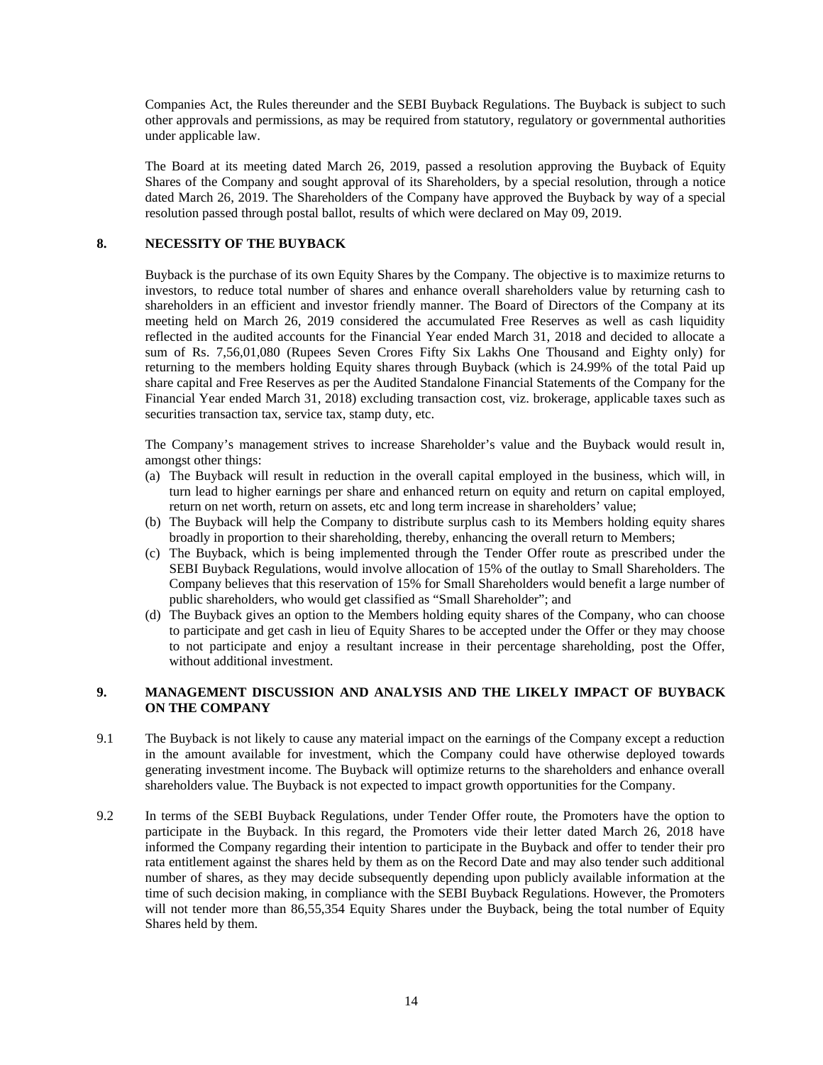Companies Act, the Rules thereunder and the SEBI Buyback Regulations. The Buyback is subject to such other approvals and permissions, as may be required from statutory, regulatory or governmental authorities under applicable law.

The Board at its meeting dated March 26, 2019, passed a resolution approving the Buyback of Equity Shares of the Company and sought approval of its Shareholders, by a special resolution, through a notice dated March 26, 2019. The Shareholders of the Company have approved the Buyback by way of a special resolution passed through postal ballot, results of which were declared on May 09, 2019.

## **8. NECESSITY OF THE BUYBACK**

Buyback is the purchase of its own Equity Shares by the Company. The objective is to maximize returns to investors, to reduce total number of shares and enhance overall shareholders value by returning cash to shareholders in an efficient and investor friendly manner. The Board of Directors of the Company at its meeting held on March 26, 2019 considered the accumulated Free Reserves as well as cash liquidity reflected in the audited accounts for the Financial Year ended March 31, 2018 and decided to allocate a sum of Rs. 7,56,01,080 (Rupees Seven Crores Fifty Six Lakhs One Thousand and Eighty only) for returning to the members holding Equity shares through Buyback (which is 24.99% of the total Paid up share capital and Free Reserves as per the Audited Standalone Financial Statements of the Company for the Financial Year ended March 31, 2018) excluding transaction cost, viz. brokerage, applicable taxes such as securities transaction tax, service tax, stamp duty, etc.

The Company's management strives to increase Shareholder's value and the Buyback would result in, amongst other things:

- (a) The Buyback will result in reduction in the overall capital employed in the business, which will, in turn lead to higher earnings per share and enhanced return on equity and return on capital employed, return on net worth, return on assets, etc and long term increase in shareholders' value;
- (b) The Buyback will help the Company to distribute surplus cash to its Members holding equity shares broadly in proportion to their shareholding, thereby, enhancing the overall return to Members;
- (c) The Buyback, which is being implemented through the Tender Offer route as prescribed under the SEBI Buyback Regulations, would involve allocation of 15% of the outlay to Small Shareholders. The Company believes that this reservation of 15% for Small Shareholders would benefit a large number of public shareholders, who would get classified as "Small Shareholder"; and
- (d) The Buyback gives an option to the Members holding equity shares of the Company, who can choose to participate and get cash in lieu of Equity Shares to be accepted under the Offer or they may choose to not participate and enjoy a resultant increase in their percentage shareholding, post the Offer, without additional investment.

### **9. MANAGEMENT DISCUSSION AND ANALYSIS AND THE LIKELY IMPACT OF BUYBACK ON THE COMPANY**

- 9.1 The Buyback is not likely to cause any material impact on the earnings of the Company except a reduction in the amount available for investment, which the Company could have otherwise deployed towards generating investment income. The Buyback will optimize returns to the shareholders and enhance overall shareholders value. The Buyback is not expected to impact growth opportunities for the Company.
- 9.2 In terms of the SEBI Buyback Regulations, under Tender Offer route, the Promoters have the option to participate in the Buyback. In this regard, the Promoters vide their letter dated March 26, 2018 have informed the Company regarding their intention to participate in the Buyback and offer to tender their pro rata entitlement against the shares held by them as on the Record Date and may also tender such additional number of shares, as they may decide subsequently depending upon publicly available information at the time of such decision making, in compliance with the SEBI Buyback Regulations. However, the Promoters will not tender more than 86,55,354 Equity Shares under the Buyback, being the total number of Equity Shares held by them.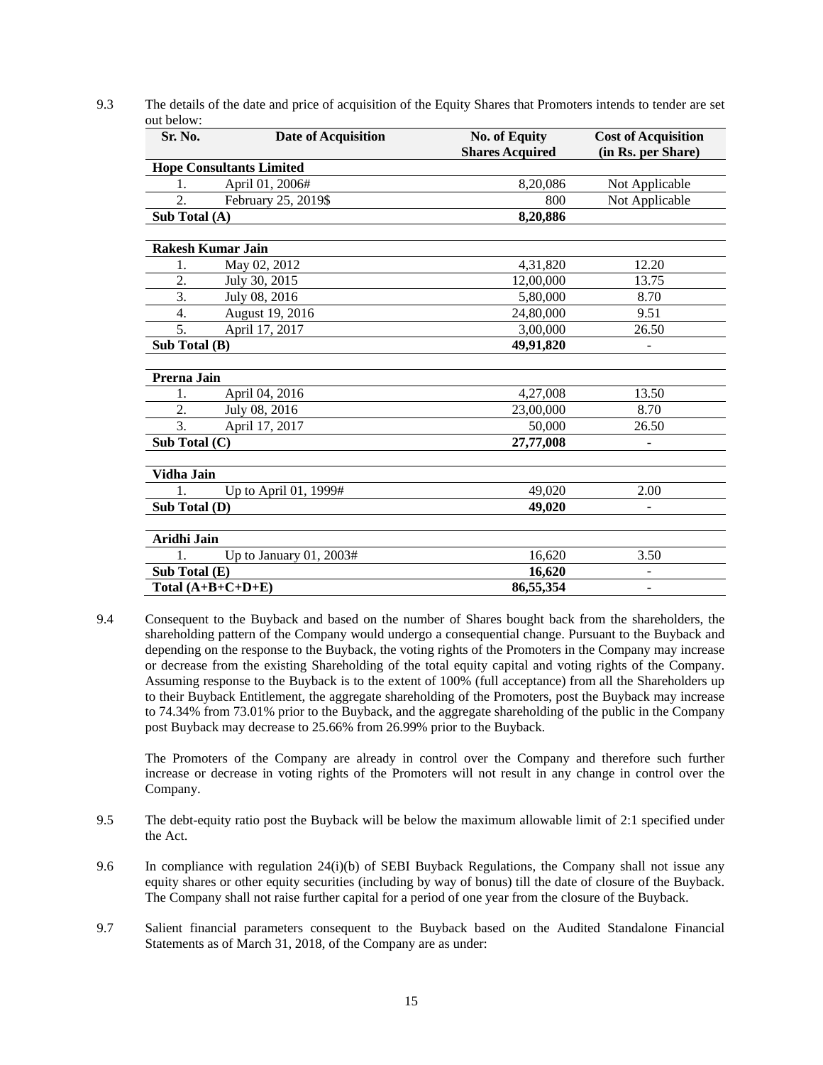| 9.3 | The details of the date and price of acquisition of the Equity Shares that Promoters intends to tender are set |
|-----|----------------------------------------------------------------------------------------------------------------|
|     | out below:                                                                                                     |

| Sr. No.                  | <b>Date of Acquisition</b>      | <b>No. of Equity</b><br><b>Shares Acquired</b> | <b>Cost of Acquisition</b><br>(in Rs. per Share) |
|--------------------------|---------------------------------|------------------------------------------------|--------------------------------------------------|
|                          | <b>Hope Consultants Limited</b> |                                                |                                                  |
| 1.                       | April 01, 2006#                 | 8,20,086                                       | Not Applicable                                   |
| 2.                       | February 25, 2019\$             | 800                                            | Not Applicable                                   |
| Sub Total (A)            |                                 | 8,20,886                                       |                                                  |
|                          |                                 |                                                |                                                  |
| <b>Rakesh Kumar Jain</b> |                                 |                                                |                                                  |
| 1.                       | May 02, 2012                    | 4,31,820                                       | 12.20                                            |
| 2.                       | July 30, 2015                   | 12,00,000                                      | 13.75                                            |
| 3.                       | July 08, 2016                   | 5.80,000                                       | 8.70                                             |
| 4.                       | August 19, 2016                 | 24,80,000                                      | 9.51                                             |
| 5.                       | April 17, 2017                  | 3,00,000                                       | 26.50                                            |
| Sub Total (B)            |                                 | 49,91,820                                      |                                                  |
|                          |                                 |                                                |                                                  |
| Prerna Jain              |                                 |                                                |                                                  |
| 1.                       | April 04, 2016                  | 4,27,008                                       | 13.50                                            |
| 2.                       | July 08, 2016                   | 23,00,000                                      | 8.70                                             |
| 3.                       | April 17, 2017                  | 50,000                                         | 26.50                                            |
| Sub Total (C)            |                                 | 27,77,008                                      | $\overline{\phantom{a}}$                         |
| Vidha Jain               |                                 |                                                |                                                  |
| 1.                       | Up to April 01, 1999#           | 49,020                                         | 2.00                                             |
| Sub Total (D)            |                                 | 49,020                                         |                                                  |
|                          |                                 |                                                |                                                  |
| Aridhi Jain              |                                 |                                                |                                                  |
| 1.                       | Up to January $01, 2003#$       | 16,620                                         | 3.50                                             |
| Sub Total (E)            |                                 | 16,620                                         |                                                  |
|                          | Total $(A+B+C+D+E)$             | 86,55,354                                      | $\overline{\phantom{a}}$                         |

9.4 Consequent to the Buyback and based on the number of Shares bought back from the shareholders, the shareholding pattern of the Company would undergo a consequential change. Pursuant to the Buyback and depending on the response to the Buyback, the voting rights of the Promoters in the Company may increase or decrease from the existing Shareholding of the total equity capital and voting rights of the Company. Assuming response to the Buyback is to the extent of 100% (full acceptance) from all the Shareholders up to their Buyback Entitlement, the aggregate shareholding of the Promoters, post the Buyback may increase to 74.34% from 73.01% prior to the Buyback, and the aggregate shareholding of the public in the Company post Buyback may decrease to 25.66% from 26.99% prior to the Buyback.

The Promoters of the Company are already in control over the Company and therefore such further increase or decrease in voting rights of the Promoters will not result in any change in control over the Company.

- 9.5 The debt-equity ratio post the Buyback will be below the maximum allowable limit of 2:1 specified under the Act.
- 9.6 In compliance with regulation 24(i)(b) of SEBI Buyback Regulations, the Company shall not issue any equity shares or other equity securities (including by way of bonus) till the date of closure of the Buyback. The Company shall not raise further capital for a period of one year from the closure of the Buyback.
- 9.7 Salient financial parameters consequent to the Buyback based on the Audited Standalone Financial Statements as of March 31, 2018, of the Company are as under: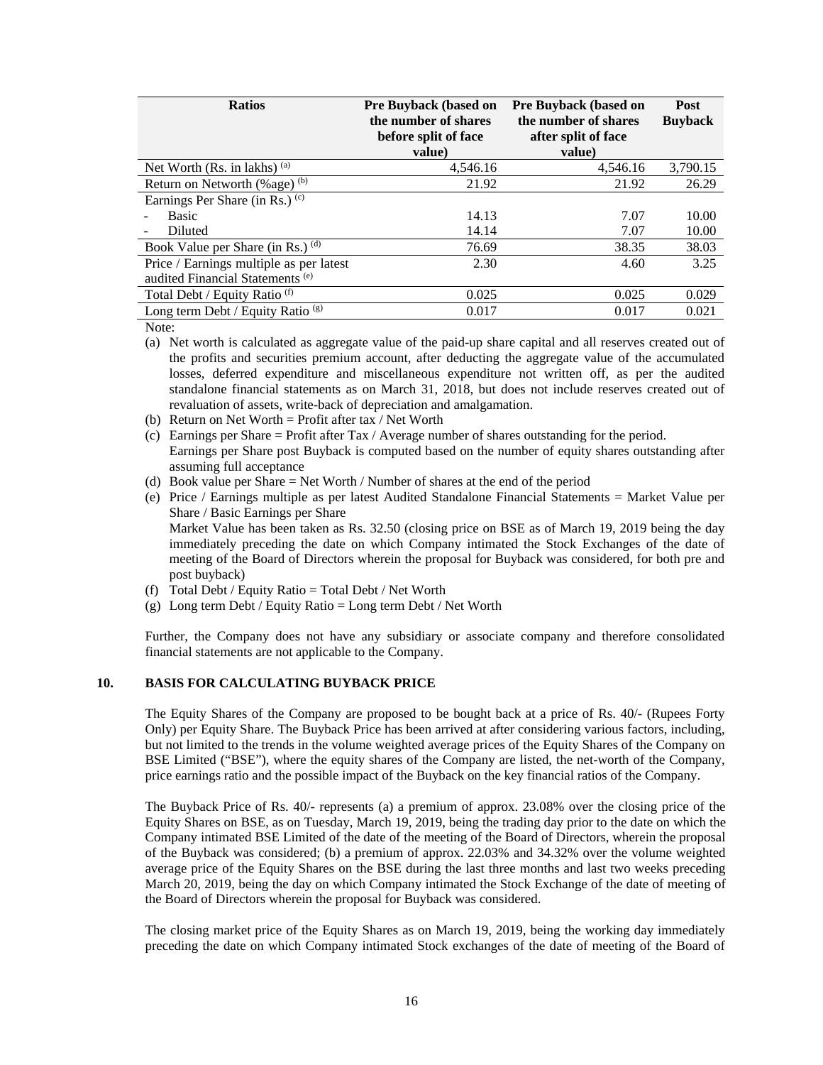| <b>Ratios</b>                                | <b>Pre Buyback (based on</b><br>the number of shares<br>before split of face<br>value) | <b>Pre Buyback (based on</b><br>the number of shares<br>after split of face<br>value) | Post<br><b>Buyback</b> |
|----------------------------------------------|----------------------------------------------------------------------------------------|---------------------------------------------------------------------------------------|------------------------|
| Net Worth (Rs. in lakhs) $(a)$               | 4.546.16                                                                               | 4,546.16                                                                              | 3,790.15               |
| Return on Networth (%age) (b)                | 21.92                                                                                  | 21.92                                                                                 | 26.29                  |
| Earnings Per Share (in Rs.) <sup>(c)</sup>   |                                                                                        |                                                                                       |                        |
| <b>Basic</b>                                 | 14.13                                                                                  | 7.07                                                                                  | 10.00                  |
| Diluted                                      | 14.14                                                                                  | 7.07                                                                                  | 10.00                  |
| Book Value per Share (in Rs.) (d)            | 76.69                                                                                  | 38.35                                                                                 | 38.03                  |
| Price / Earnings multiple as per latest      | 2.30                                                                                   | 4.60                                                                                  | 3.25                   |
| audited Financial Statements <sup>(e)</sup>  |                                                                                        |                                                                                       |                        |
| Total Debt / Equity Ratio <sup>(f)</sup>     | 0.025                                                                                  | 0.025                                                                                 | 0.029                  |
| Long term Debt / Equity Ratio <sup>(g)</sup> | 0.017                                                                                  | 0.017                                                                                 | 0.021                  |

Note:

- (a) Net worth is calculated as aggregate value of the paid-up share capital and all reserves created out of the profits and securities premium account, after deducting the aggregate value of the accumulated losses, deferred expenditure and miscellaneous expenditure not written off, as per the audited standalone financial statements as on March 31, 2018, but does not include reserves created out of revaluation of assets, write-back of depreciation and amalgamation.
- (b) Return on Net Worth = Profit after tax / Net Worth
- (c) Earnings per Share = Profit after Tax / Average number of shares outstanding for the period. Earnings per Share post Buyback is computed based on the number of equity shares outstanding after assuming full acceptance
- (d) Book value per Share = Net Worth / Number of shares at the end of the period
- (e) Price / Earnings multiple as per latest Audited Standalone Financial Statements = Market Value per Share / Basic Earnings per Share

Market Value has been taken as Rs. 32.50 (closing price on BSE as of March 19, 2019 being the day immediately preceding the date on which Company intimated the Stock Exchanges of the date of meeting of the Board of Directors wherein the proposal for Buyback was considered, for both pre and post buyback)

- (f) Total Debt / Equity Ratio = Total Debt / Net Worth
- (g) Long term Debt / Equity Ratio = Long term Debt / Net Worth

Further, the Company does not have any subsidiary or associate company and therefore consolidated financial statements are not applicable to the Company.

#### **10. BASIS FOR CALCULATING BUYBACK PRICE**

The Equity Shares of the Company are proposed to be bought back at a price of Rs. 40/- (Rupees Forty Only) per Equity Share. The Buyback Price has been arrived at after considering various factors, including, but not limited to the trends in the volume weighted average prices of the Equity Shares of the Company on BSE Limited ("BSE"), where the equity shares of the Company are listed, the net-worth of the Company, price earnings ratio and the possible impact of the Buyback on the key financial ratios of the Company.

The Buyback Price of Rs. 40/- represents (a) a premium of approx. 23.08% over the closing price of the Equity Shares on BSE, as on Tuesday, March 19, 2019, being the trading day prior to the date on which the Company intimated BSE Limited of the date of the meeting of the Board of Directors, wherein the proposal of the Buyback was considered; (b) a premium of approx. 22.03% and 34.32% over the volume weighted average price of the Equity Shares on the BSE during the last three months and last two weeks preceding March 20, 2019, being the day on which Company intimated the Stock Exchange of the date of meeting of the Board of Directors wherein the proposal for Buyback was considered.

The closing market price of the Equity Shares as on March 19, 2019, being the working day immediately preceding the date on which Company intimated Stock exchanges of the date of meeting of the Board of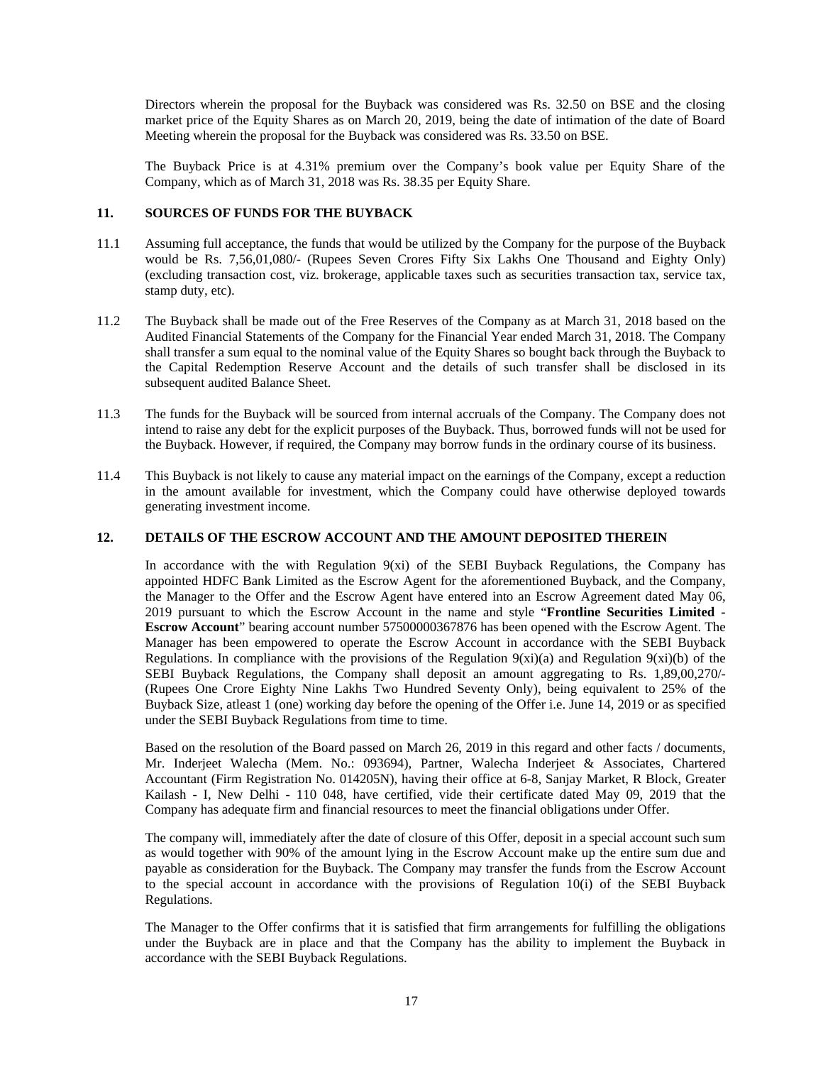Directors wherein the proposal for the Buyback was considered was Rs. 32.50 on BSE and the closing market price of the Equity Shares as on March 20, 2019, being the date of intimation of the date of Board Meeting wherein the proposal for the Buyback was considered was Rs. 33.50 on BSE.

The Buyback Price is at 4.31% premium over the Company's book value per Equity Share of the Company, which as of March 31, 2018 was Rs. 38.35 per Equity Share.

### **11. SOURCES OF FUNDS FOR THE BUYBACK**

- 11.1 Assuming full acceptance, the funds that would be utilized by the Company for the purpose of the Buyback would be Rs. 7,56,01,080/- (Rupees Seven Crores Fifty Six Lakhs One Thousand and Eighty Only) (excluding transaction cost, viz. brokerage, applicable taxes such as securities transaction tax, service tax, stamp duty, etc).
- 11.2 The Buyback shall be made out of the Free Reserves of the Company as at March 31, 2018 based on the Audited Financial Statements of the Company for the Financial Year ended March 31, 2018. The Company shall transfer a sum equal to the nominal value of the Equity Shares so bought back through the Buyback to the Capital Redemption Reserve Account and the details of such transfer shall be disclosed in its subsequent audited Balance Sheet.
- 11.3 The funds for the Buyback will be sourced from internal accruals of the Company. The Company does not intend to raise any debt for the explicit purposes of the Buyback. Thus, borrowed funds will not be used for the Buyback. However, if required, the Company may borrow funds in the ordinary course of its business.
- 11.4 This Buyback is not likely to cause any material impact on the earnings of the Company, except a reduction in the amount available for investment, which the Company could have otherwise deployed towards generating investment income.

### **12. DETAILS OF THE ESCROW ACCOUNT AND THE AMOUNT DEPOSITED THEREIN**

In accordance with the with Regulation 9(xi) of the SEBI Buyback Regulations, the Company has appointed HDFC Bank Limited as the Escrow Agent for the aforementioned Buyback, and the Company, the Manager to the Offer and the Escrow Agent have entered into an Escrow Agreement dated May 06, 2019 pursuant to which the Escrow Account in the name and style "**Frontline Securities Limited - Escrow Account**" bearing account number 57500000367876 has been opened with the Escrow Agent. The Manager has been empowered to operate the Escrow Account in accordance with the SEBI Buyback Regulations. In compliance with the provisions of the Regulation  $9(xi)(a)$  and Regulation  $9(xi)(b)$  of the SEBI Buyback Regulations, the Company shall deposit an amount aggregating to Rs. 1,89,00,270/- (Rupees One Crore Eighty Nine Lakhs Two Hundred Seventy Only), being equivalent to 25% of the Buyback Size, atleast 1 (one) working day before the opening of the Offer i.e. June 14, 2019 or as specified under the SEBI Buyback Regulations from time to time.

Based on the resolution of the Board passed on March 26, 2019 in this regard and other facts / documents, Mr. Inderjeet Walecha (Mem. No.: 093694), Partner, Walecha Inderjeet & Associates, Chartered Accountant (Firm Registration No. 014205N), having their office at 6-8, Sanjay Market, R Block, Greater Kailash - I, New Delhi - 110 048, have certified, vide their certificate dated May 09, 2019 that the Company has adequate firm and financial resources to meet the financial obligations under Offer.

The company will, immediately after the date of closure of this Offer, deposit in a special account such sum as would together with 90% of the amount lying in the Escrow Account make up the entire sum due and payable as consideration for the Buyback. The Company may transfer the funds from the Escrow Account to the special account in accordance with the provisions of Regulation 10(i) of the SEBI Buyback Regulations.

The Manager to the Offer confirms that it is satisfied that firm arrangements for fulfilling the obligations under the Buyback are in place and that the Company has the ability to implement the Buyback in accordance with the SEBI Buyback Regulations.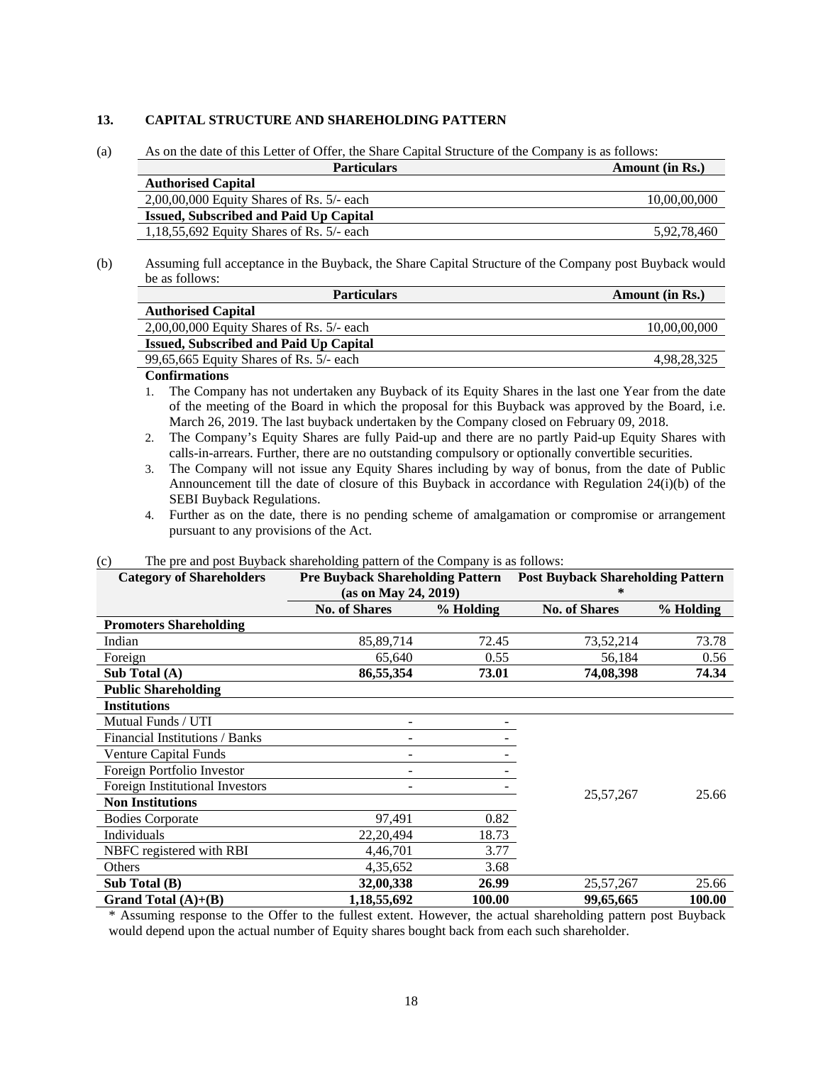#### **13. CAPITAL STRUCTURE AND SHAREHOLDING PATTERN**

(a) As on the date of this Letter of Offer, the Share Capital Structure of the Company is as follows:

| <b>Particulars</b>                            | Amount (in Rs.) |
|-----------------------------------------------|-----------------|
| <b>Authorised Capital</b>                     |                 |
| $2,00,00,000$ Equity Shares of Rs. 5/- each   | 10,00,00,000    |
| <b>Issued, Subscribed and Paid Up Capital</b> |                 |
| 1,18,55,692 Equity Shares of Rs. $5/-$ each   | 5,92,78,460     |

(b) Assuming full acceptance in the Buyback, the Share Capital Structure of the Company post Buyback would be as follows:

| <b>Particulars</b>                            | <b>Amount (in Rs.)</b> |
|-----------------------------------------------|------------------------|
| <b>Authorised Capital</b>                     |                        |
| $2,00,00,000$ Equity Shares of Rs. 5/- each   | 10,00,00,000           |
| <b>Issued, Subscribed and Paid Up Capital</b> |                        |
| 99,65,665 Equity Shares of Rs. $5/-$ each     | 4,98,28,325            |
|                                               |                        |

#### **Confirmations**

1. The Company has not undertaken any Buyback of its Equity Shares in the last one Year from the date of the meeting of the Board in which the proposal for this Buyback was approved by the Board, i.e. March 26, 2019. The last buyback undertaken by the Company closed on February 09, 2018.

- 2. The Company's Equity Shares are fully Paid-up and there are no partly Paid-up Equity Shares with calls-in-arrears. Further, there are no outstanding compulsory or optionally convertible securities.
- 3. The Company will not issue any Equity Shares including by way of bonus, from the date of Public Announcement till the date of closure of this Buyback in accordance with Regulation 24(i)(b) of the SEBI Buyback Regulations.
- 4. Further as on the date, there is no pending scheme of amalgamation or compromise or arrangement pursuant to any provisions of the Act.

| <b>Category of Shareholders</b> |                      |           | <b>Pre Buyback Shareholding Pattern</b> Post Buyback Shareholding Pattern |           |  |  |
|---------------------------------|----------------------|-----------|---------------------------------------------------------------------------|-----------|--|--|
|                                 | (as on May 24, 2019) |           | $\ast$                                                                    |           |  |  |
|                                 | <b>No. of Shares</b> | % Holding |                                                                           | % Holding |  |  |
| <b>Promoters Shareholding</b>   |                      |           |                                                                           |           |  |  |
| Indian                          | 85,89,714            | 72.45     | 73,52,214                                                                 | 73.78     |  |  |
| Foreign                         | 65,640               | 0.55      | 56,184                                                                    | 0.56      |  |  |
| Sub Total $(A)$                 | 86,55,354            | 73.01     | 74,08,398                                                                 | 74.34     |  |  |
| <b>Public Shareholding</b>      |                      |           |                                                                           |           |  |  |
| <b>Institutions</b>             |                      |           |                                                                           |           |  |  |
| Mutual Funds / UTI              |                      |           |                                                                           |           |  |  |
| Financial Institutions / Banks  |                      |           |                                                                           |           |  |  |
| <b>Venture Capital Funds</b>    |                      |           |                                                                           |           |  |  |
| Foreign Portfolio Investor      |                      |           |                                                                           |           |  |  |
| Foreign Institutional Investors |                      |           |                                                                           |           |  |  |
| <b>Non Institutions</b>         |                      |           | 25,57,267                                                                 | 25.66     |  |  |
| <b>Bodies Corporate</b>         | 97,491               | 0.82      |                                                                           |           |  |  |
| Individuals                     | 22,20,494            | 18.73     |                                                                           |           |  |  |
| NBFC registered with RBI        | 4,46,701             | 3.77      |                                                                           |           |  |  |
| <b>Others</b>                   | 4,35,652             | 3.68      |                                                                           |           |  |  |
| Sub Total (B)                   | 32,00,338            | 26.99     | 25,57,267                                                                 | 25.66     |  |  |
| Grand Total $(A)+(B)$           | 1,18,55,692          | 100.00    | 99,65,665                                                                 | 100.00    |  |  |

#### (c) The pre and post Buyback shareholding pattern of the Company is as follows:

\* Assuming response to the Offer to the fullest extent. However, the actual shareholding pattern post Buyback would depend upon the actual number of Equity shares bought back from each such shareholder.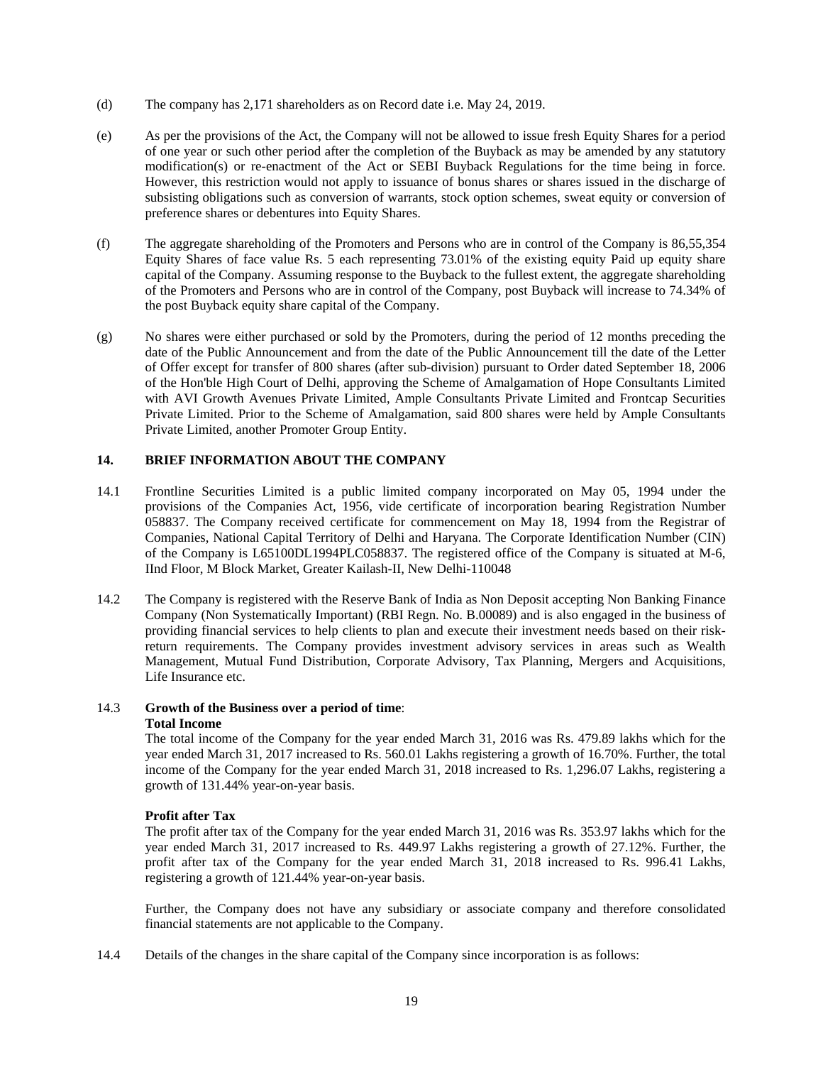- (d) The company has 2,171 shareholders as on Record date i.e. May 24, 2019.
- (e) As per the provisions of the Act, the Company will not be allowed to issue fresh Equity Shares for a period of one year or such other period after the completion of the Buyback as may be amended by any statutory modification(s) or re-enactment of the Act or SEBI Buyback Regulations for the time being in force. However, this restriction would not apply to issuance of bonus shares or shares issued in the discharge of subsisting obligations such as conversion of warrants, stock option schemes, sweat equity or conversion of preference shares or debentures into Equity Shares.
- (f) The aggregate shareholding of the Promoters and Persons who are in control of the Company is 86,55,354 Equity Shares of face value Rs. 5 each representing 73.01% of the existing equity Paid up equity share capital of the Company. Assuming response to the Buyback to the fullest extent, the aggregate shareholding of the Promoters and Persons who are in control of the Company, post Buyback will increase to 74.34% of the post Buyback equity share capital of the Company.
- (g) No shares were either purchased or sold by the Promoters, during the period of 12 months preceding the date of the Public Announcement and from the date of the Public Announcement till the date of the Letter of Offer except for transfer of 800 shares (after sub-division) pursuant to Order dated September 18, 2006 of the Hon'ble High Court of Delhi, approving the Scheme of Amalgamation of Hope Consultants Limited with AVI Growth Avenues Private Limited, Ample Consultants Private Limited and Frontcap Securities Private Limited. Prior to the Scheme of Amalgamation, said 800 shares were held by Ample Consultants Private Limited, another Promoter Group Entity.

### **14. BRIEF INFORMATION ABOUT THE COMPANY**

- 14.1 Frontline Securities Limited is a public limited company incorporated on May 05, 1994 under the provisions of the Companies Act, 1956, vide certificate of incorporation bearing Registration Number 058837. The Company received certificate for commencement on May 18, 1994 from the Registrar of Companies, National Capital Territory of Delhi and Haryana. The Corporate Identification Number (CIN) of the Company is L65100DL1994PLC058837. The registered office of the Company is situated at M-6, IInd Floor, M Block Market, Greater Kailash-II, New Delhi-110048
- 14.2 The Company is registered with the Reserve Bank of India as Non Deposit accepting Non Banking Finance Company (Non Systematically Important) (RBI Regn. No. B.00089) and is also engaged in the business of providing financial services to help clients to plan and execute their investment needs based on their riskreturn requirements. The Company provides investment advisory services in areas such as Wealth Management, Mutual Fund Distribution, Corporate Advisory, Tax Planning, Mergers and Acquisitions, Life Insurance etc.

### 14.3 **Growth of the Business over a period of time**:

### **Total Income**

The total income of the Company for the year ended March 31, 2016 was Rs. 479.89 lakhs which for the year ended March 31, 2017 increased to Rs. 560.01 Lakhs registering a growth of 16.70%. Further, the total income of the Company for the year ended March 31, 2018 increased to Rs. 1,296.07 Lakhs, registering a growth of 131.44% year-on-year basis.

#### **Profit after Tax**

The profit after tax of the Company for the year ended March 31, 2016 was Rs. 353.97 lakhs which for the year ended March 31, 2017 increased to Rs. 449.97 Lakhs registering a growth of 27.12%. Further, the profit after tax of the Company for the year ended March 31, 2018 increased to Rs. 996.41 Lakhs, registering a growth of 121.44% year-on-year basis.

Further, the Company does not have any subsidiary or associate company and therefore consolidated financial statements are not applicable to the Company.

14.4 Details of the changes in the share capital of the Company since incorporation is as follows: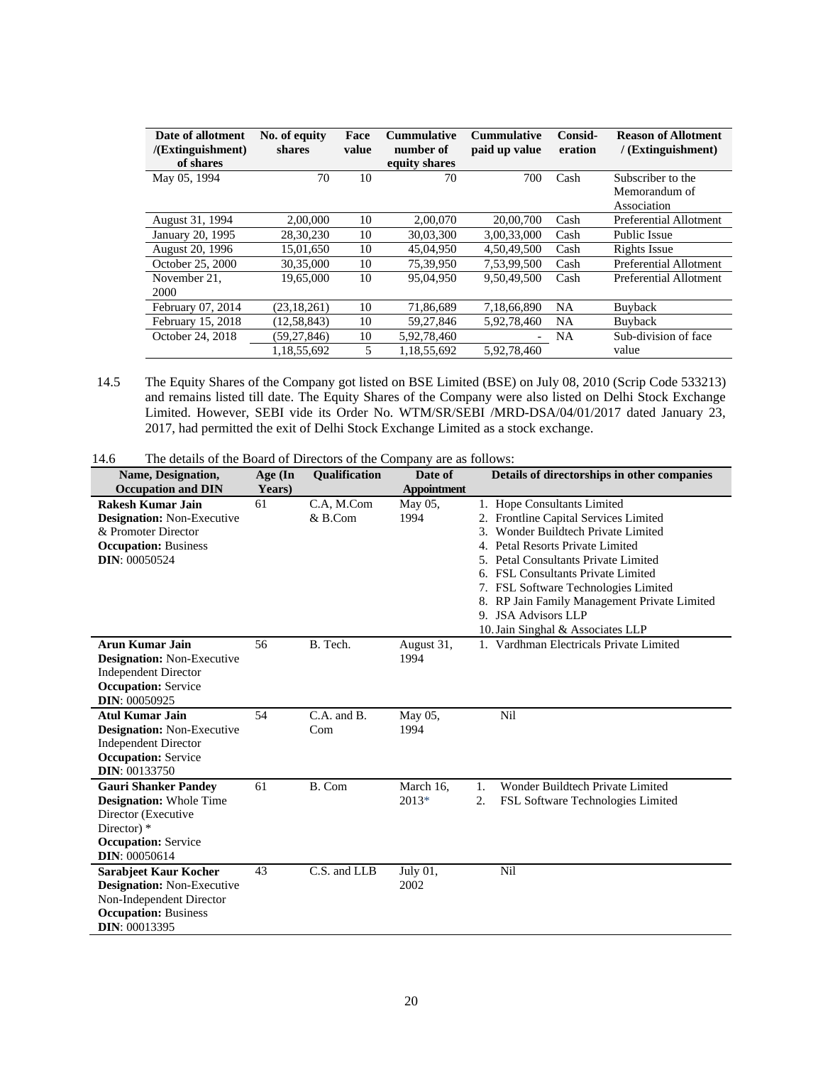| Date of allotment<br>/(Extinguishment)<br>of shares | No. of equity<br>shares | Face<br>value | <b>Cummulative</b><br>number of<br>equity shares | <b>Cummulative</b><br>paid up value | Consid-<br>eration | <b>Reason of Allotment</b><br>/ (Extinguishment) |
|-----------------------------------------------------|-------------------------|---------------|--------------------------------------------------|-------------------------------------|--------------------|--------------------------------------------------|
| May 05, 1994                                        | 70                      | 10            | 70                                               | 700                                 | Cash               | Subscriber to the                                |
|                                                     |                         |               |                                                  |                                     |                    | Memorandum of                                    |
|                                                     |                         |               |                                                  |                                     |                    | Association                                      |
| August 31, 1994                                     | 2,00,000                | 10            | 2,00,070                                         | 20,00,700                           | Cash               | Preferential Allotment                           |
| January 20, 1995                                    | 28,30,230               | 10            | 30,03,300                                        | 3,00,33,000                         | Cash               | Public Issue                                     |
| August 20, 1996                                     | 15,01,650               | 10            | 45,04,950                                        | 4,50,49,500                         | Cash               | Rights Issue                                     |
| October 25, 2000                                    | 30,35,000               | 10            | 75,39,950                                        | 7,53,99,500                         | Cash               | Preferential Allotment                           |
| November 21.                                        | 19,65,000               | 10            | 95,04,950                                        | 9,50,49,500                         | Cash               | Preferential Allotment                           |
| 2000                                                |                         |               |                                                  |                                     |                    |                                                  |
| February 07, 2014                                   | (23, 18, 261)           | 10            | 71,86,689                                        | 7,18,66,890                         | <b>NA</b>          | <b>Buyback</b>                                   |
| February 15, 2018                                   | (12, 58, 843)           | 10            | 59,27,846                                        | 5,92,78,460                         | <b>NA</b>          | <b>Buyback</b>                                   |
| October 24, 2018                                    | (59, 27, 846)           | 10            | 5,92,78,460                                      |                                     | <b>NA</b>          | Sub-division of face                             |
|                                                     | 1,18,55,692             | 5             | 1,18,55,692                                      | 5.92.78.460                         |                    | value                                            |

14.5 The Equity Shares of the Company got listed on BSE Limited (BSE) on July 08, 2010 (Scrip Code 533213) and remains listed till date. The Equity Shares of the Company were also listed on Delhi Stock Exchange Limited. However, SEBI vide its Order No. WTM/SR/SEBI /MRD-DSA/04/01/2017 dated January 23, 2017, had permitted the exit of Delhi Stock Exchange Limited as a stock exchange.

<sup>14.6</sup> The details of the Board of Directors of the Company are as follows:

| Name, Designation,<br><b>Occupation and DIN</b>                                                                                                            | Age (In<br>Years) | Qualification           | Date of<br><b>Appointment</b> | Details of directorships in other companies                                                                                                                                                                                                                                                                                                                                                     |  |
|------------------------------------------------------------------------------------------------------------------------------------------------------------|-------------------|-------------------------|-------------------------------|-------------------------------------------------------------------------------------------------------------------------------------------------------------------------------------------------------------------------------------------------------------------------------------------------------------------------------------------------------------------------------------------------|--|
| <b>Rakesh Kumar Jain</b><br><b>Designation:</b> Non-Executive<br>& Promoter Director<br><b>Occupation: Business</b><br><b>DIN: 00050524</b>                | 61                | C.A, M.Com<br>$&$ B.Com | May 05,<br>1994               | 1. Hope Consultants Limited<br>2. Frontline Capital Services Limited<br>Wonder Buildtech Private Limited<br>$\mathcal{E}$<br>4. Petal Resorts Private Limited<br>5. Petal Consultants Private Limited<br>6. FSL Consultants Private Limited<br>7. FSL Software Technologies Limited<br>8. RP Jain Family Management Private Limited<br>9. JSA Advisors LLP<br>10. Jain Singhal & Associates LLP |  |
| <b>Arun Kumar Jain</b><br><b>Designation:</b> Non-Executive<br><b>Independent Director</b><br><b>Occupation:</b> Service<br><b>DIN: 00050925</b>           | 56                | B. Tech.                | August 31,<br>1994            | 1. Vardhman Electricals Private Limited                                                                                                                                                                                                                                                                                                                                                         |  |
| <b>Atul Kumar Jain</b><br><b>Designation:</b> Non-Executive<br><b>Independent Director</b><br><b>Occupation:</b> Service<br><b>DIN</b> : 00133750          | 54                | C.A. and B.<br>Com      | May 05,<br>1994               | Nil                                                                                                                                                                                                                                                                                                                                                                                             |  |
| <b>Gauri Shanker Pandev</b><br><b>Designation:</b> Whole Time<br>Director (Executive<br>Director) *<br><b>Occupation:</b> Service<br><b>DIN</b> : 00050614 | 61                | B. Com                  | March 16.<br>$2013*$          | Wonder Buildtech Private Limited<br>1.<br>2.<br>FSL Software Technologies Limited                                                                                                                                                                                                                                                                                                               |  |
| <b>Sarabjeet Kaur Kocher</b><br><b>Designation:</b> Non-Executive<br>Non-Independent Director<br><b>Occupation: Business</b><br><b>DIN</b> : 00013395      | 43                | C.S. and LLB            | July $01$ ,<br>2002           | Nil                                                                                                                                                                                                                                                                                                                                                                                             |  |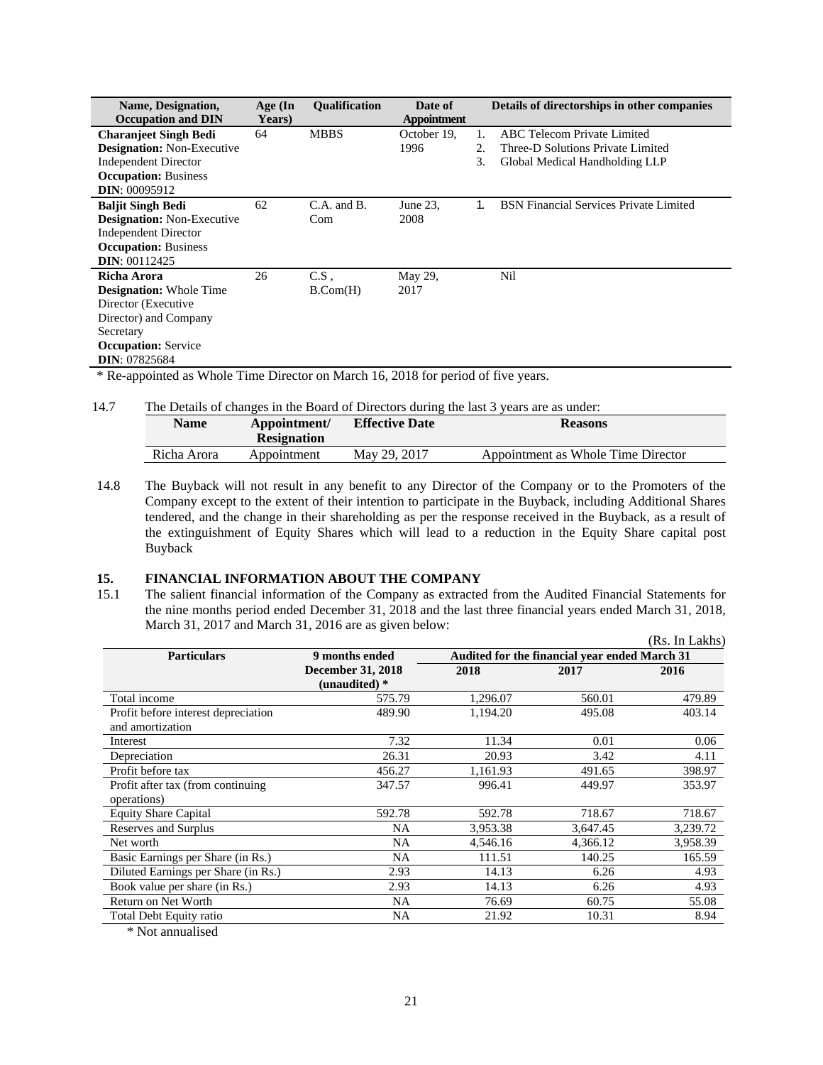| Name, Designation,<br><b>Occupation and DIN</b>                                                                                                                              | Age (In<br>Years) | <b>Oualification</b>      | Date of<br><b>Appointment</b> |                | Details of directorships in other companies                                                        |
|------------------------------------------------------------------------------------------------------------------------------------------------------------------------------|-------------------|---------------------------|-------------------------------|----------------|----------------------------------------------------------------------------------------------------|
| <b>Charanieet Singh Bedi</b><br><b>Designation:</b> Non-Executive<br><b>Independent Director</b><br><b>Occupation: Business</b>                                              | 64                | <b>MBBS</b>               | October 19.<br>1996           | 1.<br>2.<br>3. | ABC Telecom Private Limited<br>Three-D Solutions Private Limited<br>Global Medical Handholding LLP |
| <b>DIN: 00095912</b><br><b>Baljit Singh Bedi</b><br><b>Designation:</b> Non-Executive<br><b>Independent Director</b><br><b>Occupation:</b> Business<br><b>DIN</b> : 00112425 | 62                | C.A. and B.<br>Com        | June 23.<br>2008              | 1.             | <b>BSN</b> Financial Services Private Limited                                                      |
| Richa Arora<br><b>Designation:</b> Whole Time<br>Director (Executive<br>Director) and Company<br>Secretary<br><b>Occupation:</b> Service<br><b>DIN</b> : 07825684            | 26                | C.S.<br>$B_{\cdot}Com(H)$ | May 29,<br>2017               |                | Nil                                                                                                |

\* Re-appointed as Whole Time Director on March 16, 2018 for period of five years.

# 14.7 The Details of changes in the Board of Directors during the last 3 years are as under:

| <b>Name</b> | Appointment/<br><b>Resignation</b> | <b>Effective Date</b> | <b>Reasons</b>                     |
|-------------|------------------------------------|-----------------------|------------------------------------|
| Richa Arora | Appointment                        | May 29, 2017          | Appointment as Whole Time Director |

14.8 The Buyback will not result in any benefit to any Director of the Company or to the Promoters of the Company except to the extent of their intention to participate in the Buyback, including Additional Shares tendered, and the change in their shareholding as per the response received in the Buyback, as a result of the extinguishment of Equity Shares which will lead to a reduction in the Equity Share capital post Buyback

#### **15. FINANCIAL INFORMATION ABOUT THE COMPANY**

15.1 The salient financial information of the Company as extracted from the Audited Financial Statements for the nine months period ended December 31, 2018 and the last three financial years ended March 31, 2018, March 31, 2017 and March 31, 2016 are as given below:

|                                     |                                           |                                               |          | (Rs. In Lakhs) |
|-------------------------------------|-------------------------------------------|-----------------------------------------------|----------|----------------|
| <b>Particulars</b>                  | 9 months ended                            | Audited for the financial vear ended March 31 |          |                |
|                                     | <b>December 31, 2018</b><br>(unaudited) * | 2018                                          | 2017     | 2016           |
| Total income                        | 575.79                                    | 1,296.07                                      | 560.01   | 479.89         |
| Profit before interest depreciation | 489.90                                    | 1,194.20                                      | 495.08   | 403.14         |
| and amortization                    |                                           |                                               |          |                |
| Interest                            | 7.32                                      | 11.34                                         | 0.01     | 0.06           |
| Depreciation                        | 26.31                                     | 20.93                                         | 3.42     | 4.11           |
| Profit before tax                   | 456.27                                    | 1,161.93                                      | 491.65   | 398.97         |
| Profit after tax (from continuing)  | 347.57                                    | 996.41                                        | 449.97   | 353.97         |
| operations)                         |                                           |                                               |          |                |
| <b>Equity Share Capital</b>         | 592.78                                    | 592.78                                        | 718.67   | 718.67         |
| Reserves and Surplus                | NA                                        | 3,953.38                                      | 3,647.45 | 3,239.72       |
| Net worth                           | NA                                        | 4,546.16                                      | 4,366.12 | 3,958.39       |
| Basic Earnings per Share (in Rs.)   | NA                                        | 111.51                                        | 140.25   | 165.59         |
| Diluted Earnings per Share (in Rs.) | 2.93                                      | 14.13                                         | 6.26     | 4.93           |
| Book value per share (in Rs.)       | 2.93                                      | 14.13                                         | 6.26     | 4.93           |
| Return on Net Worth                 | NA                                        | 76.69                                         | 60.75    | 55.08          |
| Total Debt Equity ratio             | NA                                        | 21.92                                         | 10.31    | 8.94           |
|                                     |                                           |                                               |          |                |

\* Not annualised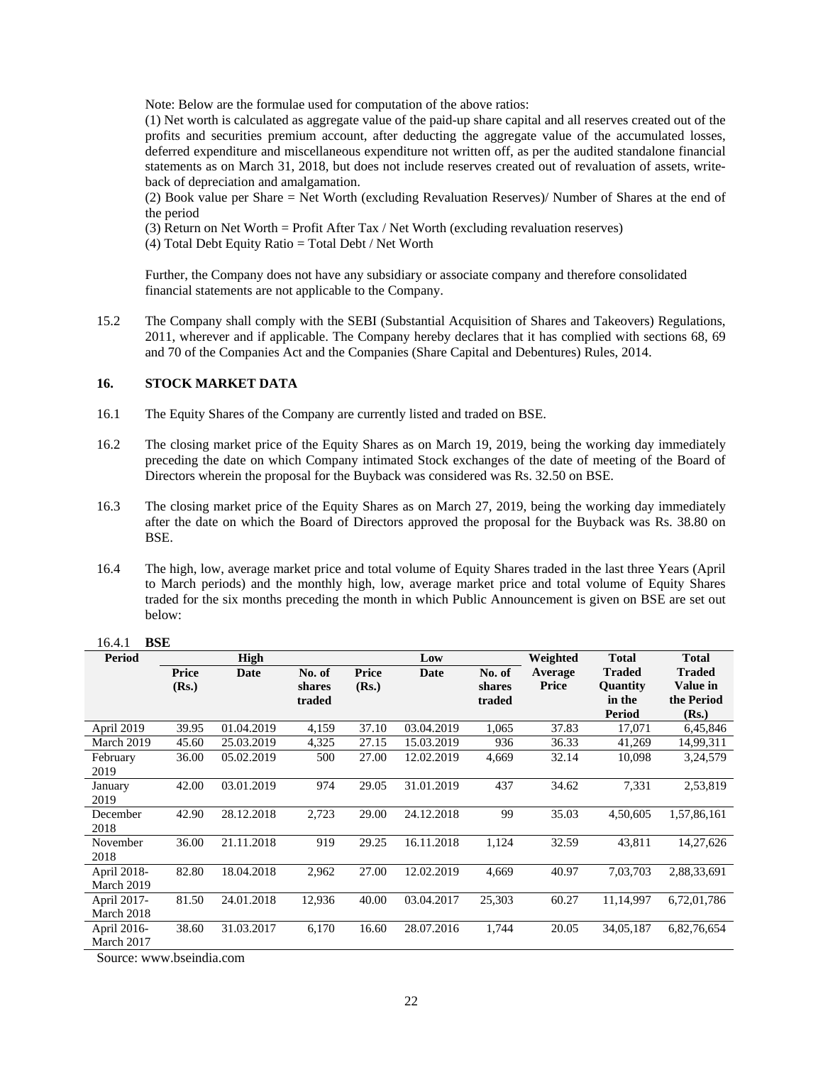Note: Below are the formulae used for computation of the above ratios:

(1) Net worth is calculated as aggregate value of the paid-up share capital and all reserves created out of the profits and securities premium account, after deducting the aggregate value of the accumulated losses, deferred expenditure and miscellaneous expenditure not written off, as per the audited standalone financial statements as on March 31, 2018, but does not include reserves created out of revaluation of assets, writeback of depreciation and amalgamation.

(2) Book value per Share = Net Worth (excluding Revaluation Reserves)/ Number of Shares at the end of the period

(3) Return on Net Worth = Profit After Tax / Net Worth (excluding revaluation reserves)

(4) Total Debt Equity Ratio = Total Debt / Net Worth

Further, the Company does not have any subsidiary or associate company and therefore consolidated financial statements are not applicable to the Company.

15.2 The Company shall comply with the SEBI (Substantial Acquisition of Shares and Takeovers) Regulations, 2011, wherever and if applicable. The Company hereby declares that it has complied with sections 68, 69 and 70 of the Companies Act and the Companies (Share Capital and Debentures) Rules, 2014.

### **16. STOCK MARKET DATA**

- 16.1 The Equity Shares of the Company are currently listed and traded on BSE.
- 16.2 The closing market price of the Equity Shares as on March 19, 2019, being the working day immediately preceding the date on which Company intimated Stock exchanges of the date of meeting of the Board of Directors wherein the proposal for the Buyback was considered was Rs. 32.50 on BSE.
- 16.3 The closing market price of the Equity Shares as on March 27, 2019, being the working day immediately after the date on which the Board of Directors approved the proposal for the Buyback was Rs. 38.80 on BSE.
- 16.4 The high, low, average market price and total volume of Equity Shares traded in the last three Years (April to March periods) and the monthly high, low, average market price and total volume of Equity Shares traded for the six months preceding the month in which Public Announcement is given on BSE are set out below:

| <b>Period</b> |       | High       |        |       | Low        |        | Weighted     | <b>Total</b>    | <b>Total</b>  |
|---------------|-------|------------|--------|-------|------------|--------|--------------|-----------------|---------------|
|               | Price | Date       | No. of | Price | Date       | No. of | Average      | <b>Traded</b>   | <b>Traded</b> |
|               | (Rs.) |            | shares | (Rs.) |            | shares | <b>Price</b> | <b>Ouantity</b> | Value in      |
|               |       |            | traded |       |            | traded |              | in the          | the Period    |
|               |       |            |        |       |            |        |              | <b>Period</b>   | (Rs.)         |
| April 2019    | 39.95 | 01.04.2019 | 4,159  | 37.10 | 03.04.2019 | 1,065  | 37.83        | 17,071          | 6,45,846      |
| March 2019    | 45.60 | 25.03.2019 | 4,325  | 27.15 | 15.03.2019 | 936    | 36.33        | 41,269          | 14,99,311     |
| February      | 36.00 | 05.02.2019 | 500    | 27.00 | 12.02.2019 | 4,669  | 32.14        | 10,098          | 3,24,579      |
| 2019          |       |            |        |       |            |        |              |                 |               |
| January       | 42.00 | 03.01.2019 | 974    | 29.05 | 31.01.2019 | 437    | 34.62        | 7,331           | 2,53,819      |
| 2019          |       |            |        |       |            |        |              |                 |               |
| December      | 42.90 | 28.12.2018 | 2,723  | 29.00 | 24.12.2018 | 99     | 35.03        | 4,50,605        | 1,57,86,161   |
| 2018          |       |            |        |       |            |        |              |                 |               |
| November      | 36.00 | 21.11.2018 | 919    | 29.25 | 16.11.2018 | 1,124  | 32.59        | 43,811          | 14,27,626     |
| 2018          |       |            |        |       |            |        |              |                 |               |
| April 2018-   | 82.80 | 18.04.2018 | 2,962  | 27.00 | 12.02.2019 | 4,669  | 40.97        | 7,03,703        | 2,88,33,691   |
| March 2019    |       |            |        |       |            |        |              |                 |               |
| April 2017-   | 81.50 | 24.01.2018 | 12,936 | 40.00 | 03.04.2017 | 25,303 | 60.27        | 11,14,997       | 6,72,01,786   |
| March 2018    |       |            |        |       |            |        |              |                 |               |
| April 2016-   | 38.60 | 31.03.2017 | 6,170  | 16.60 | 28.07.2016 | 1,744  | 20.05        | 34,05,187       | 6,82,76,654   |
| March 2017    |       |            |        |       |            |        |              |                 |               |

### 16.4.1 **BSE**

Source: www.bseindia.com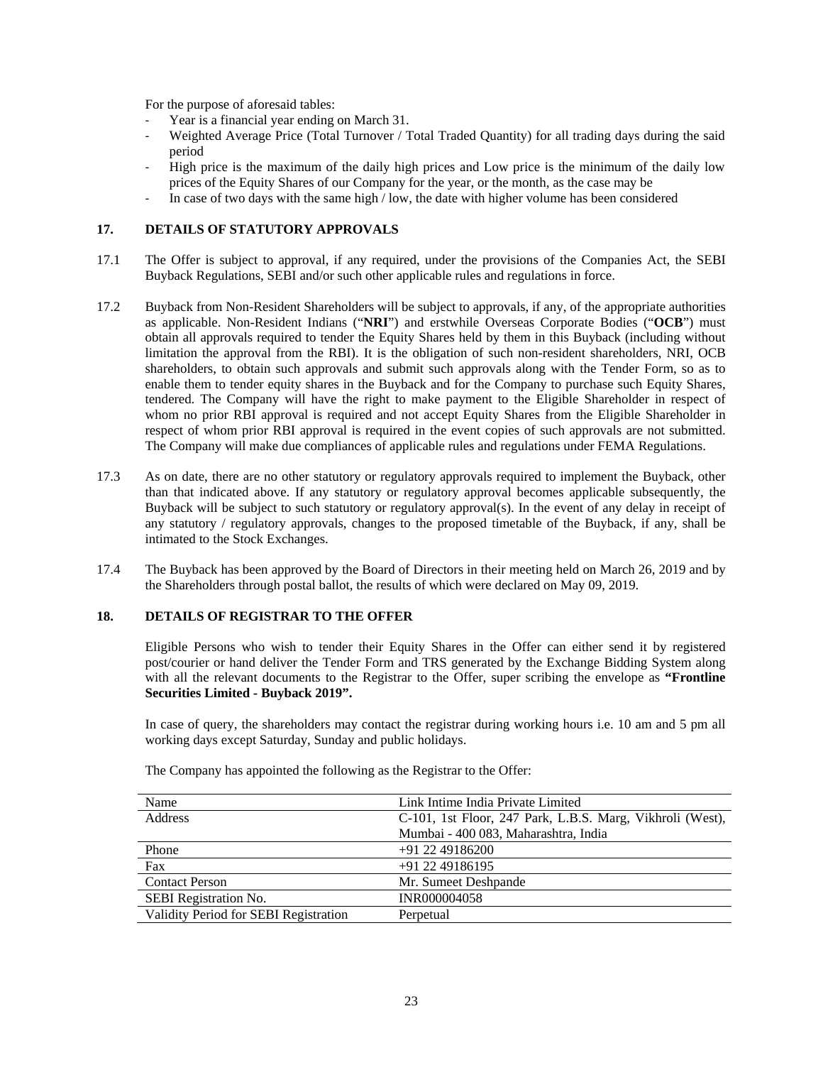For the purpose of aforesaid tables:

- Year is a financial year ending on March 31.
- Weighted Average Price (Total Turnover / Total Traded Quantity) for all trading days during the said period
- High price is the maximum of the daily high prices and Low price is the minimum of the daily low prices of the Equity Shares of our Company for the year, or the month, as the case may be
- In case of two days with the same high / low, the date with higher volume has been considered

### **17. DETAILS OF STATUTORY APPROVALS**

- 17.1 The Offer is subject to approval, if any required, under the provisions of the Companies Act, the SEBI Buyback Regulations, SEBI and/or such other applicable rules and regulations in force.
- 17.2 Buyback from Non-Resident Shareholders will be subject to approvals, if any, of the appropriate authorities as applicable. Non-Resident Indians ("**NRI**") and erstwhile Overseas Corporate Bodies ("**OCB**") must obtain all approvals required to tender the Equity Shares held by them in this Buyback (including without limitation the approval from the RBI). It is the obligation of such non-resident shareholders, NRI, OCB shareholders, to obtain such approvals and submit such approvals along with the Tender Form, so as to enable them to tender equity shares in the Buyback and for the Company to purchase such Equity Shares, tendered. The Company will have the right to make payment to the Eligible Shareholder in respect of whom no prior RBI approval is required and not accept Equity Shares from the Eligible Shareholder in respect of whom prior RBI approval is required in the event copies of such approvals are not submitted. The Company will make due compliances of applicable rules and regulations under FEMA Regulations.
- 17.3 As on date, there are no other statutory or regulatory approvals required to implement the Buyback, other than that indicated above. If any statutory or regulatory approval becomes applicable subsequently, the Buyback will be subject to such statutory or regulatory approval(s). In the event of any delay in receipt of any statutory / regulatory approvals, changes to the proposed timetable of the Buyback, if any, shall be intimated to the Stock Exchanges.
- 17.4 The Buyback has been approved by the Board of Directors in their meeting held on March 26, 2019 and by the Shareholders through postal ballot, the results of which were declared on May 09, 2019.

### **18. DETAILS OF REGISTRAR TO THE OFFER**

Eligible Persons who wish to tender their Equity Shares in the Offer can either send it by registered post/courier or hand deliver the Tender Form and TRS generated by the Exchange Bidding System along with all the relevant documents to the Registrar to the Offer, super scribing the envelope as **"Frontline Securities Limited - Buyback 2019".** 

In case of query, the shareholders may contact the registrar during working hours i.e. 10 am and 5 pm all working days except Saturday, Sunday and public holidays.

| Name                                  | Link Intime India Private Limited                         |
|---------------------------------------|-----------------------------------------------------------|
| <b>Address</b>                        | C-101, 1st Floor, 247 Park, L.B.S. Marg, Vikhroli (West), |
|                                       | Mumbai - 400 083, Maharashtra, India                      |
| Phone                                 | $+91$ 22 49186200                                         |
| Fax                                   | $+91$ 22 49186195                                         |
| <b>Contact Person</b>                 | Mr. Sumeet Deshpande                                      |
| SEBI Registration No.                 | <b>INR000004058</b>                                       |
| Validity Period for SEBI Registration | Perpetual                                                 |
|                                       |                                                           |

The Company has appointed the following as the Registrar to the Offer: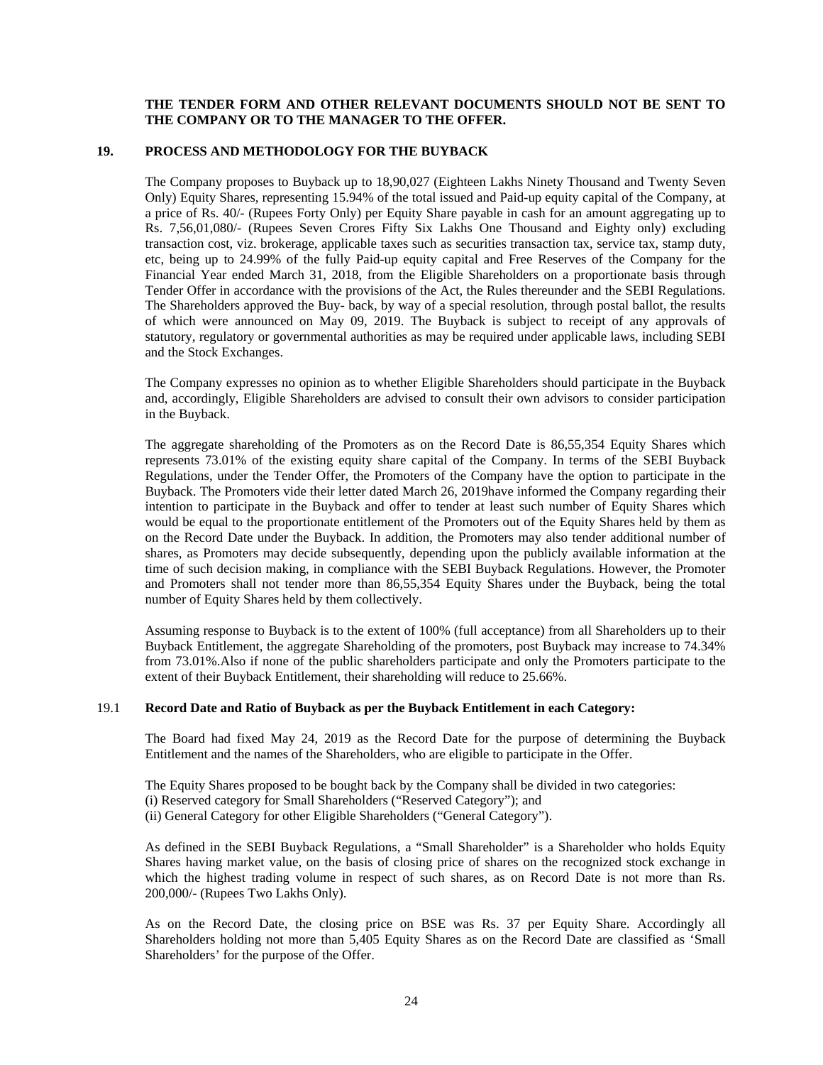### **THE TENDER FORM AND OTHER RELEVANT DOCUMENTS SHOULD NOT BE SENT TO THE COMPANY OR TO THE MANAGER TO THE OFFER.**

#### **19. PROCESS AND METHODOLOGY FOR THE BUYBACK**

The Company proposes to Buyback up to 18,90,027 (Eighteen Lakhs Ninety Thousand and Twenty Seven Only) Equity Shares, representing 15.94% of the total issued and Paid-up equity capital of the Company, at a price of Rs. 40/- (Rupees Forty Only) per Equity Share payable in cash for an amount aggregating up to Rs. 7,56,01,080/- (Rupees Seven Crores Fifty Six Lakhs One Thousand and Eighty only) excluding transaction cost, viz. brokerage, applicable taxes such as securities transaction tax, service tax, stamp duty, etc, being up to 24.99% of the fully Paid-up equity capital and Free Reserves of the Company for the Financial Year ended March 31, 2018, from the Eligible Shareholders on a proportionate basis through Tender Offer in accordance with the provisions of the Act, the Rules thereunder and the SEBI Regulations. The Shareholders approved the Buy- back, by way of a special resolution, through postal ballot, the results of which were announced on May 09, 2019. The Buyback is subject to receipt of any approvals of statutory, regulatory or governmental authorities as may be required under applicable laws, including SEBI and the Stock Exchanges.

The Company expresses no opinion as to whether Eligible Shareholders should participate in the Buyback and, accordingly, Eligible Shareholders are advised to consult their own advisors to consider participation in the Buyback.

The aggregate shareholding of the Promoters as on the Record Date is 86,55,354 Equity Shares which represents 73.01% of the existing equity share capital of the Company. In terms of the SEBI Buyback Regulations, under the Tender Offer, the Promoters of the Company have the option to participate in the Buyback. The Promoters vide their letter dated March 26, 2019have informed the Company regarding their intention to participate in the Buyback and offer to tender at least such number of Equity Shares which would be equal to the proportionate entitlement of the Promoters out of the Equity Shares held by them as on the Record Date under the Buyback. In addition, the Promoters may also tender additional number of shares, as Promoters may decide subsequently, depending upon the publicly available information at the time of such decision making, in compliance with the SEBI Buyback Regulations. However, the Promoter and Promoters shall not tender more than 86,55,354 Equity Shares under the Buyback, being the total number of Equity Shares held by them collectively.

Assuming response to Buyback is to the extent of 100% (full acceptance) from all Shareholders up to their Buyback Entitlement, the aggregate Shareholding of the promoters, post Buyback may increase to 74.34% from 73.01%.Also if none of the public shareholders participate and only the Promoters participate to the extent of their Buyback Entitlement, their shareholding will reduce to 25.66%.

#### 19.1 **Record Date and Ratio of Buyback as per the Buyback Entitlement in each Category:**

The Board had fixed May 24, 2019 as the Record Date for the purpose of determining the Buyback Entitlement and the names of the Shareholders, who are eligible to participate in the Offer.

The Equity Shares proposed to be bought back by the Company shall be divided in two categories: (i) Reserved category for Small Shareholders ("Reserved Category"); and (ii) General Category for other Eligible Shareholders ("General Category").

As defined in the SEBI Buyback Regulations, a "Small Shareholder" is a Shareholder who holds Equity Shares having market value, on the basis of closing price of shares on the recognized stock exchange in which the highest trading volume in respect of such shares, as on Record Date is not more than Rs. 200,000/- (Rupees Two Lakhs Only).

As on the Record Date, the closing price on BSE was Rs. 37 per Equity Share. Accordingly all Shareholders holding not more than 5,405 Equity Shares as on the Record Date are classified as 'Small Shareholders' for the purpose of the Offer.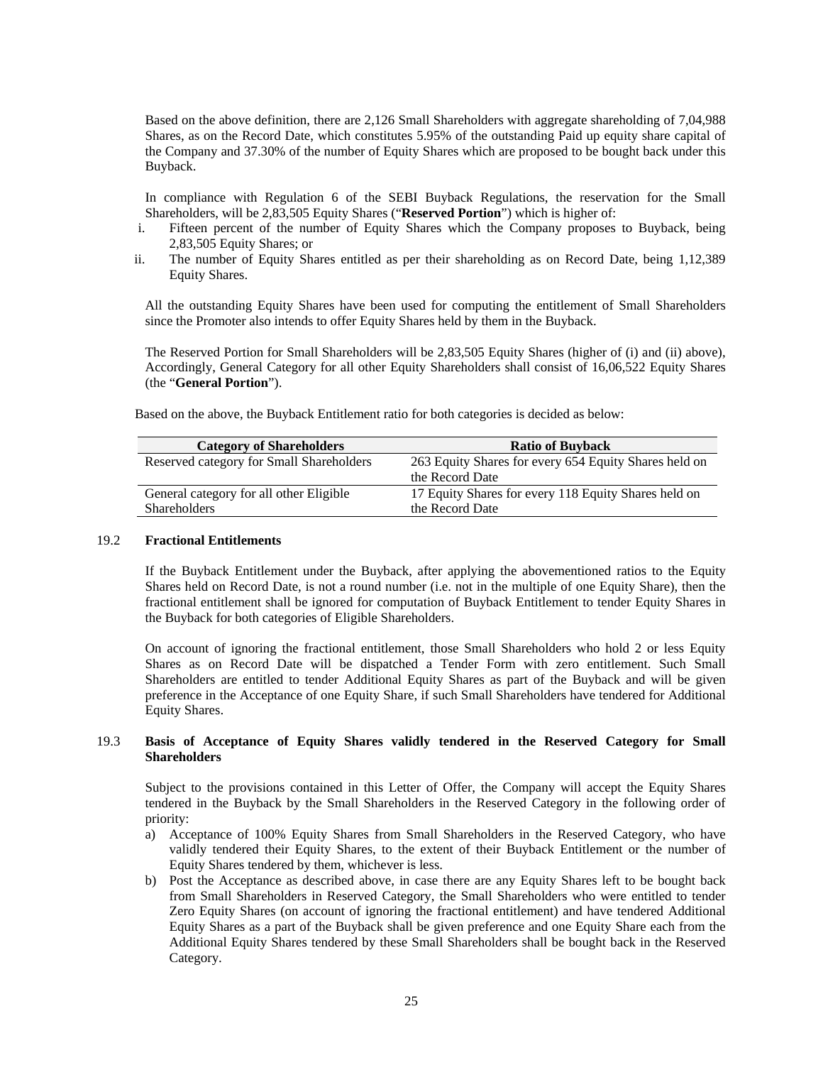Based on the above definition, there are 2,126 Small Shareholders with aggregate shareholding of 7,04,988 Shares, as on the Record Date, which constitutes 5.95% of the outstanding Paid up equity share capital of the Company and 37.30% of the number of Equity Shares which are proposed to be bought back under this Buyback.

In compliance with Regulation 6 of the SEBI Buyback Regulations, the reservation for the Small Shareholders, will be 2,83,505 Equity Shares ("**Reserved Portion**") which is higher of:

- i. Fifteen percent of the number of Equity Shares which the Company proposes to Buyback, being 2,83,505 Equity Shares; or
- ii. The number of Equity Shares entitled as per their shareholding as on Record Date, being 1,12,389 Equity Shares.

All the outstanding Equity Shares have been used for computing the entitlement of Small Shareholders since the Promoter also intends to offer Equity Shares held by them in the Buyback.

The Reserved Portion for Small Shareholders will be 2,83,505 Equity Shares (higher of (i) and (ii) above), Accordingly, General Category for all other Equity Shareholders shall consist of 16,06,522 Equity Shares (the "**General Portion**").

| <b>Category of Shareholders</b>          | <b>Ratio of Buyback</b>                               |
|------------------------------------------|-------------------------------------------------------|
| Reserved category for Small Shareholders | 263 Equity Shares for every 654 Equity Shares held on |
|                                          | the Record Date                                       |
| General category for all other Eligible  | 17 Equity Shares for every 118 Equity Shares held on  |
| <b>Shareholders</b>                      | the Record Date                                       |

Based on the above, the Buyback Entitlement ratio for both categories is decided as below:

#### 19.2 **Fractional Entitlements**

If the Buyback Entitlement under the Buyback, after applying the abovementioned ratios to the Equity Shares held on Record Date, is not a round number (i.e. not in the multiple of one Equity Share), then the fractional entitlement shall be ignored for computation of Buyback Entitlement to tender Equity Shares in the Buyback for both categories of Eligible Shareholders.

On account of ignoring the fractional entitlement, those Small Shareholders who hold 2 or less Equity Shares as on Record Date will be dispatched a Tender Form with zero entitlement. Such Small Shareholders are entitled to tender Additional Equity Shares as part of the Buyback and will be given preference in the Acceptance of one Equity Share, if such Small Shareholders have tendered for Additional Equity Shares.

#### 19.3 **Basis of Acceptance of Equity Shares validly tendered in the Reserved Category for Small Shareholders**

Subject to the provisions contained in this Letter of Offer, the Company will accept the Equity Shares tendered in the Buyback by the Small Shareholders in the Reserved Category in the following order of priority:

- a) Acceptance of 100% Equity Shares from Small Shareholders in the Reserved Category, who have validly tendered their Equity Shares, to the extent of their Buyback Entitlement or the number of Equity Shares tendered by them, whichever is less.
- b) Post the Acceptance as described above, in case there are any Equity Shares left to be bought back from Small Shareholders in Reserved Category, the Small Shareholders who were entitled to tender Zero Equity Shares (on account of ignoring the fractional entitlement) and have tendered Additional Equity Shares as a part of the Buyback shall be given preference and one Equity Share each from the Additional Equity Shares tendered by these Small Shareholders shall be bought back in the Reserved Category.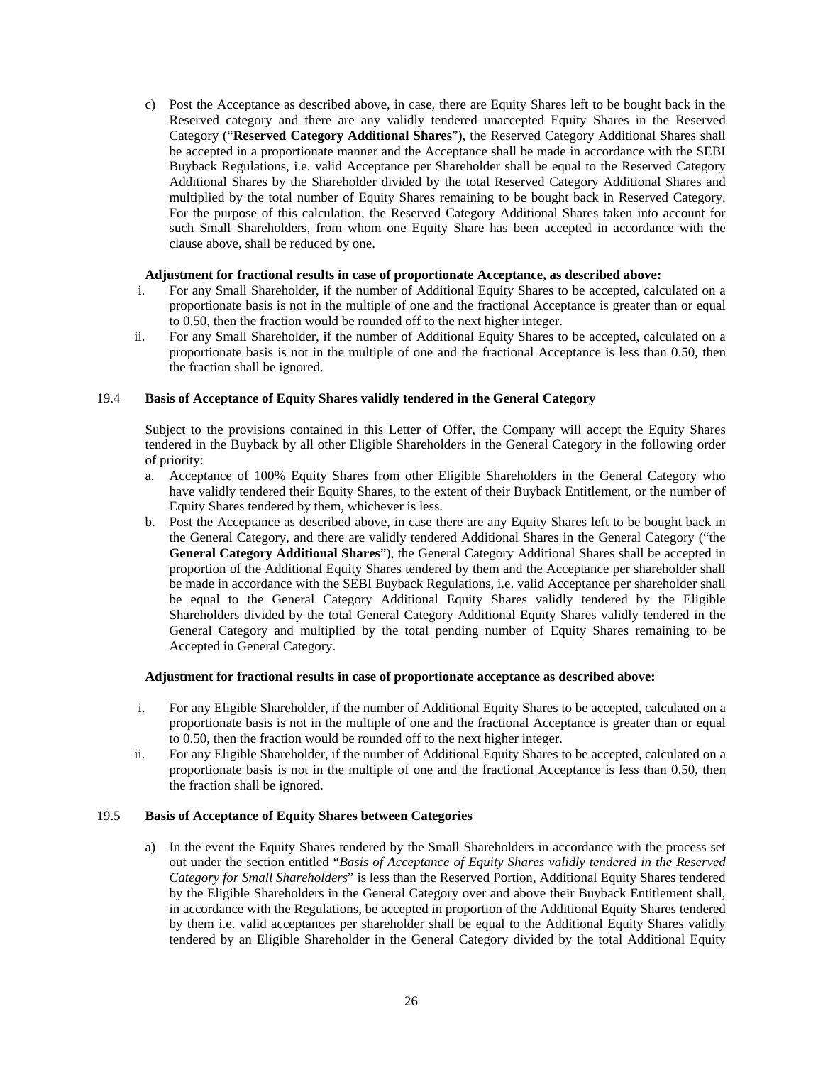c) Post the Acceptance as described above, in case, there are Equity Shares left to be bought back in the Reserved category and there are any validly tendered unaccepted Equity Shares in the Reserved Category ("**Reserved Category Additional Shares**"), the Reserved Category Additional Shares shall be accepted in a proportionate manner and the Acceptance shall be made in accordance with the SEBI Buyback Regulations, i.e. valid Acceptance per Shareholder shall be equal to the Reserved Category Additional Shares by the Shareholder divided by the total Reserved Category Additional Shares and multiplied by the total number of Equity Shares remaining to be bought back in Reserved Category. For the purpose of this calculation, the Reserved Category Additional Shares taken into account for such Small Shareholders, from whom one Equity Share has been accepted in accordance with the clause above, shall be reduced by one.

#### **Adjustment for fractional results in case of proportionate Acceptance, as described above:**

- i. For any Small Shareholder, if the number of Additional Equity Shares to be accepted, calculated on a proportionate basis is not in the multiple of one and the fractional Acceptance is greater than or equal to 0.50, then the fraction would be rounded off to the next higher integer.
- ii. For any Small Shareholder, if the number of Additional Equity Shares to be accepted, calculated on a proportionate basis is not in the multiple of one and the fractional Acceptance is less than 0.50, then the fraction shall be ignored.

### 19.4 **Basis of Acceptance of Equity Shares validly tendered in the General Category**

Subject to the provisions contained in this Letter of Offer, the Company will accept the Equity Shares tendered in the Buyback by all other Eligible Shareholders in the General Category in the following order of priority:

- a. Acceptance of 100% Equity Shares from other Eligible Shareholders in the General Category who have validly tendered their Equity Shares, to the extent of their Buyback Entitlement, or the number of Equity Shares tendered by them, whichever is less.
- b. Post the Acceptance as described above, in case there are any Equity Shares left to be bought back in the General Category, and there are validly tendered Additional Shares in the General Category ("the **General Category Additional Shares**"), the General Category Additional Shares shall be accepted in proportion of the Additional Equity Shares tendered by them and the Acceptance per shareholder shall be made in accordance with the SEBI Buyback Regulations, i.e. valid Acceptance per shareholder shall be equal to the General Category Additional Equity Shares validly tendered by the Eligible Shareholders divided by the total General Category Additional Equity Shares validly tendered in the General Category and multiplied by the total pending number of Equity Shares remaining to be Accepted in General Category.

#### **Adjustment for fractional results in case of proportionate acceptance as described above:**

- i. For any Eligible Shareholder, if the number of Additional Equity Shares to be accepted, calculated on a proportionate basis is not in the multiple of one and the fractional Acceptance is greater than or equal to 0.50, then the fraction would be rounded off to the next higher integer.
- ii. For any Eligible Shareholder, if the number of Additional Equity Shares to be accepted, calculated on a proportionate basis is not in the multiple of one and the fractional Acceptance is less than 0.50, then the fraction shall be ignored.

#### 19.5 **Basis of Acceptance of Equity Shares between Categories**

a) In the event the Equity Shares tendered by the Small Shareholders in accordance with the process set out under the section entitled "*Basis of Acceptance of Equity Shares validly tendered in the Reserved Category for Small Shareholders*" is less than the Reserved Portion, Additional Equity Shares tendered by the Eligible Shareholders in the General Category over and above their Buyback Entitlement shall, in accordance with the Regulations, be accepted in proportion of the Additional Equity Shares tendered by them i.e. valid acceptances per shareholder shall be equal to the Additional Equity Shares validly tendered by an Eligible Shareholder in the General Category divided by the total Additional Equity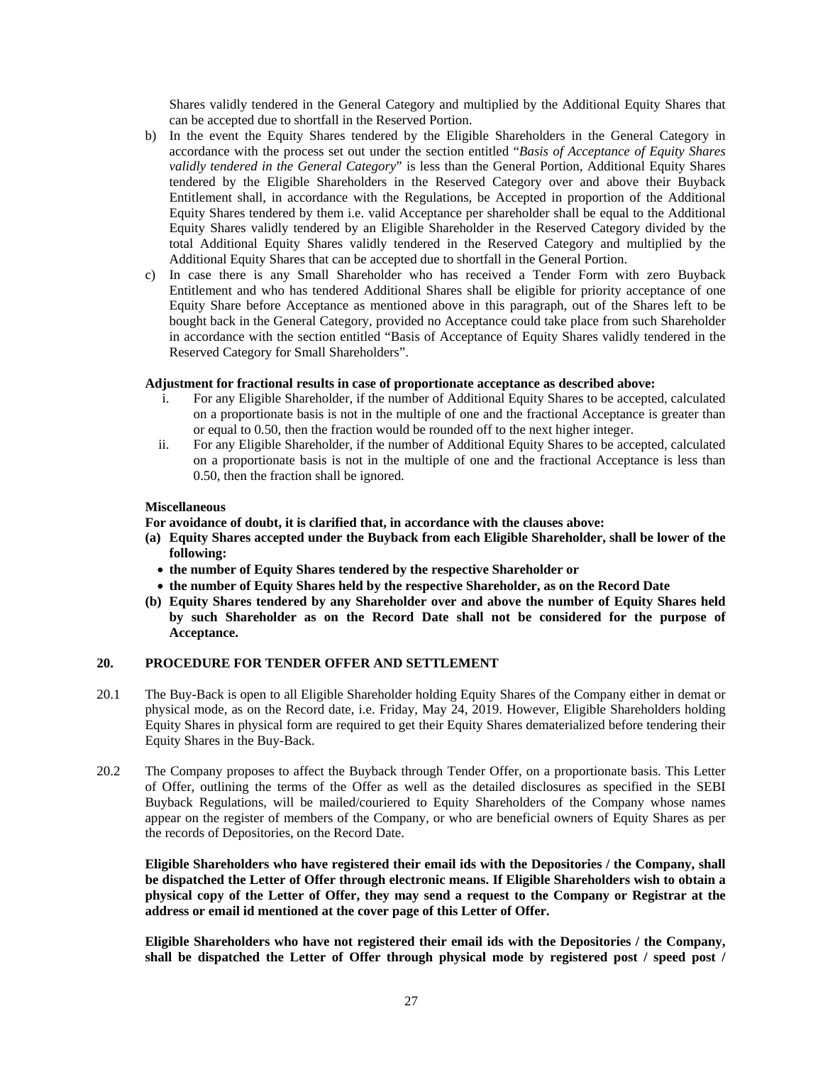Shares validly tendered in the General Category and multiplied by the Additional Equity Shares that can be accepted due to shortfall in the Reserved Portion.

- b) In the event the Equity Shares tendered by the Eligible Shareholders in the General Category in accordance with the process set out under the section entitled "*Basis of Acceptance of Equity Shares validly tendered in the General Category*" is less than the General Portion, Additional Equity Shares tendered by the Eligible Shareholders in the Reserved Category over and above their Buyback Entitlement shall, in accordance with the Regulations, be Accepted in proportion of the Additional Equity Shares tendered by them i.e. valid Acceptance per shareholder shall be equal to the Additional Equity Shares validly tendered by an Eligible Shareholder in the Reserved Category divided by the total Additional Equity Shares validly tendered in the Reserved Category and multiplied by the Additional Equity Shares that can be accepted due to shortfall in the General Portion.
- c) In case there is any Small Shareholder who has received a Tender Form with zero Buyback Entitlement and who has tendered Additional Shares shall be eligible for priority acceptance of one Equity Share before Acceptance as mentioned above in this paragraph, out of the Shares left to be bought back in the General Category, provided no Acceptance could take place from such Shareholder in accordance with the section entitled "Basis of Acceptance of Equity Shares validly tendered in the Reserved Category for Small Shareholders".

#### **Adjustment for fractional results in case of proportionate acceptance as described above:**

- i. For any Eligible Shareholder, if the number of Additional Equity Shares to be accepted, calculated on a proportionate basis is not in the multiple of one and the fractional Acceptance is greater than or equal to 0.50, then the fraction would be rounded off to the next higher integer.
- ii. For any Eligible Shareholder, if the number of Additional Equity Shares to be accepted, calculated on a proportionate basis is not in the multiple of one and the fractional Acceptance is less than 0.50, then the fraction shall be ignored.

### **Miscellaneous**

**For avoidance of doubt, it is clarified that, in accordance with the clauses above:** 

- **(a) Equity Shares accepted under the Buyback from each Eligible Shareholder, shall be lower of the following:** 
	- **the number of Equity Shares tendered by the respective Shareholder or**
	- **the number of Equity Shares held by the respective Shareholder, as on the Record Date**
- **(b) Equity Shares tendered by any Shareholder over and above the number of Equity Shares held by such Shareholder as on the Record Date shall not be considered for the purpose of Acceptance.**

#### **20. PROCEDURE FOR TENDER OFFER AND SETTLEMENT**

- 20.1 The Buy-Back is open to all Eligible Shareholder holding Equity Shares of the Company either in demat or physical mode, as on the Record date, i.e. Friday, May 24, 2019. However, Eligible Shareholders holding Equity Shares in physical form are required to get their Equity Shares dematerialized before tendering their Equity Shares in the Buy-Back.
- 20.2 The Company proposes to affect the Buyback through Tender Offer, on a proportionate basis. This Letter of Offer, outlining the terms of the Offer as well as the detailed disclosures as specified in the SEBI Buyback Regulations, will be mailed/couriered to Equity Shareholders of the Company whose names appear on the register of members of the Company, or who are beneficial owners of Equity Shares as per the records of Depositories, on the Record Date.

**Eligible Shareholders who have registered their email ids with the Depositories / the Company, shall be dispatched the Letter of Offer through electronic means. If Eligible Shareholders wish to obtain a physical copy of the Letter of Offer, they may send a request to the Company or Registrar at the address or email id mentioned at the cover page of this Letter of Offer.** 

**Eligible Shareholders who have not registered their email ids with the Depositories / the Company, shall be dispatched the Letter of Offer through physical mode by registered post / speed post /**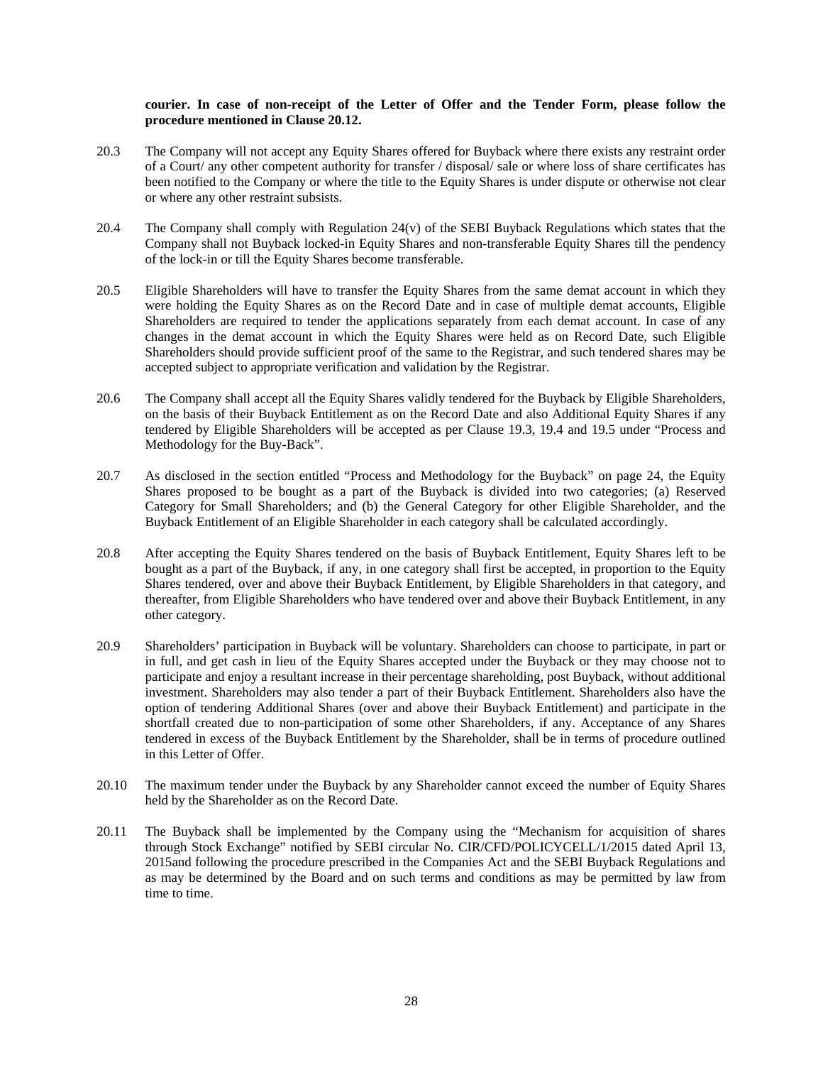### **courier. In case of non-receipt of the Letter of Offer and the Tender Form, please follow the procedure mentioned in Clause 20.12.**

- 20.3 The Company will not accept any Equity Shares offered for Buyback where there exists any restraint order of a Court/ any other competent authority for transfer / disposal/ sale or where loss of share certificates has been notified to the Company or where the title to the Equity Shares is under dispute or otherwise not clear or where any other restraint subsists.
- 20.4 The Company shall comply with Regulation 24(v) of the SEBI Buyback Regulations which states that the Company shall not Buyback locked-in Equity Shares and non-transferable Equity Shares till the pendency of the lock-in or till the Equity Shares become transferable.
- 20.5 Eligible Shareholders will have to transfer the Equity Shares from the same demat account in which they were holding the Equity Shares as on the Record Date and in case of multiple demat accounts, Eligible Shareholders are required to tender the applications separately from each demat account. In case of any changes in the demat account in which the Equity Shares were held as on Record Date, such Eligible Shareholders should provide sufficient proof of the same to the Registrar, and such tendered shares may be accepted subject to appropriate verification and validation by the Registrar.
- 20.6 The Company shall accept all the Equity Shares validly tendered for the Buyback by Eligible Shareholders, on the basis of their Buyback Entitlement as on the Record Date and also Additional Equity Shares if any tendered by Eligible Shareholders will be accepted as per Clause 19.3, 19.4 and 19.5 under "Process and Methodology for the Buy-Back".
- 20.7 As disclosed in the section entitled "Process and Methodology for the Buyback" on page 24, the Equity Shares proposed to be bought as a part of the Buyback is divided into two categories; (a) Reserved Category for Small Shareholders; and (b) the General Category for other Eligible Shareholder, and the Buyback Entitlement of an Eligible Shareholder in each category shall be calculated accordingly.
- 20.8 After accepting the Equity Shares tendered on the basis of Buyback Entitlement, Equity Shares left to be bought as a part of the Buyback, if any, in one category shall first be accepted, in proportion to the Equity Shares tendered, over and above their Buyback Entitlement, by Eligible Shareholders in that category, and thereafter, from Eligible Shareholders who have tendered over and above their Buyback Entitlement, in any other category.
- 20.9 Shareholders' participation in Buyback will be voluntary. Shareholders can choose to participate, in part or in full, and get cash in lieu of the Equity Shares accepted under the Buyback or they may choose not to participate and enjoy a resultant increase in their percentage shareholding, post Buyback, without additional investment. Shareholders may also tender a part of their Buyback Entitlement. Shareholders also have the option of tendering Additional Shares (over and above their Buyback Entitlement) and participate in the shortfall created due to non-participation of some other Shareholders, if any. Acceptance of any Shares tendered in excess of the Buyback Entitlement by the Shareholder, shall be in terms of procedure outlined in this Letter of Offer.
- 20.10 The maximum tender under the Buyback by any Shareholder cannot exceed the number of Equity Shares held by the Shareholder as on the Record Date.
- 20.11 The Buyback shall be implemented by the Company using the "Mechanism for acquisition of shares through Stock Exchange" notified by SEBI circular No. CIR/CFD/POLICYCELL/1/2015 dated April 13, 2015and following the procedure prescribed in the Companies Act and the SEBI Buyback Regulations and as may be determined by the Board and on such terms and conditions as may be permitted by law from time to time.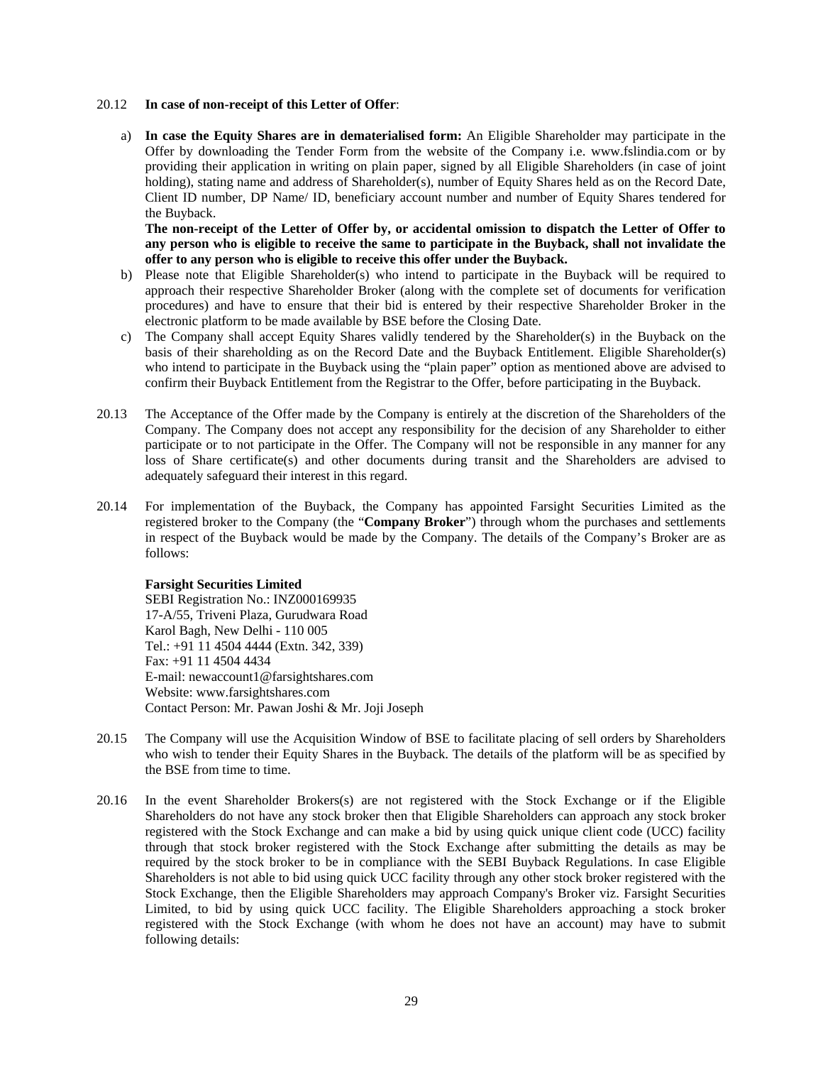#### 20.12 **In case of non-receipt of this Letter of Offer**:

a) **In case the Equity Shares are in dematerialised form:** An Eligible Shareholder may participate in the Offer by downloading the Tender Form from the website of the Company i.e. www.fslindia.com or by providing their application in writing on plain paper, signed by all Eligible Shareholders (in case of joint holding), stating name and address of Shareholder(s), number of Equity Shares held as on the Record Date, Client ID number, DP Name/ ID, beneficiary account number and number of Equity Shares tendered for the Buyback.

**The non-receipt of the Letter of Offer by, or accidental omission to dispatch the Letter of Offer to any person who is eligible to receive the same to participate in the Buyback, shall not invalidate the offer to any person who is eligible to receive this offer under the Buyback.** 

- b) Please note that Eligible Shareholder(s) who intend to participate in the Buyback will be required to approach their respective Shareholder Broker (along with the complete set of documents for verification procedures) and have to ensure that their bid is entered by their respective Shareholder Broker in the electronic platform to be made available by BSE before the Closing Date.
- c) The Company shall accept Equity Shares validly tendered by the Shareholder(s) in the Buyback on the basis of their shareholding as on the Record Date and the Buyback Entitlement. Eligible Shareholder(s) who intend to participate in the Buyback using the "plain paper" option as mentioned above are advised to confirm their Buyback Entitlement from the Registrar to the Offer, before participating in the Buyback.
- 20.13 The Acceptance of the Offer made by the Company is entirely at the discretion of the Shareholders of the Company. The Company does not accept any responsibility for the decision of any Shareholder to either participate or to not participate in the Offer. The Company will not be responsible in any manner for any loss of Share certificate(s) and other documents during transit and the Shareholders are advised to adequately safeguard their interest in this regard.
- 20.14 For implementation of the Buyback, the Company has appointed Farsight Securities Limited as the registered broker to the Company (the "**Company Broker**") through whom the purchases and settlements in respect of the Buyback would be made by the Company. The details of the Company's Broker are as follows:

#### **Farsight Securities Limited**

SEBI Registration No.: INZ000169935 17-A/55, Triveni Plaza, Gurudwara Road Karol Bagh, New Delhi - 110 005 Tel.: +91 11 4504 4444 (Extn. 342, 339) Fax: +91 11 4504 4434 E-mail: newaccount1@farsightshares.com Website: www.farsightshares.com Contact Person: Mr. Pawan Joshi & Mr. Joji Joseph

- 20.15 The Company will use the Acquisition Window of BSE to facilitate placing of sell orders by Shareholders who wish to tender their Equity Shares in the Buyback. The details of the platform will be as specified by the BSE from time to time.
- 20.16 In the event Shareholder Brokers(s) are not registered with the Stock Exchange or if the Eligible Shareholders do not have any stock broker then that Eligible Shareholders can approach any stock broker registered with the Stock Exchange and can make a bid by using quick unique client code (UCC) facility through that stock broker registered with the Stock Exchange after submitting the details as may be required by the stock broker to be in compliance with the SEBI Buyback Regulations. In case Eligible Shareholders is not able to bid using quick UCC facility through any other stock broker registered with the Stock Exchange, then the Eligible Shareholders may approach Company's Broker viz. Farsight Securities Limited, to bid by using quick UCC facility. The Eligible Shareholders approaching a stock broker registered with the Stock Exchange (with whom he does not have an account) may have to submit following details: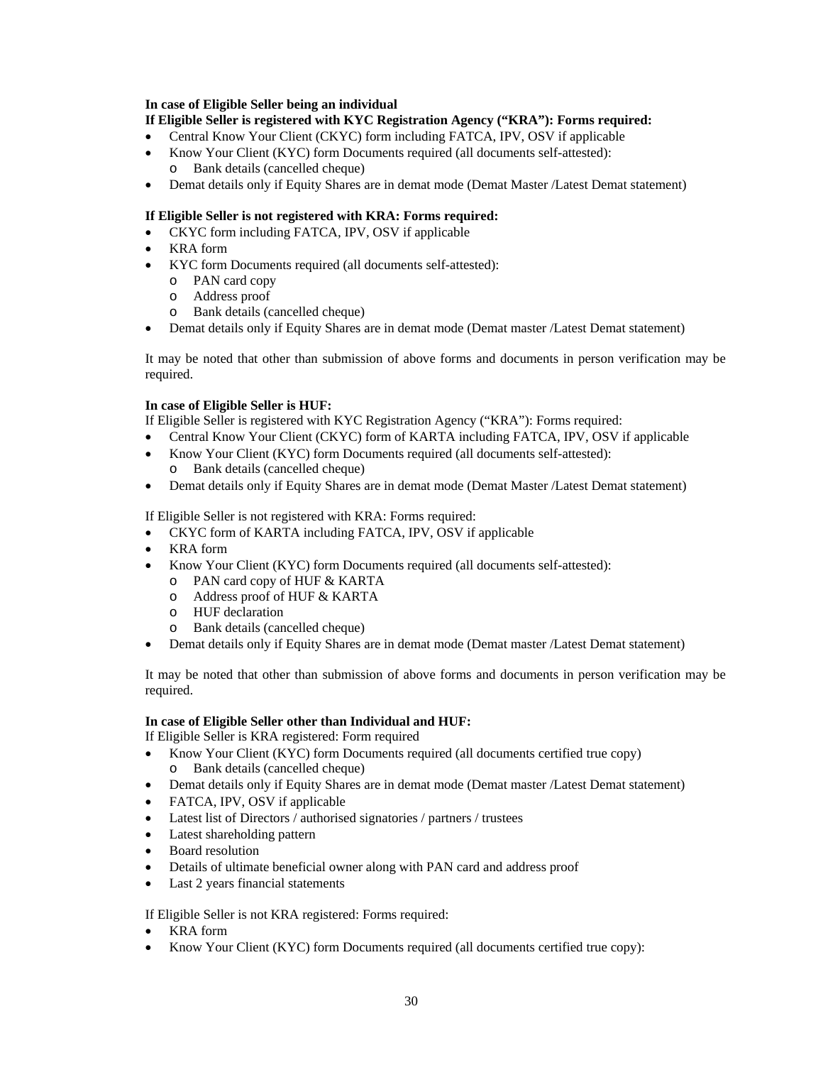#### **In case of Eligible Seller being an individual**

### **If Eligible Seller is registered with KYC Registration Agency ("KRA"): Forms required:**

- Central Know Your Client (CKYC) form including FATCA, IPV, OSV if applicable
- Know Your Client (KYC) form Documents required (all documents self-attested): Bank details (cancelled cheque)
- Demat details only if Equity Shares are in demat mode (Demat Master /Latest Demat statement)

### **If Eligible Seller is not registered with KRA: Forms required:**

- CKYC form including FATCA, IPV, OSV if applicable
- KRA form
- KYC form Documents required (all documents self-attested):
	- o PAN card copy
	- o Address proof
	- o Bank details (cancelled cheque)
- Demat details only if Equity Shares are in demat mode (Demat master /Latest Demat statement)

It may be noted that other than submission of above forms and documents in person verification may be required.

### **In case of Eligible Seller is HUF:**

If Eligible Seller is registered with KYC Registration Agency ("KRA"): Forms required:

- Central Know Your Client (CKYC) form of KARTA including FATCA, IPV, OSV if applicable
- Know Your Client (KYC) form Documents required (all documents self-attested):
	- o Bank details (cancelled cheque)
- Demat details only if Equity Shares are in demat mode (Demat Master /Latest Demat statement)

If Eligible Seller is not registered with KRA: Forms required:

- CKYC form of KARTA including FATCA, IPV, OSV if applicable
- KRA form
- Know Your Client (KYC) form Documents required (all documents self-attested):
	- o PAN card copy of HUF & KARTA
	- o Address proof of HUF & KARTA
	- o HUF declaration
	- o Bank details (cancelled cheque)
- Demat details only if Equity Shares are in demat mode (Demat master /Latest Demat statement)

It may be noted that other than submission of above forms and documents in person verification may be required.

### **In case of Eligible Seller other than Individual and HUF:**

If Eligible Seller is KRA registered: Form required

- Know Your Client (KYC) form Documents required (all documents certified true copy) o Bank details (cancelled cheque)
- Demat details only if Equity Shares are in demat mode (Demat master /Latest Demat statement)
- FATCA, IPV, OSV if applicable
- Latest list of Directors / authorised signatories / partners / trustees
- Latest shareholding pattern
- Board resolution
- Details of ultimate beneficial owner along with PAN card and address proof
- Last 2 years financial statements

If Eligible Seller is not KRA registered: Forms required:

- KRA form
- Know Your Client (KYC) form Documents required (all documents certified true copy):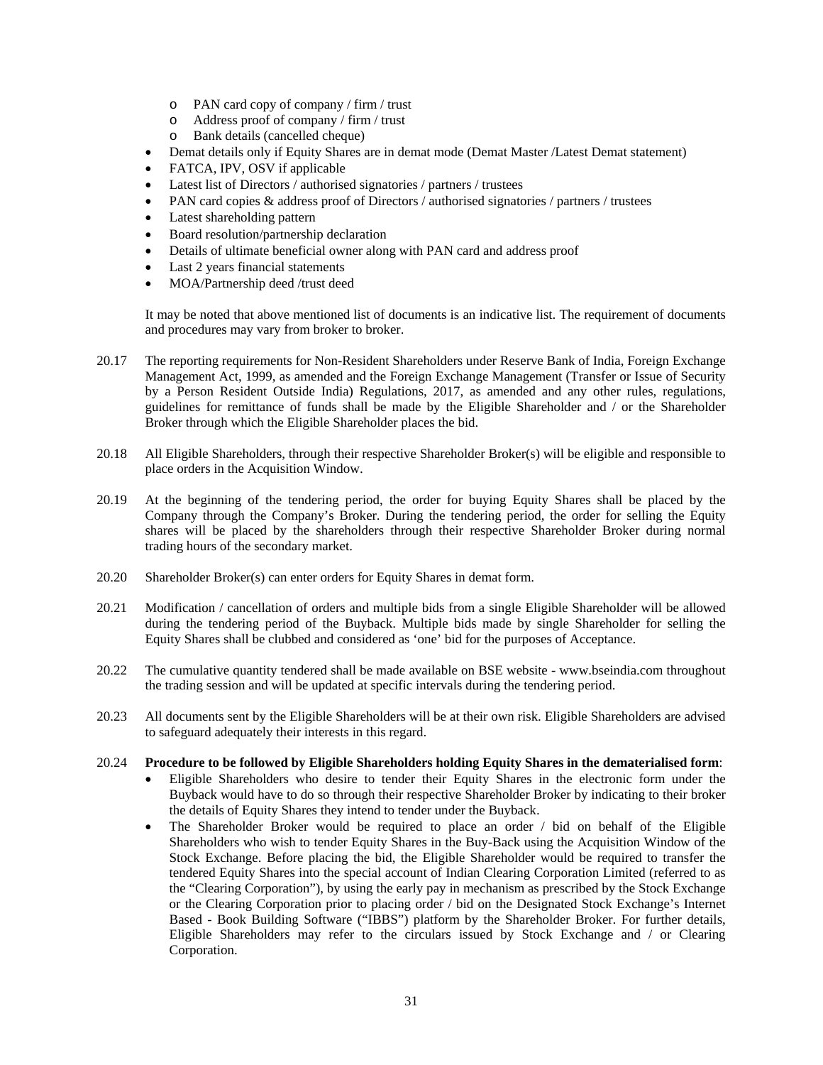- o PAN card copy of company / firm / trust
- o Address proof of company / firm / trust
- o Bank details (cancelled cheque)
- Demat details only if Equity Shares are in demat mode (Demat Master /Latest Demat statement)
- FATCA, IPV, OSV if applicable
- Latest list of Directors / authorised signatories / partners / trustees
- PAN card copies & address proof of Directors / authorised signatories / partners / trustees
- Latest shareholding pattern
- Board resolution/partnership declaration
- Details of ultimate beneficial owner along with PAN card and address proof
- Last 2 years financial statements
- MOA/Partnership deed /trust deed

It may be noted that above mentioned list of documents is an indicative list. The requirement of documents and procedures may vary from broker to broker.

- 20.17 The reporting requirements for Non-Resident Shareholders under Reserve Bank of India, Foreign Exchange Management Act, 1999, as amended and the Foreign Exchange Management (Transfer or Issue of Security by a Person Resident Outside India) Regulations, 2017, as amended and any other rules, regulations, guidelines for remittance of funds shall be made by the Eligible Shareholder and / or the Shareholder Broker through which the Eligible Shareholder places the bid.
- 20.18 All Eligible Shareholders, through their respective Shareholder Broker(s) will be eligible and responsible to place orders in the Acquisition Window.
- 20.19 At the beginning of the tendering period, the order for buying Equity Shares shall be placed by the Company through the Company's Broker. During the tendering period, the order for selling the Equity shares will be placed by the shareholders through their respective Shareholder Broker during normal trading hours of the secondary market.
- 20.20 Shareholder Broker(s) can enter orders for Equity Shares in demat form.
- 20.21 Modification / cancellation of orders and multiple bids from a single Eligible Shareholder will be allowed during the tendering period of the Buyback. Multiple bids made by single Shareholder for selling the Equity Shares shall be clubbed and considered as 'one' bid for the purposes of Acceptance.
- 20.22 The cumulative quantity tendered shall be made available on BSE website www.bseindia.com throughout the trading session and will be updated at specific intervals during the tendering period.
- 20.23 All documents sent by the Eligible Shareholders will be at their own risk. Eligible Shareholders are advised to safeguard adequately their interests in this regard.

#### 20.24 **Procedure to be followed by Eligible Shareholders holding Equity Shares in the dematerialised form**:

- Eligible Shareholders who desire to tender their Equity Shares in the electronic form under the Buyback would have to do so through their respective Shareholder Broker by indicating to their broker the details of Equity Shares they intend to tender under the Buyback.
- The Shareholder Broker would be required to place an order / bid on behalf of the Eligible Shareholders who wish to tender Equity Shares in the Buy-Back using the Acquisition Window of the Stock Exchange. Before placing the bid, the Eligible Shareholder would be required to transfer the tendered Equity Shares into the special account of Indian Clearing Corporation Limited (referred to as the "Clearing Corporation"), by using the early pay in mechanism as prescribed by the Stock Exchange or the Clearing Corporation prior to placing order / bid on the Designated Stock Exchange's Internet Based - Book Building Software ("IBBS") platform by the Shareholder Broker. For further details, Eligible Shareholders may refer to the circulars issued by Stock Exchange and / or Clearing Corporation.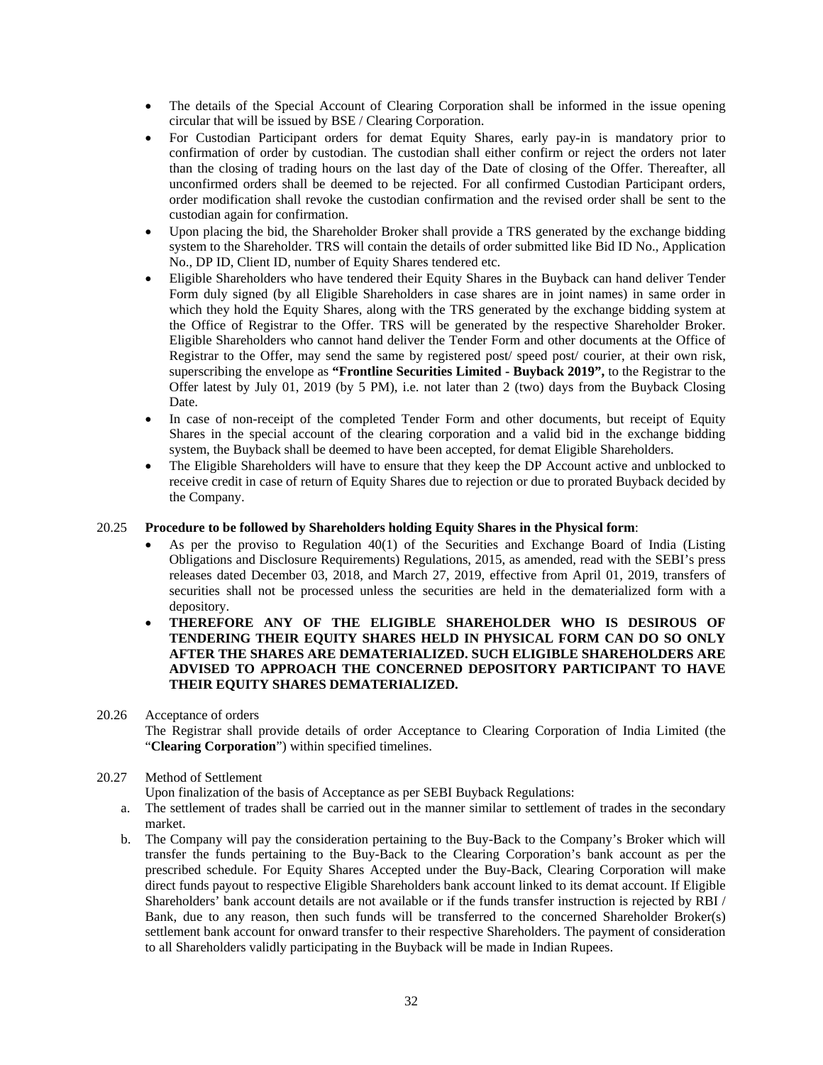- The details of the Special Account of Clearing Corporation shall be informed in the issue opening circular that will be issued by BSE / Clearing Corporation.
- For Custodian Participant orders for demat Equity Shares, early pay-in is mandatory prior to confirmation of order by custodian. The custodian shall either confirm or reject the orders not later than the closing of trading hours on the last day of the Date of closing of the Offer. Thereafter, all unconfirmed orders shall be deemed to be rejected. For all confirmed Custodian Participant orders, order modification shall revoke the custodian confirmation and the revised order shall be sent to the custodian again for confirmation.
- Upon placing the bid, the Shareholder Broker shall provide a TRS generated by the exchange bidding system to the Shareholder. TRS will contain the details of order submitted like Bid ID No., Application No., DP ID, Client ID, number of Equity Shares tendered etc.
- Eligible Shareholders who have tendered their Equity Shares in the Buyback can hand deliver Tender Form duly signed (by all Eligible Shareholders in case shares are in joint names) in same order in which they hold the Equity Shares, along with the TRS generated by the exchange bidding system at the Office of Registrar to the Offer. TRS will be generated by the respective Shareholder Broker. Eligible Shareholders who cannot hand deliver the Tender Form and other documents at the Office of Registrar to the Offer, may send the same by registered post/ speed post/ courier, at their own risk, superscribing the envelope as **"Frontline Securities Limited - Buyback 2019",** to the Registrar to the Offer latest by July 01, 2019 (by 5 PM), i.e. not later than 2 (two) days from the Buyback Closing Date.
- In case of non-receipt of the completed Tender Form and other documents, but receipt of Equity Shares in the special account of the clearing corporation and a valid bid in the exchange bidding system, the Buyback shall be deemed to have been accepted, for demat Eligible Shareholders.
- The Eligible Shareholders will have to ensure that they keep the DP Account active and unblocked to receive credit in case of return of Equity Shares due to rejection or due to prorated Buyback decided by the Company.

### 20.25 **Procedure to be followed by Shareholders holding Equity Shares in the Physical form**:

- As per the proviso to Regulation 40(1) of the Securities and Exchange Board of India (Listing Obligations and Disclosure Requirements) Regulations, 2015, as amended, read with the SEBI's press releases dated December 03, 2018, and March 27, 2019, effective from April 01, 2019, transfers of securities shall not be processed unless the securities are held in the dematerialized form with a depository.
- **THEREFORE ANY OF THE ELIGIBLE SHAREHOLDER WHO IS DESIROUS OF TENDERING THEIR EQUITY SHARES HELD IN PHYSICAL FORM CAN DO SO ONLY AFTER THE SHARES ARE DEMATERIALIZED. SUCH ELIGIBLE SHAREHOLDERS ARE ADVISED TO APPROACH THE CONCERNED DEPOSITORY PARTICIPANT TO HAVE THEIR EQUITY SHARES DEMATERIALIZED.**

#### 20.26 Acceptance of orders

The Registrar shall provide details of order Acceptance to Clearing Corporation of India Limited (the "**Clearing Corporation**") within specified timelines.

### 20.27 Method of Settlement

Upon finalization of the basis of Acceptance as per SEBI Buyback Regulations:

- a. The settlement of trades shall be carried out in the manner similar to settlement of trades in the secondary market.
- b. The Company will pay the consideration pertaining to the Buy-Back to the Company's Broker which will transfer the funds pertaining to the Buy-Back to the Clearing Corporation's bank account as per the prescribed schedule. For Equity Shares Accepted under the Buy-Back, Clearing Corporation will make direct funds payout to respective Eligible Shareholders bank account linked to its demat account. If Eligible Shareholders' bank account details are not available or if the funds transfer instruction is rejected by RBI / Bank, due to any reason, then such funds will be transferred to the concerned Shareholder Broker(s) settlement bank account for onward transfer to their respective Shareholders. The payment of consideration to all Shareholders validly participating in the Buyback will be made in Indian Rupees.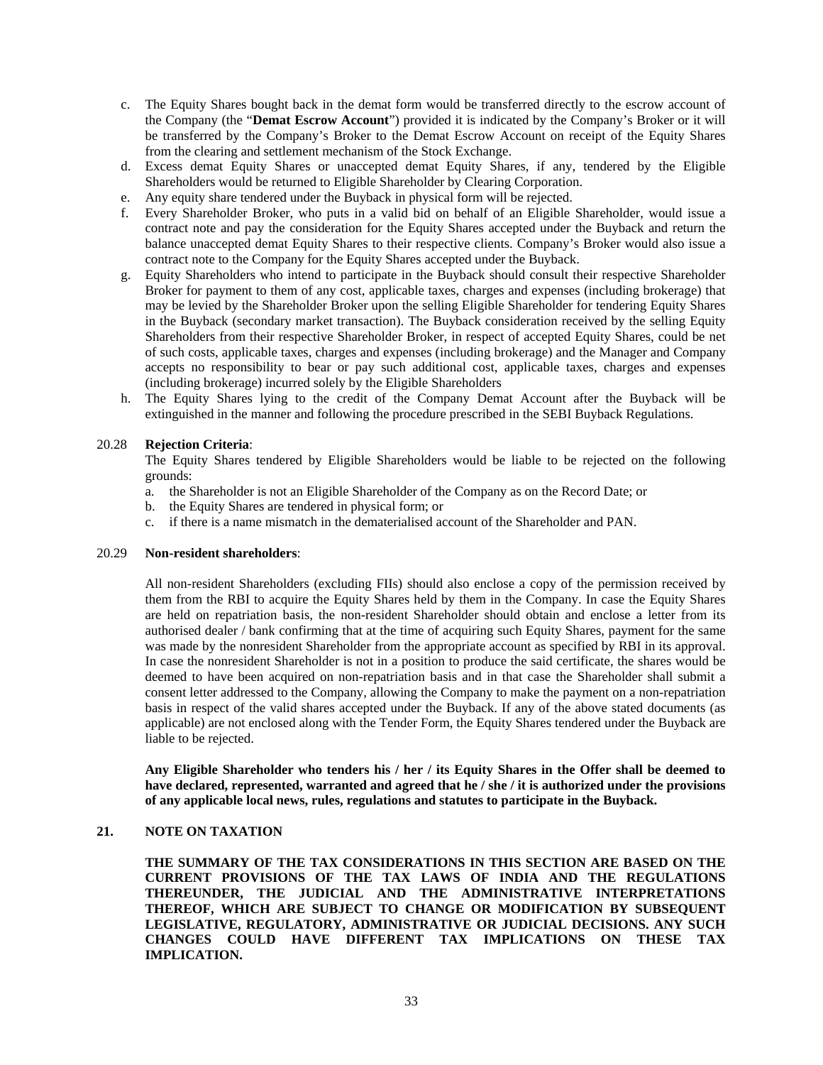- c. The Equity Shares bought back in the demat form would be transferred directly to the escrow account of the Company (the "**Demat Escrow Account**") provided it is indicated by the Company's Broker or it will be transferred by the Company's Broker to the Demat Escrow Account on receipt of the Equity Shares from the clearing and settlement mechanism of the Stock Exchange.
- d. Excess demat Equity Shares or unaccepted demat Equity Shares, if any, tendered by the Eligible Shareholders would be returned to Eligible Shareholder by Clearing Corporation.
- e. Any equity share tendered under the Buyback in physical form will be rejected.
- f. Every Shareholder Broker, who puts in a valid bid on behalf of an Eligible Shareholder, would issue a contract note and pay the consideration for the Equity Shares accepted under the Buyback and return the balance unaccepted demat Equity Shares to their respective clients. Company's Broker would also issue a contract note to the Company for the Equity Shares accepted under the Buyback.
- g. Equity Shareholders who intend to participate in the Buyback should consult their respective Shareholder Broker for payment to them of any cost, applicable taxes, charges and expenses (including brokerage) that may be levied by the Shareholder Broker upon the selling Eligible Shareholder for tendering Equity Shares in the Buyback (secondary market transaction). The Buyback consideration received by the selling Equity Shareholders from their respective Shareholder Broker, in respect of accepted Equity Shares, could be net of such costs, applicable taxes, charges and expenses (including brokerage) and the Manager and Company accepts no responsibility to bear or pay such additional cost, applicable taxes, charges and expenses (including brokerage) incurred solely by the Eligible Shareholders
- h. The Equity Shares lying to the credit of the Company Demat Account after the Buyback will be extinguished in the manner and following the procedure prescribed in the SEBI Buyback Regulations.

### 20.28 **Rejection Criteria**:

The Equity Shares tendered by Eligible Shareholders would be liable to be rejected on the following grounds:

- a. the Shareholder is not an Eligible Shareholder of the Company as on the Record Date; or
- b. the Equity Shares are tendered in physical form; or
- c. if there is a name mismatch in the dematerialised account of the Shareholder and PAN.

#### 20.29 **Non-resident shareholders**:

All non-resident Shareholders (excluding FIIs) should also enclose a copy of the permission received by them from the RBI to acquire the Equity Shares held by them in the Company. In case the Equity Shares are held on repatriation basis, the non-resident Shareholder should obtain and enclose a letter from its authorised dealer / bank confirming that at the time of acquiring such Equity Shares, payment for the same was made by the nonresident Shareholder from the appropriate account as specified by RBI in its approval. In case the nonresident Shareholder is not in a position to produce the said certificate, the shares would be deemed to have been acquired on non-repatriation basis and in that case the Shareholder shall submit a consent letter addressed to the Company, allowing the Company to make the payment on a non-repatriation basis in respect of the valid shares accepted under the Buyback. If any of the above stated documents (as applicable) are not enclosed along with the Tender Form, the Equity Shares tendered under the Buyback are liable to be rejected.

**Any Eligible Shareholder who tenders his / her / its Equity Shares in the Offer shall be deemed to have declared, represented, warranted and agreed that he / she / it is authorized under the provisions of any applicable local news, rules, regulations and statutes to participate in the Buyback.** 

### **21. NOTE ON TAXATION**

**THE SUMMARY OF THE TAX CONSIDERATIONS IN THIS SECTION ARE BASED ON THE CURRENT PROVISIONS OF THE TAX LAWS OF INDIA AND THE REGULATIONS THEREUNDER, THE JUDICIAL AND THE ADMINISTRATIVE INTERPRETATIONS THEREOF, WHICH ARE SUBJECT TO CHANGE OR MODIFICATION BY SUBSEQUENT LEGISLATIVE, REGULATORY, ADMINISTRATIVE OR JUDICIAL DECISIONS. ANY SUCH CHANGES COULD HAVE DIFFERENT TAX IMPLICATIONS ON THESE TAX IMPLICATION.**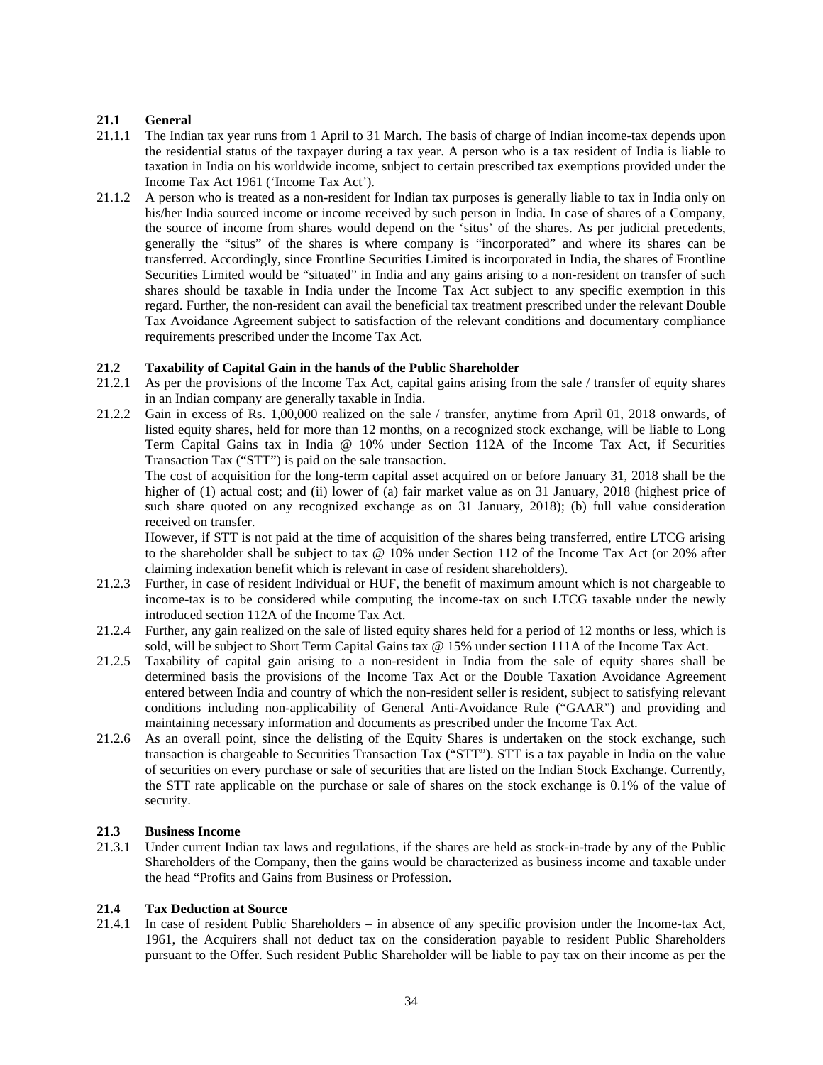### **21.1 General**

- 21.1.1 The Indian tax year runs from 1 April to 31 March. The basis of charge of Indian income-tax depends upon the residential status of the taxpayer during a tax year. A person who is a tax resident of India is liable to taxation in India on his worldwide income, subject to certain prescribed tax exemptions provided under the Income Tax Act 1961 ('Income Tax Act').
- 21.1.2 A person who is treated as a non-resident for Indian tax purposes is generally liable to tax in India only on his/her India sourced income or income received by such person in India. In case of shares of a Company, the source of income from shares would depend on the 'situs' of the shares. As per judicial precedents, generally the "situs" of the shares is where company is "incorporated" and where its shares can be transferred. Accordingly, since Frontline Securities Limited is incorporated in India, the shares of Frontline Securities Limited would be "situated" in India and any gains arising to a non-resident on transfer of such shares should be taxable in India under the Income Tax Act subject to any specific exemption in this regard. Further, the non-resident can avail the beneficial tax treatment prescribed under the relevant Double Tax Avoidance Agreement subject to satisfaction of the relevant conditions and documentary compliance requirements prescribed under the Income Tax Act.

### **21.2 Taxability of Capital Gain in the hands of the Public Shareholder**

- 21.2.1 As per the provisions of the Income Tax Act, capital gains arising from the sale / transfer of equity shares in an Indian company are generally taxable in India.
- 21.2.2 Gain in excess of Rs. 1,00,000 realized on the sale / transfer, anytime from April 01, 2018 onwards, of listed equity shares, held for more than 12 months, on a recognized stock exchange, will be liable to Long Term Capital Gains tax in India @ 10% under Section 112A of the Income Tax Act, if Securities Transaction Tax ("STT") is paid on the sale transaction.

The cost of acquisition for the long-term capital asset acquired on or before January 31, 2018 shall be the higher of (1) actual cost; and (ii) lower of (a) fair market value as on 31 January, 2018 (highest price of such share quoted on any recognized exchange as on 31 January, 2018); (b) full value consideration received on transfer.

However, if STT is not paid at the time of acquisition of the shares being transferred, entire LTCG arising to the shareholder shall be subject to tax @ 10% under Section 112 of the Income Tax Act (or 20% after claiming indexation benefit which is relevant in case of resident shareholders).

- 21.2.3 Further, in case of resident Individual or HUF, the benefit of maximum amount which is not chargeable to income-tax is to be considered while computing the income-tax on such LTCG taxable under the newly introduced section 112A of the Income Tax Act.
- 21.2.4 Further, any gain realized on the sale of listed equity shares held for a period of 12 months or less, which is sold, will be subject to Short Term Capital Gains tax @ 15% under section 111A of the Income Tax Act.
- 21.2.5 Taxability of capital gain arising to a non-resident in India from the sale of equity shares shall be determined basis the provisions of the Income Tax Act or the Double Taxation Avoidance Agreement entered between India and country of which the non-resident seller is resident, subject to satisfying relevant conditions including non-applicability of General Anti-Avoidance Rule ("GAAR") and providing and maintaining necessary information and documents as prescribed under the Income Tax Act.
- 21.2.6 As an overall point, since the delisting of the Equity Shares is undertaken on the stock exchange, such transaction is chargeable to Securities Transaction Tax ("STT"). STT is a tax payable in India on the value of securities on every purchase or sale of securities that are listed on the Indian Stock Exchange. Currently, the STT rate applicable on the purchase or sale of shares on the stock exchange is 0.1% of the value of security.

### **21.3 Business Income**

21.3.1 Under current Indian tax laws and regulations, if the shares are held as stock-in-trade by any of the Public Shareholders of the Company, then the gains would be characterized as business income and taxable under the head "Profits and Gains from Business or Profession.

### **21.4 Tax Deduction at Source**

21.4.1 In case of resident Public Shareholders – in absence of any specific provision under the Income-tax Act, 1961, the Acquirers shall not deduct tax on the consideration payable to resident Public Shareholders pursuant to the Offer. Such resident Public Shareholder will be liable to pay tax on their income as per the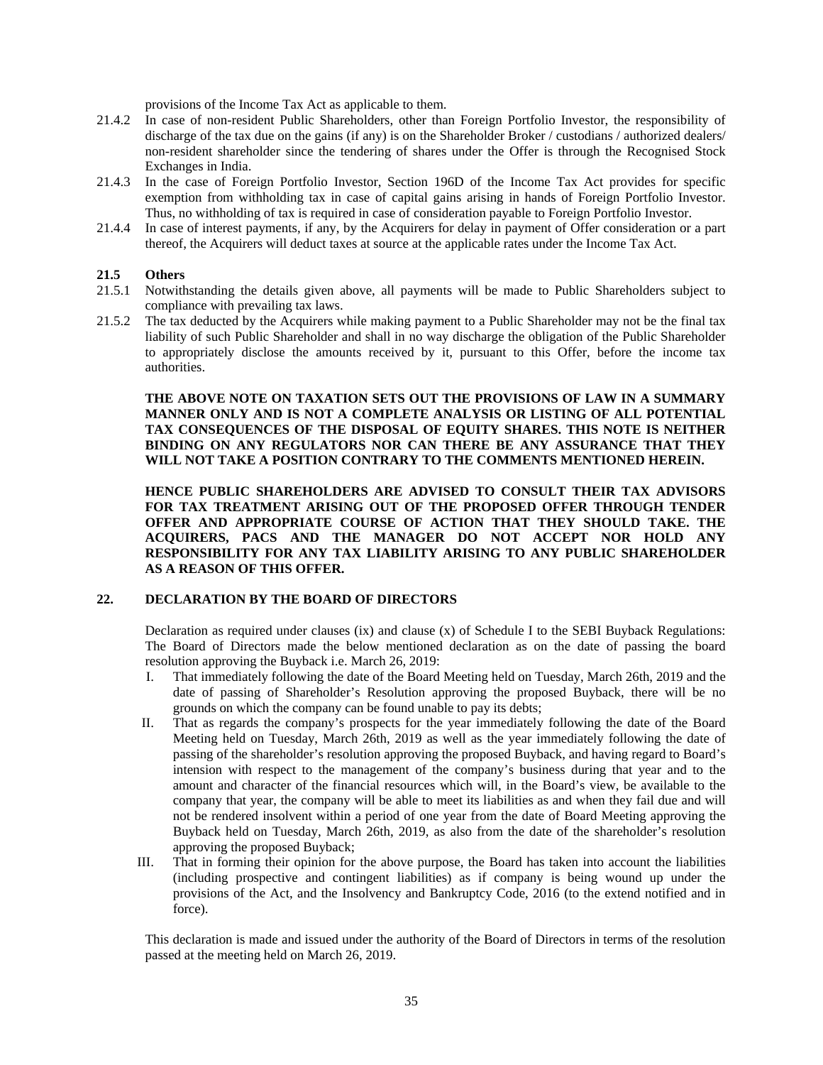provisions of the Income Tax Act as applicable to them.

- 21.4.2 In case of non-resident Public Shareholders, other than Foreign Portfolio Investor, the responsibility of discharge of the tax due on the gains (if any) is on the Shareholder Broker / custodians / authorized dealers/ non-resident shareholder since the tendering of shares under the Offer is through the Recognised Stock Exchanges in India.
- 21.4.3 In the case of Foreign Portfolio Investor, Section 196D of the Income Tax Act provides for specific exemption from withholding tax in case of capital gains arising in hands of Foreign Portfolio Investor. Thus, no withholding of tax is required in case of consideration payable to Foreign Portfolio Investor.
- 21.4.4 In case of interest payments, if any, by the Acquirers for delay in payment of Offer consideration or a part thereof, the Acquirers will deduct taxes at source at the applicable rates under the Income Tax Act.

### **21.5 Others**

- 21.5.1 Notwithstanding the details given above, all payments will be made to Public Shareholders subject to compliance with prevailing tax laws.
- 21.5.2 The tax deducted by the Acquirers while making payment to a Public Shareholder may not be the final tax liability of such Public Shareholder and shall in no way discharge the obligation of the Public Shareholder to appropriately disclose the amounts received by it, pursuant to this Offer, before the income tax authorities.

**THE ABOVE NOTE ON TAXATION SETS OUT THE PROVISIONS OF LAW IN A SUMMARY MANNER ONLY AND IS NOT A COMPLETE ANALYSIS OR LISTING OF ALL POTENTIAL TAX CONSEQUENCES OF THE DISPOSAL OF EQUITY SHARES. THIS NOTE IS NEITHER BINDING ON ANY REGULATORS NOR CAN THERE BE ANY ASSURANCE THAT THEY WILL NOT TAKE A POSITION CONTRARY TO THE COMMENTS MENTIONED HEREIN.** 

**HENCE PUBLIC SHAREHOLDERS ARE ADVISED TO CONSULT THEIR TAX ADVISORS FOR TAX TREATMENT ARISING OUT OF THE PROPOSED OFFER THROUGH TENDER OFFER AND APPROPRIATE COURSE OF ACTION THAT THEY SHOULD TAKE. THE ACQUIRERS, PACS AND THE MANAGER DO NOT ACCEPT NOR HOLD ANY RESPONSIBILITY FOR ANY TAX LIABILITY ARISING TO ANY PUBLIC SHAREHOLDER AS A REASON OF THIS OFFER.** 

#### **22. DECLARATION BY THE BOARD OF DIRECTORS**

Declaration as required under clauses (ix) and clause (x) of Schedule I to the SEBI Buyback Regulations: The Board of Directors made the below mentioned declaration as on the date of passing the board resolution approving the Buyback i.e. March 26, 2019:

- I. That immediately following the date of the Board Meeting held on Tuesday, March 26th, 2019 and the date of passing of Shareholder's Resolution approving the proposed Buyback, there will be no grounds on which the company can be found unable to pay its debts;
- II. That as regards the company's prospects for the year immediately following the date of the Board Meeting held on Tuesday, March 26th, 2019 as well as the year immediately following the date of passing of the shareholder's resolution approving the proposed Buyback, and having regard to Board's intension with respect to the management of the company's business during that year and to the amount and character of the financial resources which will, in the Board's view, be available to the company that year, the company will be able to meet its liabilities as and when they fail due and will not be rendered insolvent within a period of one year from the date of Board Meeting approving the Buyback held on Tuesday, March 26th, 2019, as also from the date of the shareholder's resolution approving the proposed Buyback;
- III. That in forming their opinion for the above purpose, the Board has taken into account the liabilities (including prospective and contingent liabilities) as if company is being wound up under the provisions of the Act, and the Insolvency and Bankruptcy Code, 2016 (to the extend notified and in force).

This declaration is made and issued under the authority of the Board of Directors in terms of the resolution passed at the meeting held on March 26, 2019.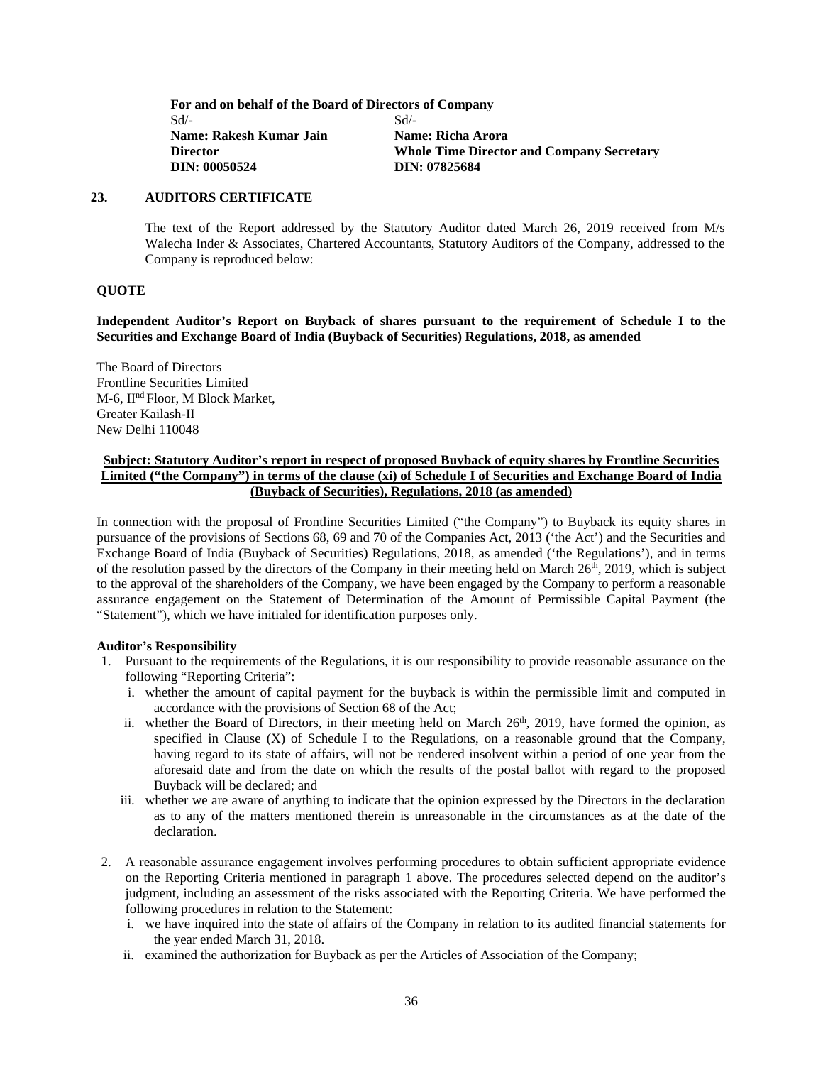**For and on behalf of the Board of Directors of Company**  Sd/- **Name: Rakesh Kumar Jain Director DIN: 00050524** Sd/- **Name: Richa Arora Whole Time Director and Company Secretary DIN: 07825684**

### **23. AUDITORS CERTIFICATE**

The text of the Report addressed by the Statutory Auditor dated March 26, 2019 received from M/s Walecha Inder & Associates, Chartered Accountants, Statutory Auditors of the Company, addressed to the Company is reproduced below:

### **QUOTE**

**Independent Auditor's Report on Buyback of shares pursuant to the requirement of Schedule I to the Securities and Exchange Board of India (Buyback of Securities) Regulations, 2018, as amended** 

The Board of Directors Frontline Securities Limited M-6, IInd Floor, M Block Market, Greater Kailash-II New Delhi 110048

### **Subject: Statutory Auditor's report in respect of proposed Buyback of equity shares by Frontline Securities Limited ("the Company") in terms of the clause (xi) of Schedule I of Securities and Exchange Board of India (Buyback of Securities), Regulations, 2018 (as amended)**

In connection with the proposal of Frontline Securities Limited ("the Company") to Buyback its equity shares in pursuance of the provisions of Sections 68, 69 and 70 of the Companies Act, 2013 ('the Act') and the Securities and Exchange Board of India (Buyback of Securities) Regulations, 2018, as amended ('the Regulations'), and in terms of the resolution passed by the directors of the Company in their meeting held on March  $26<sup>th</sup>$ ,  $2019$ , which is subject to the approval of the shareholders of the Company, we have been engaged by the Company to perform a reasonable assurance engagement on the Statement of Determination of the Amount of Permissible Capital Payment (the "Statement"), which we have initialed for identification purposes only.

#### **Auditor's Responsibility**

- 1. Pursuant to the requirements of the Regulations, it is our responsibility to provide reasonable assurance on the following "Reporting Criteria":
	- i. whether the amount of capital payment for the buyback is within the permissible limit and computed in accordance with the provisions of Section 68 of the Act;
	- ii. whether the Board of Directors, in their meeting held on March  $26<sup>th</sup>$ , 2019, have formed the opinion, as specified in Clause (X) of Schedule I to the Regulations, on a reasonable ground that the Company, having regard to its state of affairs, will not be rendered insolvent within a period of one year from the aforesaid date and from the date on which the results of the postal ballot with regard to the proposed Buyback will be declared; and
	- iii. whether we are aware of anything to indicate that the opinion expressed by the Directors in the declaration as to any of the matters mentioned therein is unreasonable in the circumstances as at the date of the declaration.
- 2. A reasonable assurance engagement involves performing procedures to obtain sufficient appropriate evidence on the Reporting Criteria mentioned in paragraph 1 above. The procedures selected depend on the auditor's judgment, including an assessment of the risks associated with the Reporting Criteria. We have performed the following procedures in relation to the Statement:
	- i. we have inquired into the state of affairs of the Company in relation to its audited financial statements for the year ended March 31, 2018.
	- ii. examined the authorization for Buyback as per the Articles of Association of the Company;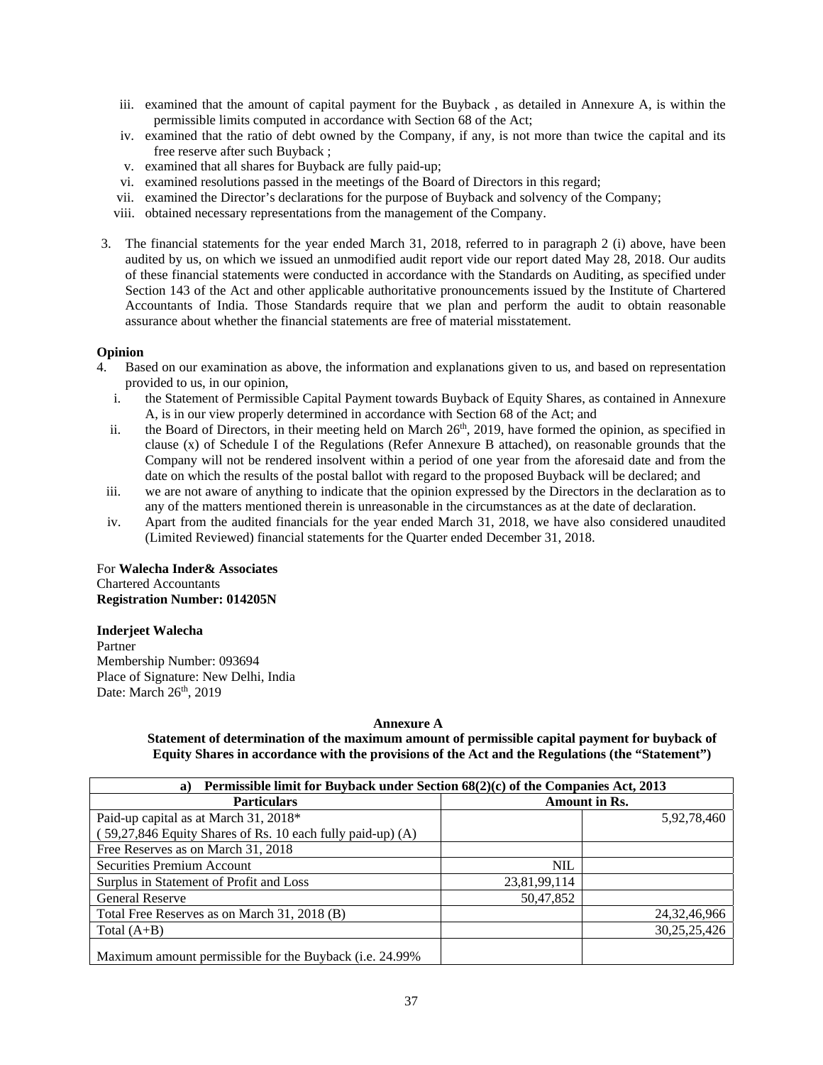- iii. examined that the amount of capital payment for the Buyback , as detailed in Annexure A, is within the permissible limits computed in accordance with Section 68 of the Act;
- iv. examined that the ratio of debt owned by the Company, if any, is not more than twice the capital and its free reserve after such Buyback ;
- v. examined that all shares for Buyback are fully paid-up;
- vi. examined resolutions passed in the meetings of the Board of Directors in this regard;
- vii. examined the Director's declarations for the purpose of Buyback and solvency of the Company;
- viii. obtained necessary representations from the management of the Company.
- 3. The financial statements for the year ended March 31, 2018, referred to in paragraph 2 (i) above, have been audited by us, on which we issued an unmodified audit report vide our report dated May 28, 2018. Our audits of these financial statements were conducted in accordance with the Standards on Auditing, as specified under Section 143 of the Act and other applicable authoritative pronouncements issued by the Institute of Chartered Accountants of India. Those Standards require that we plan and perform the audit to obtain reasonable assurance about whether the financial statements are free of material misstatement.

#### **Opinion**

- 4. Based on our examination as above, the information and explanations given to us, and based on representation provided to us, in our opinion,
	- i. the Statement of Permissible Capital Payment towards Buyback of Equity Shares, as contained in Annexure A, is in our view properly determined in accordance with Section 68 of the Act; and
	- ii. the Board of Directors, in their meeting held on March 26<sup>th</sup>, 2019, have formed the opinion, as specified in clause (x) of Schedule I of the Regulations (Refer Annexure B attached), on reasonable grounds that the Company will not be rendered insolvent within a period of one year from the aforesaid date and from the date on which the results of the postal ballot with regard to the proposed Buyback will be declared; and
	- iii. we are not aware of anything to indicate that the opinion expressed by the Directors in the declaration as to any of the matters mentioned therein is unreasonable in the circumstances as at the date of declaration.
	- iv. Apart from the audited financials for the year ended March 31, 2018, we have also considered unaudited (Limited Reviewed) financial statements for the Quarter ended December 31, 2018.

For **Walecha Inder& Associates**  Chartered Accountants **Registration Number: 014205N**

### **Inderjeet Walecha**

Partner Membership Number: 093694 Place of Signature: New Delhi, India Date: March 26<sup>th</sup>, 2019

#### **Annexure A**

**Statement of determination of the maximum amount of permissible capital payment for buyback of Equity Shares in accordance with the provisions of the Act and the Regulations (the "Statement")** 

| Permissible limit for Buyback under Section 68(2)(c) of the Companies Act, 2013<br>a) |              |                      |  |  |  |
|---------------------------------------------------------------------------------------|--------------|----------------------|--|--|--|
| <b>Particulars</b>                                                                    |              | <b>Amount in Rs.</b> |  |  |  |
| Paid-up capital as at March 31, 2018*                                                 |              | 5,92,78,460          |  |  |  |
| (59,27,846 Equity Shares of Rs. 10 each fully paid-up) (A)                            |              |                      |  |  |  |
| Free Reserves as on March 31, 2018                                                    |              |                      |  |  |  |
| Securities Premium Account                                                            | <b>NIL</b>   |                      |  |  |  |
| Surplus in Statement of Profit and Loss                                               | 23,81,99,114 |                      |  |  |  |
| <b>General Reserve</b>                                                                | 50,47,852    |                      |  |  |  |
| Total Free Reserves as on March 31, 2018 (B)                                          |              | 24, 32, 46, 966      |  |  |  |
| Total $(A+B)$                                                                         |              | 30, 25, 25, 426      |  |  |  |
| Maximum amount permissible for the Buyback (i.e. 24.99%)                              |              |                      |  |  |  |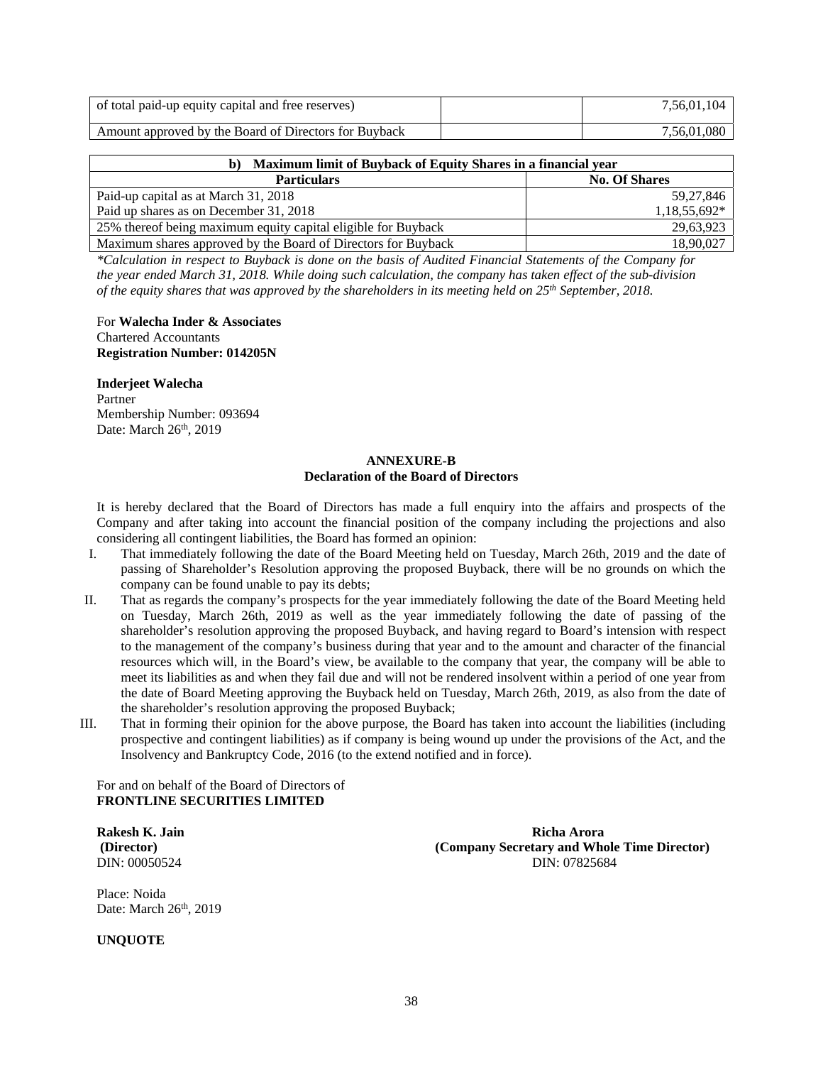| of total paid-up equity capital and free reserves)    | .56,01,104     |
|-------------------------------------------------------|----------------|
| Amount approved by the Board of Directors for Buyback | .080<br>.56.01 |

| Maximum limit of Buyback of Equity Shares in a financial year<br>b) |              |  |  |
|---------------------------------------------------------------------|--------------|--|--|
| <b>No. Of Shares</b><br><b>Particulars</b>                          |              |  |  |
| Paid-up capital as at March 31, 2018                                | 59,27,846    |  |  |
| Paid up shares as on December 31, 2018                              | 1,18,55,692* |  |  |
| 25% thereof being maximum equity capital eligible for Buyback       | 29,63,923    |  |  |
| Maximum shares approved by the Board of Directors for Buyback       | 18,90,027    |  |  |

*\*Calculation in respect to Buyback is done on the basis of Audited Financial Statements of the Company for the year ended March 31, 2018. While doing such calculation, the company has taken effect of the sub-division of the equity shares that was approved by the shareholders in its meeting held on 25th September, 2018.* 

For **Walecha Inder & Associates**  Chartered Accountants **Registration Number: 014205N**

**Inderjeet Walecha**  Partner Membership Number: 093694 Date: March 26<sup>th</sup>, 2019

#### **ANNEXURE-B Declaration of the Board of Directors**

It is hereby declared that the Board of Directors has made a full enquiry into the affairs and prospects of the Company and after taking into account the financial position of the company including the projections and also considering all contingent liabilities, the Board has formed an opinion:

- I. That immediately following the date of the Board Meeting held on Tuesday, March 26th, 2019 and the date of passing of Shareholder's Resolution approving the proposed Buyback, there will be no grounds on which the company can be found unable to pay its debts;
- II. That as regards the company's prospects for the year immediately following the date of the Board Meeting held on Tuesday, March 26th, 2019 as well as the year immediately following the date of passing of the shareholder's resolution approving the proposed Buyback, and having regard to Board's intension with respect to the management of the company's business during that year and to the amount and character of the financial resources which will, in the Board's view, be available to the company that year, the company will be able to meet its liabilities as and when they fail due and will not be rendered insolvent within a period of one year from the date of Board Meeting approving the Buyback held on Tuesday, March 26th, 2019, as also from the date of the shareholder's resolution approving the proposed Buyback;
- III. That in forming their opinion for the above purpose, the Board has taken into account the liabilities (including prospective and contingent liabilities) as if company is being wound up under the provisions of the Act, and the Insolvency and Bankruptcy Code, 2016 (to the extend notified and in force).

For and on behalf of the Board of Directors of **FRONTLINE SECURITIES LIMITED** 

Place: Noida Date: March 26<sup>th</sup>, 2019

**UNQUOTE** 

**Rakesh K. Jain Richa Arora (Director) (Company Secretary and Whole Time Director)**  DIN: 00050524 DIN: 07825684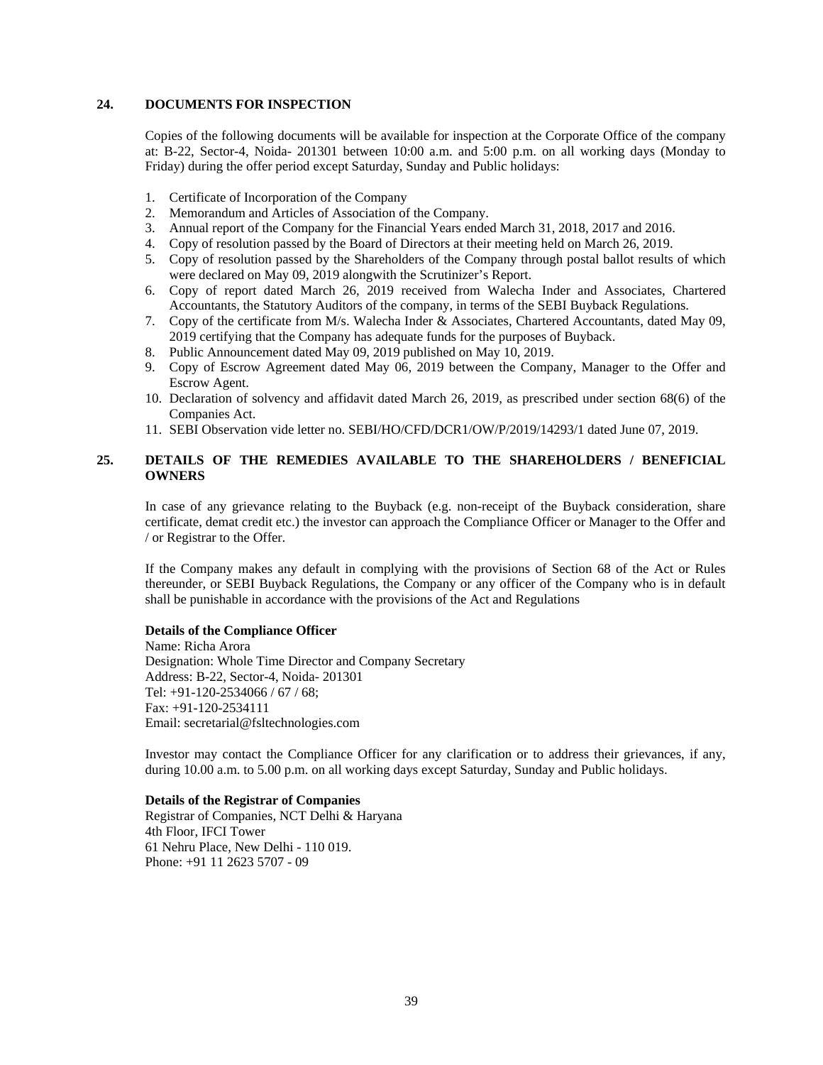### **24. DOCUMENTS FOR INSPECTION**

Copies of the following documents will be available for inspection at the Corporate Office of the company at: B-22, Sector-4, Noida- 201301 between 10:00 a.m. and 5:00 p.m. on all working days (Monday to Friday) during the offer period except Saturday, Sunday and Public holidays:

- 1. Certificate of Incorporation of the Company
- 2. Memorandum and Articles of Association of the Company.
- 3. Annual report of the Company for the Financial Years ended March 31, 2018, 2017 and 2016.
- 4. Copy of resolution passed by the Board of Directors at their meeting held on March 26, 2019.
- 5. Copy of resolution passed by the Shareholders of the Company through postal ballot results of which were declared on May 09, 2019 alongwith the Scrutinizer's Report.
- 6. Copy of report dated March 26, 2019 received from Walecha Inder and Associates, Chartered Accountants, the Statutory Auditors of the company, in terms of the SEBI Buyback Regulations.
- 7. Copy of the certificate from M/s. Walecha Inder & Associates, Chartered Accountants, dated May 09, 2019 certifying that the Company has adequate funds for the purposes of Buyback.
- 8. Public Announcement dated May 09, 2019 published on May 10, 2019.
- 9. Copy of Escrow Agreement dated May 06, 2019 between the Company, Manager to the Offer and Escrow Agent.
- 10. Declaration of solvency and affidavit dated March 26, 2019, as prescribed under section 68(6) of the Companies Act.
- 11. SEBI Observation vide letter no. SEBI/HO/CFD/DCR1/OW/P/2019/14293/1 dated June 07, 2019.

### **25. DETAILS OF THE REMEDIES AVAILABLE TO THE SHAREHOLDERS / BENEFICIAL OWNERS**

In case of any grievance relating to the Buyback (e.g. non-receipt of the Buyback consideration, share certificate, demat credit etc.) the investor can approach the Compliance Officer or Manager to the Offer and / or Registrar to the Offer.

If the Company makes any default in complying with the provisions of Section 68 of the Act or Rules thereunder, or SEBI Buyback Regulations, the Company or any officer of the Company who is in default shall be punishable in accordance with the provisions of the Act and Regulations

#### **Details of the Compliance Officer**

Name: Richa Arora Designation: Whole Time Director and Company Secretary Address: B-22, Sector-4, Noida- 201301 Tel: +91-120-2534066 / 67 / 68; Fax: +91-120-2534111 Email: secretarial@fsltechnologies.com

Investor may contact the Compliance Officer for any clarification or to address their grievances, if any, during 10.00 a.m. to 5.00 p.m. on all working days except Saturday, Sunday and Public holidays.

### **Details of the Registrar of Companies**

Registrar of Companies, NCT Delhi & Haryana 4th Floor, IFCI Tower 61 Nehru Place, New Delhi - 110 019. Phone: +91 11 2623 5707 - 09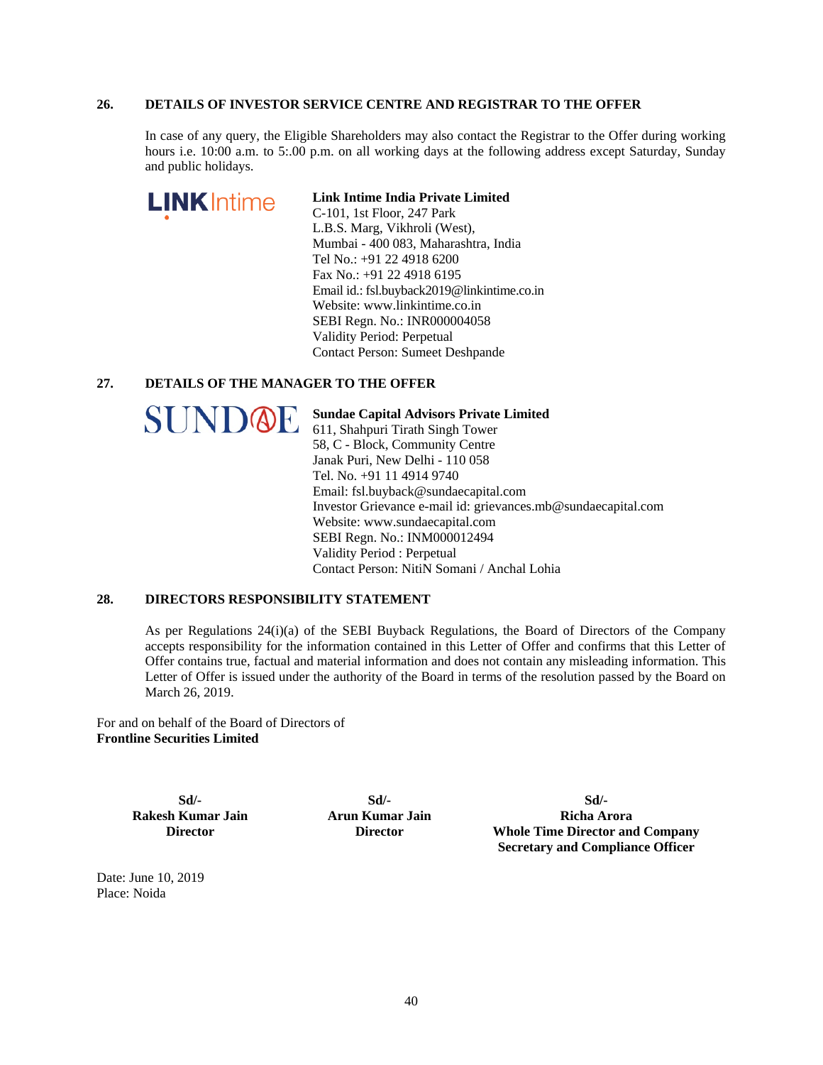### **26. DETAILS OF INVESTOR SERVICE CENTRE AND REGISTRAR TO THE OFFER**

In case of any query, the Eligible Shareholders may also contact the Registrar to the Offer during working hours i.e. 10:00 a.m. to 5:.00 p.m. on all working days at the following address except Saturday, Sunday and public holidays.

| <b>LINK</b> Intime | Link Intime India Private Limited           |
|--------------------|---------------------------------------------|
|                    | C-101, 1st Floor, 247 Park                  |
|                    | L.B.S. Marg, Vikhroli (West),               |
|                    | Mumbai - 400 083, Maharashtra, India        |
|                    | Tel No.: +91 22 4918 6200                   |
|                    | Fax No.: +91 22 4918 6195                   |
|                    | Email id.: fsl.buyback2019@linkintime.co.in |
|                    | Website: www.linkintime.co.in               |
|                    | SEBI Regn. No.: INR000004058                |
|                    | Validity Period: Perpetual                  |
|                    | <b>Contact Person: Sumeet Deshpande</b>     |
|                    | ETAILS OF THE MANAGER TO THE OFFER          |

#### **27. DETAILS OF THE MANAGER TO THE OFFER**

| <b>SUND@F</b> |  |  |
|---------------|--|--|
|               |  |  |

I

**Sundae Capital Advisors Private Limited**  611, Shahpuri Tirath Singh Tower 58, C - Block, Community Centre Janak Puri, New Delhi - 110 058 Tel. No. +91 11 4914 9740 Email: fsl.buyback@sundaecapital.com Investor Grievance e-mail id: grievances.mb@sundaecapital.com Website: www.sundaecapital.com SEBI Regn. No.: INM000012494 Validity Period : Perpetual Contact Person: NitiN Somani / Anchal Lohia

### **28. DIRECTORS RESPONSIBILITY STATEMENT**

As per Regulations 24(i)(a) of the SEBI Buyback Regulations, the Board of Directors of the Company accepts responsibility for the information contained in this Letter of Offer and confirms that this Letter of Offer contains true, factual and material information and does not contain any misleading information. This Letter of Offer is issued under the authority of the Board in terms of the resolution passed by the Board on March 26, 2019.

For and on behalf of the Board of Directors of **Frontline Securities Limited** 

> **Sd/- Rakesh Kumar Jain Director**

**Sd/- Arun Kumar Jain Director** 

**Sd/- Richa Arora Whole Time Director and Company Secretary and Compliance Officer** 

Date: June 10, 2019 Place: Noida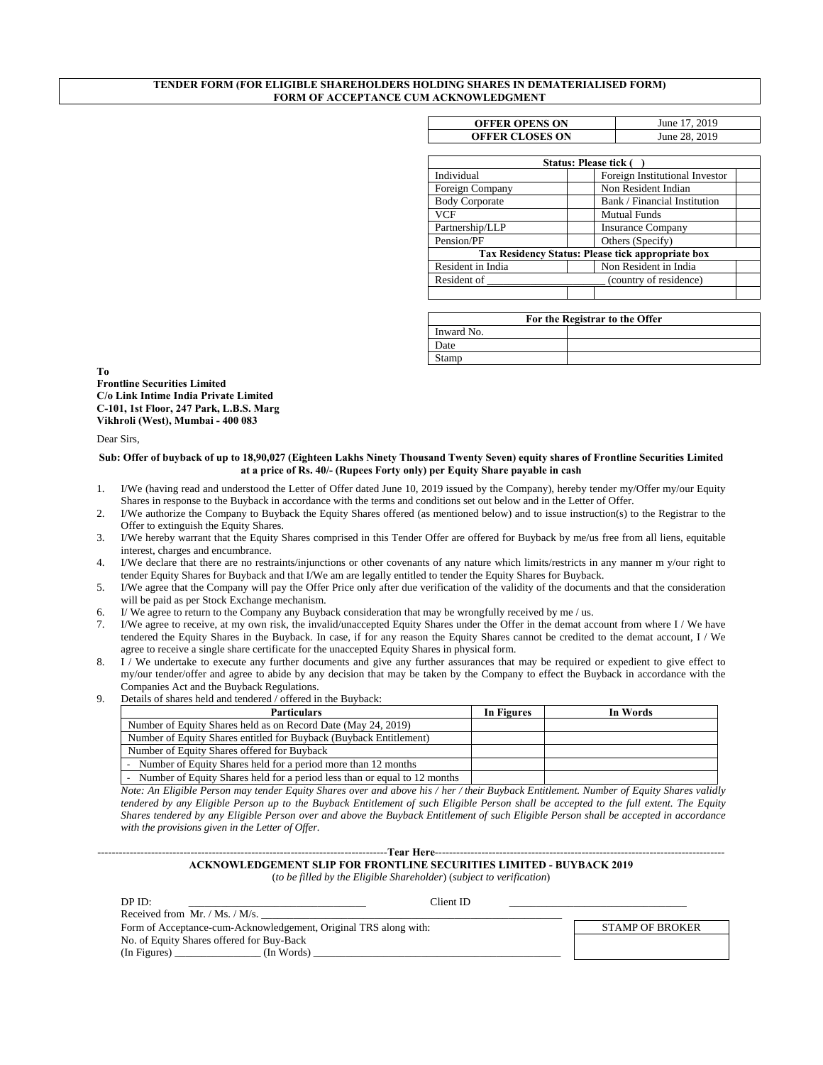#### **TENDER FORM (FOR ELIGIBLE SHAREHOLDERS HOLDING SHARES IN DEMATERIALISED FORM) FORM OF ACCEPTANCE CUM ACKNOWLEDGMENT**

| <b>OFFER OPENS ON</b>  | June 17, 2019 |
|------------------------|---------------|
| <b>OFFER CLOSES ON</b> | June 28, 2019 |

|                       | <b>Status: Please tick (</b>                      |
|-----------------------|---------------------------------------------------|
| Individual            | Foreign Institutional Investor                    |
| Foreign Company       | Non Resident Indian                               |
| <b>Body Corporate</b> | Bank / Financial Institution                      |
| <b>VCF</b>            | <b>Mutual Funds</b>                               |
| Partnership/LLP       | <b>Insurance Company</b>                          |
| Pension/PF            | Others (Specify)                                  |
|                       | Tax Residency Status: Please tick appropriate box |
| Resident in India     | Non Resident in India                             |
| Resident of           | (country of residence)                            |
|                       |                                                   |

| For the Registrar to the Offer |  |  |  |
|--------------------------------|--|--|--|
| Inward No.                     |  |  |  |
| Date                           |  |  |  |
| Stamp                          |  |  |  |

**To Frontline Securities Limited C/o Link Intime India Private Limited C-101, 1st Floor, 247 Park, L.B.S. Marg Vikhroli (West), Mumbai - 400 083** 

Dear Sirs,

#### **Sub: Offer of buyback of up to 18,90,027 (Eighteen Lakhs Ninety Thousand Twenty Seven) equity shares of Frontline Securities Limited at a price of Rs. 40/- (Rupees Forty only) per Equity Share payable in cash**

- 1. I/We (having read and understood the Letter of Offer dated June 10, 2019 issued by the Company), hereby tender my/Offer my/our Equity Shares in response to the Buyback in accordance with the terms and conditions set out below and in the Letter of Offer.
- 2. I/We authorize the Company to Buyback the Equity Shares offered (as mentioned below) and to issue instruction(s) to the Registrar to the Offer to extinguish the Equity Shares.
- 3. I/We hereby warrant that the Equity Shares comprised in this Tender Offer are offered for Buyback by me/us free from all liens, equitable interest, charges and encumbrance.
- 4. I/We declare that there are no restraints/injunctions or other covenants of any nature which limits/restricts in any manner m y/our right to tender Equity Shares for Buyback and that I/We am are legally entitled to tender the Equity Shares for Buyback.
- 5. I/We agree that the Company will pay the Offer Price only after due verification of the validity of the documents and that the consideration will be paid as per Stock Exchange mechanism.
- 6. I/ We agree to return to the Company any Buyback consideration that may be wrongfully received by me / us.
- 7. I/We agree to receive, at my own risk, the invalid/unaccepted Equity Shares under the Offer in the demat account from where I / We have tendered the Equity Shares in the Buyback. In case, if for any reason the Equity Shares cannot be credited to the demat account, I / We agree to receive a single share certificate for the unaccepted Equity Shares in physical form.
- 8. I / We undertake to execute any further documents and give any further assurances that may be required or expedient to give effect to my/our tender/offer and agree to abide by any decision that may be taken by the Company to effect the Buyback in accordance with the Companies Act and the Buyback Regulations.
- Details of shares held and tendered / offered in the Buyback:

| <b>Particulars</b>                                                          | In Figures | In Words |
|-----------------------------------------------------------------------------|------------|----------|
| Number of Equity Shares held as on Record Date (May 24, 2019)               |            |          |
| Number of Equity Shares entitled for Buyback (Buyback Entitlement)          |            |          |
| Number of Equity Shares offered for Buyback                                 |            |          |
| - Number of Equity Shares held for a period more than 12 months             |            |          |
| - Number of Equity Shares held for a period less than or equal to 12 months |            |          |

*Note: An Eligible Person may tender Equity Shares over and above his / her / their Buyback Entitlement. Number of Equity Shares validly tendered by any Eligible Person up to the Buyback Entitlement of such Eligible Person shall be accepted to the full extent. The Equity Shares tendered by any Eligible Person over and above the Buyback Entitlement of such Eligible Person shall be accepted in accordance with the provisions given in the Letter of Offer.* 

#### ---------------------------------------------------------------------------------**Tear Here**--------------------------------------------------------------------------------- **ACKNOWLEDGEMENT SLIP FOR FRONTLINE SECURITIES LIMITED - BUYBACK 2019**

(*to be filled by the Eligible Shareholder*) (*subject to verification*)

| DP ID:                                                           | Client ID |                        |
|------------------------------------------------------------------|-----------|------------------------|
| Received from Mr. / Ms. / M/s.                                   |           |                        |
| Form of Acceptance-cum-Acknowledgement, Original TRS along with: |           | <b>STAMP OF BROKER</b> |
| No. of Equity Shares offered for Buy-Back                        |           |                        |
| (In Figures)<br>(In Words)                                       |           |                        |